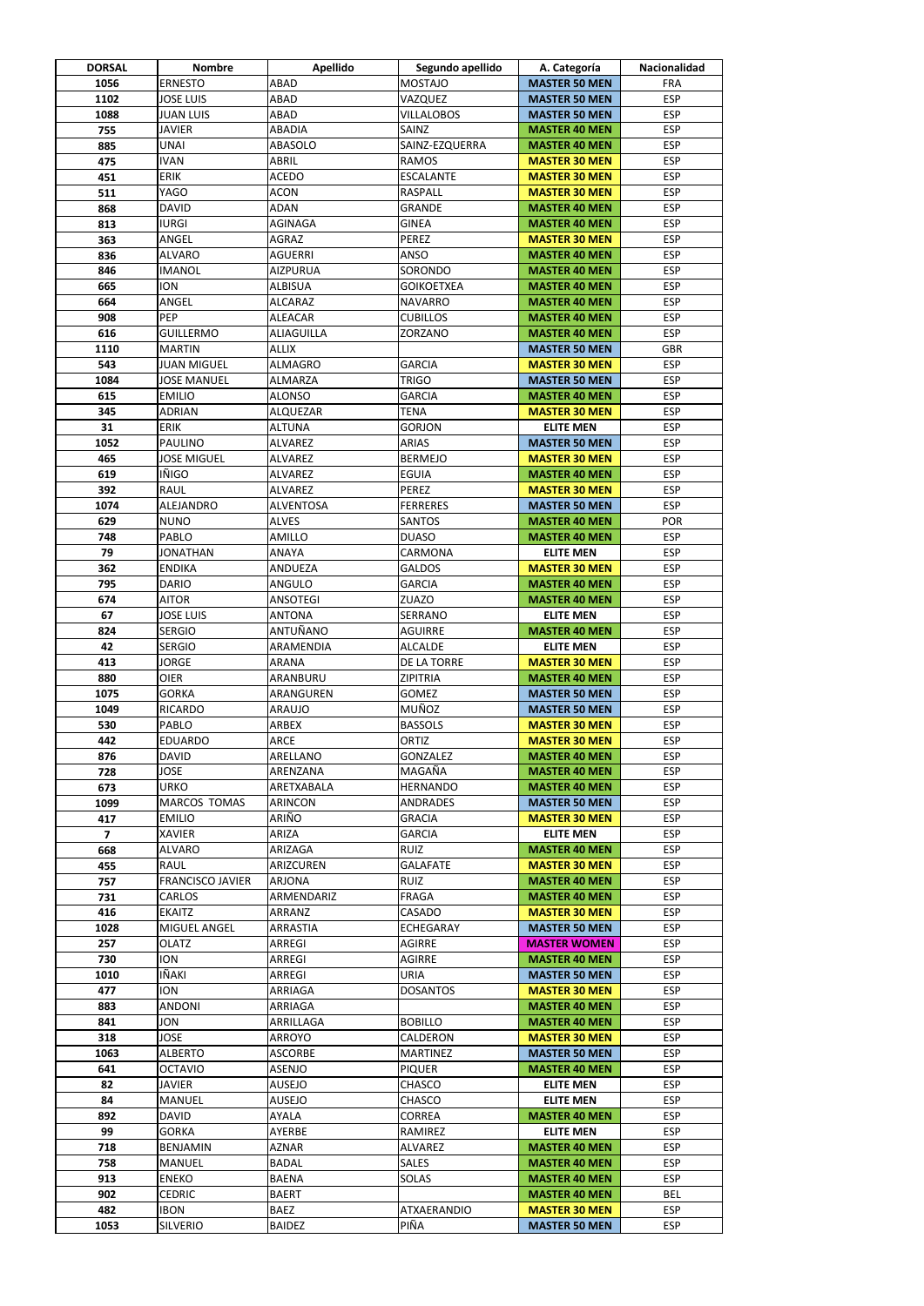| <b>DORSAL</b>  | <b>Nombre</b>                | <b>Apellido</b>                   | Segundo apellido                 | A. Categoría                                 | <b>Nacionalidad</b>      |
|----------------|------------------------------|-----------------------------------|----------------------------------|----------------------------------------------|--------------------------|
| 1056           | <b>ERNESTO</b>               | <b>ABAD</b>                       | <b>MOSTAJO</b>                   | <b>MASTER 50 MEN</b>                         | <b>FRA</b>               |
| 1102           | <b>JOSE LUIS</b>             | ABAD                              | VAZQUEZ                          | <b>MASTER 50 MEN</b>                         | <b>ESP</b>               |
| 1088           | <b>JUAN LUIS</b>             | ABAD                              | <b>VILLALOBOS</b>                | <b>MASTER 50 MEN</b>                         | <b>ESP</b>               |
| 755            | <b>JAVIER</b>                | <b>ABADIA</b>                     | SAINZ                            | <b>MASTER 40 MEN</b>                         | <b>ESP</b>               |
| 885            | <b>UNAI</b>                  | <b>ABASOLO</b>                    | SAINZ-EZQUERRA                   | <b>MASTER 40 MEN</b>                         | <b>ESP</b>               |
| 475            | <b>IVAN</b>                  | <b>ABRIL</b>                      | <b>RAMOS</b>                     | <b>MASTER 30 MEN</b>                         | <b>ESP</b>               |
| 451            | <b>ERIK</b>                  | <b>ACEDO</b>                      | <b>ESCALANTE</b>                 | <b>MASTER 30 MEN</b>                         | <b>ESP</b>               |
| 511            | <b>YAGO</b>                  | <b>ACON</b>                       | <b>RASPALL</b>                   | <b>MASTER 30 MEN</b>                         | <b>ESP</b>               |
| 868            | <b>DAVID</b>                 | <b>ADAN</b>                       | <b>GRANDE</b>                    | <b>MASTER 40 MEN</b>                         | <b>ESP</b>               |
| 813            | <b>IURGI</b>                 | AGINAGA                           | <b>GINEA</b>                     | <b>MASTER 40 MEN</b>                         | <b>ESP</b>               |
| 363            | ANGEL<br><b>ALVARO</b>       | AGRAZ<br><b>AGUERRI</b>           | <b>PEREZ</b><br><b>ANSO</b>      | <b>MASTER 30 MEN</b>                         | <b>ESP</b><br><b>ESP</b> |
| 836<br>846     | <b>IMANOL</b>                |                                   | SORONDO                          | <b>MASTER 40 MEN</b>                         | <b>ESP</b>               |
| 665            | <b>ION</b>                   | <b>AIZPURUA</b><br><b>ALBISUA</b> | <b>GOIKOETXEA</b>                | <b>MASTER 40 MEN</b>                         | <b>ESP</b>               |
| 664            | ANGEL                        | <b>ALCARAZ</b>                    | <b>NAVARRO</b>                   | <b>MASTER 40 MEN</b><br><b>MASTER 40 MEN</b> | <b>ESP</b>               |
| 908            | PEP                          |                                   | <b>CUBILLOS</b>                  |                                              | <b>ESP</b>               |
| 616            | <b>GUILLERMO</b>             | <b>ALEACAR</b>                    |                                  | <b>MASTER 40 MEN</b>                         | <b>ESP</b>               |
|                |                              | ALIAGUILLA                        | ZORZANO                          | <b>MASTER 40 MEN</b>                         |                          |
| 1110           | <b>MARTIN</b>                | <b>ALLIX</b><br><b>ALMAGRO</b>    | <b>GARCIA</b>                    | <b>MASTER 50 MEN</b>                         | <b>GBR</b><br><b>ESP</b> |
| 543            | <b>JUAN MIGUEL</b>           |                                   |                                  | <b>MASTER 30 MEN</b>                         |                          |
| 1084           | <b>JOSE MANUEL</b>           | <b>ALMARZA</b>                    | <b>TRIGO</b>                     | <b>MASTER 50 MEN</b>                         | <b>ESP</b><br><b>ESP</b> |
| 615            | <b>EMILIO</b>                | <b>ALONSO</b>                     | <b>GARCIA</b><br><b>TENA</b>     | <b>MASTER 40 MEN</b>                         |                          |
| 345<br>31      | <b>ADRIAN</b><br><b>ERIK</b> | <b>ALQUEZAR</b>                   | <b>GORJON</b>                    | <b>MASTER 30 MEN</b>                         | <b>ESP</b><br><b>ESP</b> |
|                |                              | <b>ALTUNA</b>                     |                                  | <b>ELITE MEN</b>                             |                          |
| 1052           | <b>PAULINO</b>               | <b>ALVAREZ</b>                    | <b>ARIAS</b>                     | <b>MASTER 50 MEN</b>                         | <b>ESP</b>               |
| 465            | <b>JOSE MIGUEL</b>           | <b>ALVAREZ</b>                    | <b>BERMEJO</b>                   | <b>MASTER 30 MEN</b>                         | <b>ESP</b>               |
| 619            | <b>IÑIGO</b>                 | <b>ALVAREZ</b>                    | <b>EGUIA</b>                     | <b>MASTER 40 MEN</b>                         | <b>ESP</b>               |
| 392            | <b>RAUL</b>                  | <b>ALVAREZ</b>                    | <b>PEREZ</b><br><b>FERRERES</b>  | <b>MASTER 30 MEN</b>                         | <b>ESP</b><br><b>ESP</b> |
| 1074           | ALEJANDRO<br><b>NUNO</b>     | <b>ALVENTOSA</b><br><b>ALVES</b>  | <b>SANTOS</b>                    | <b>MASTER 50 MEN</b>                         | <b>POR</b>               |
| 629<br>748     | <b>PABLO</b>                 | AMILLO                            | <b>DUASO</b>                     | <b>MASTER 40 MEN</b><br><b>MASTER 40 MEN</b> | <b>ESP</b>               |
|                | <b>JONATHAN</b>              | ANAYA                             | <b>CARMONA</b>                   | <b>ELITE MEN</b>                             | <b>ESP</b>               |
| 79             | <b>ENDIKA</b>                |                                   | <b>GALDOS</b>                    |                                              | <b>ESP</b>               |
| 362<br>795     | <b>DARIO</b>                 | <b>ANDUEZA</b><br>ANGULO          | <b>GARCIA</b>                    | <b>MASTER 30 MEN</b><br><b>MASTER 40 MEN</b> | <b>ESP</b>               |
|                | <b>AITOR</b>                 | <b>ANSOTEGI</b>                   | ZUAZO                            |                                              | <b>ESP</b>               |
| 674            | <b>JOSE LUIS</b>             |                                   |                                  | <b>MASTER 40 MEN</b>                         | <b>ESP</b>               |
| 67             | <b>SERGIO</b>                | <b>ANTONA</b><br>ANTUÑANO         | <b>SERRANO</b><br><b>AGUIRRE</b> | <b>ELITE MEN</b>                             | <b>ESP</b>               |
| 824            |                              |                                   |                                  | <b>MASTER 40 MEN</b>                         |                          |
| 42             | <b>SERGIO</b>                | ARAMENDIA                         | <b>ALCALDE</b>                   | <b>ELITE MEN</b>                             | <b>ESP</b>               |
| 413            | <b>JORGE</b>                 | ARANA                             | DE LA TORRE                      | <b>MASTER 30 MEN</b>                         | <b>ESP</b>               |
| 880            | <b>OIER</b>                  | ARANBURU                          | <b>ZIPITRIA</b>                  | <b>MASTER 40 MEN</b>                         | <b>ESP</b>               |
| 1075           | <b>GORKA</b>                 | ARANGUREN                         | <b>GOMEZ</b>                     | <b>MASTER 50 MEN</b>                         | <b>ESP</b>               |
| 1049           | <b>RICARDO</b>               | <b>ARAUJO</b>                     | MUÑOZ                            | <b>MASTER 50 MEN</b>                         | <b>ESP</b>               |
| 530            | PABLO                        | ARBEX                             | <b>BASSOLS</b>                   | <b>MASTER 30 MEN</b>                         | <b>ESP</b>               |
| 442            | <b>EDUARDO</b>               | <b>ARCE</b>                       | <b>ORTIZ</b>                     | <b>MASTER 30 MEN</b>                         | <b>ESP</b>               |
| 876            | <b>DAVID</b>                 | ARELLANO                          | <b>GONZALEZ</b>                  | <b>MASTER 40 MEN</b>                         | <b>ESP</b>               |
| 728            | <b>JOSE</b>                  | ARENZANA                          | MAGAÑA                           | <b>MASTER 40 MEN</b>                         | <b>ESP</b>               |
| 673            | <b>URKO</b>                  | ARETXABALA                        | <b>HERNANDO</b>                  | <b>MASTER 40 MEN</b>                         | <b>ESP</b>               |
| 1099           | <b>MARCOS TOMAS</b>          | <b>ARINCON</b>                    | <b>ANDRADES</b>                  | <b>MASTER 50 MEN</b>                         | <b>ESP</b>               |
| 417            | <b>EMILIO</b>                | ARIÑO                             | <b>GRACIA</b>                    | <b>MASTER 30 MEN</b>                         | <b>ESP</b>               |
| $\overline{7}$ | <b>XAVIER</b>                | ARIZA                             | <b>GARCIA</b>                    | <b>ELITE MEN</b>                             | <b>ESP</b>               |
| 668            | <b>ALVARO</b>                | ARIZAGA                           | <b>RUIZ</b>                      | <b>MASTER 40 MEN</b>                         | <b>ESP</b>               |
| 455            | <b>RAUL</b>                  | ARIZCUREN                         | <b>GALAFATE</b>                  | <b>MASTER 30 MEN</b>                         | <b>ESP</b>               |
| 757            | <b>FRANCISCO JAVIER</b>      | <b>ARJONA</b>                     | <b>RUIZ</b>                      | <b>MASTER 40 MEN</b>                         | <b>ESP</b>               |
| 731            | <b>CARLOS</b>                | ARMENDARIZ                        | <b>FRAGA</b><br>CASADO           | <b>MASTER 40 MEN</b>                         | <b>ESP</b>               |
| 416            | <b>EKAITZ</b>                | ARRANZ                            |                                  | <b>MASTER 30 MEN</b>                         | <b>ESP</b>               |
| 1028           | <b>MIGUEL ANGEL</b>          | <b>ARRASTIA</b>                   | <b>ECHEGARAY</b>                 | <b>MASTER 50 MEN</b>                         | <b>ESP</b>               |
| 257            | <b>OLATZ</b>                 | ARREGI                            | <b>AGIRRE</b>                    | <b>MASTER WOMEN</b>                          | <b>ESP</b>               |
| 730            | <b>ION</b>                   | ARREGI                            | <b>AGIRRE</b>                    | <b>MASTER 40 MEN</b>                         | <b>ESP</b>               |
| 1010           | IÑAKI                        | ARREGI                            | <b>URIA</b>                      | <b>MASTER 50 MEN</b>                         | <b>ESP</b>               |
| 477            | <b>ION</b>                   | <b>ARRIAGA</b>                    | <b>DOSANTOS</b>                  | <b>MASTER 30 MEN</b>                         | <b>ESP</b>               |
| 883            | <b>ANDONI</b>                | ARRIAGA                           |                                  | <b>MASTER 40 MEN</b>                         | <b>ESP</b>               |
| 841            | <b>JON</b>                   | ARRILLAGA                         | <b>BOBILLO</b>                   | <b>MASTER 40 MEN</b>                         | <b>ESP</b>               |
| 318            | <b>JOSE</b>                  | ARROYO                            | CALDERON                         | <b>MASTER 30 MEN</b>                         | <b>ESP</b>               |
| 1063           | <b>ALBERTO</b>               | <b>ASCORBE</b>                    | <b>MARTINEZ</b>                  | <b>MASTER 50 MEN</b>                         | <b>ESP</b>               |
| 641            | <b>OCTAVIO</b>               | <b>ASENJO</b>                     | <b>PIQUER</b>                    | <b>MASTER 40 MEN</b>                         | <b>ESP</b>               |
| 82             | <b>JAVIER</b>                | <b>AUSEJO</b>                     | <b>CHASCO</b>                    | <b>ELITE MEN</b>                             | <b>ESP</b>               |
| 84             | <b>MANUEL</b>                | <b>AUSEJO</b>                     | <b>CHASCO</b>                    | <b>ELITE MEN</b>                             | <b>ESP</b>               |
| 892            | <b>DAVID</b>                 | AYALA                             | <b>CORREA</b>                    | <b>MASTER 40 MEN</b>                         | <b>ESP</b>               |
| 99             | <b>GORKA</b>                 | AYERBE                            | RAMIREZ                          | <b>ELITE MEN</b>                             | <b>ESP</b>               |
| 718            | <b>BENJAMIN</b>              | AZNAR                             | <b>ALVAREZ</b>                   | <b>MASTER 40 MEN</b>                         | <b>ESP</b>               |
| 758            | <b>MANUEL</b>                | <b>BADAL</b>                      | <b>SALES</b>                     | <b>MASTER 40 MEN</b>                         | <b>ESP</b>               |
| 913            | <b>ENEKO</b>                 | <b>BAENA</b>                      | <b>SOLAS</b>                     | <b>MASTER 40 MEN</b>                         | <b>ESP</b>               |
| 902            | <b>CEDRIC</b>                | <b>BAERT</b>                      |                                  | <b>MASTER 40 MEN</b>                         | <b>BEL</b>               |
| 482            | <b>IBON</b>                  | <b>BAEZ</b>                       | <b>ATXAERANDIO</b>               | <b>MASTER 30 MEN</b>                         | <b>ESP</b>               |
| 1053           | <b>SILVERIO</b>              | <b>BAIDEZ</b>                     | PIÑA                             | <b>MASTER 50 MEN</b>                         | <b>ESP</b>               |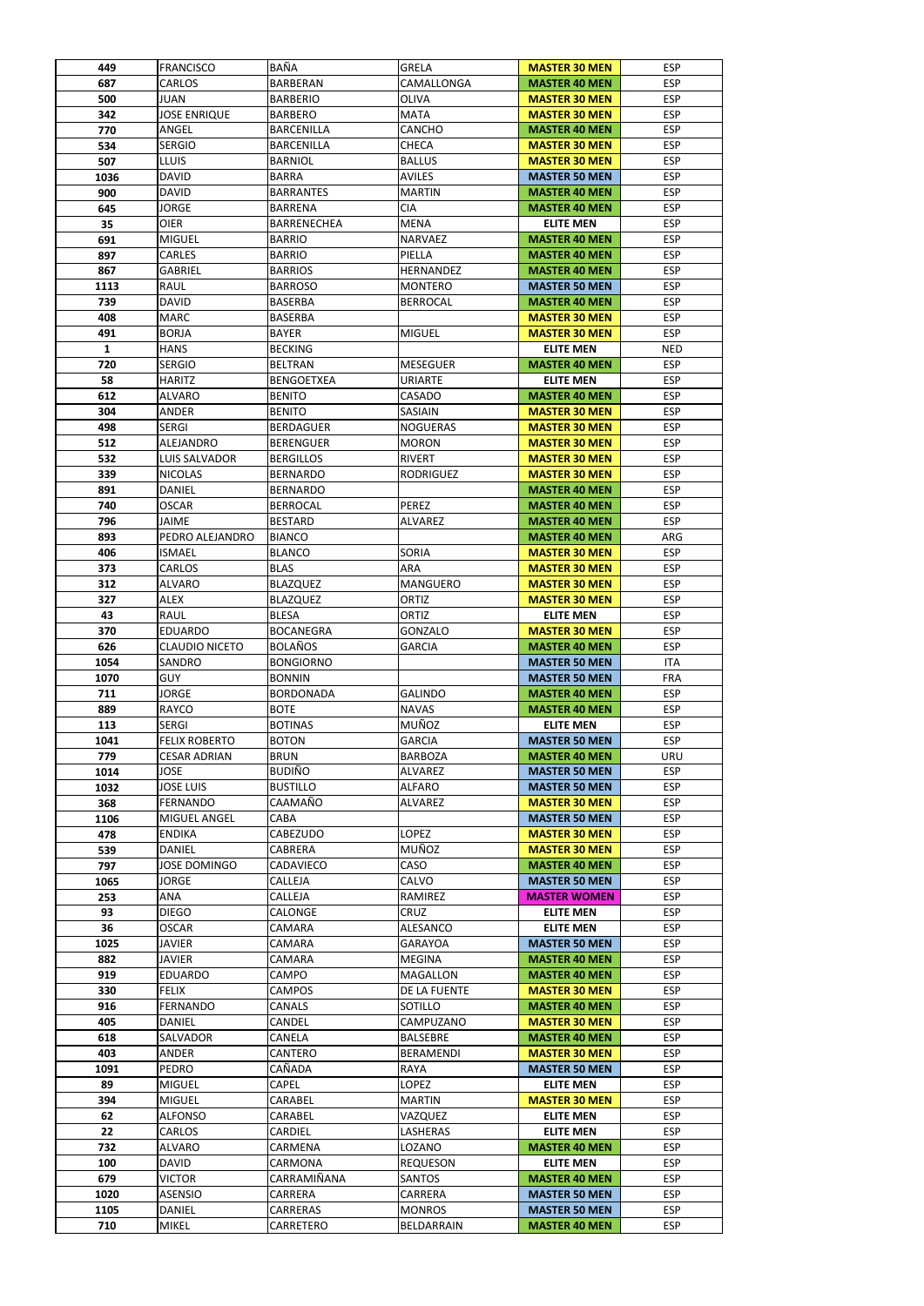| 449  | <b>FRANCISCO</b>      | <b>BAÑA</b>        | <b>GRELA</b>     | <b>MASTER 30 MEN</b> | <b>ESP</b> |
|------|-----------------------|--------------------|------------------|----------------------|------------|
| 687  | <b>CARLOS</b>         | <b>BARBERAN</b>    | CAMALLONGA       | <b>MASTER 40 MEN</b> | <b>ESP</b> |
| 500  | <b>JUAN</b>           | <b>BARBERIO</b>    | <b>OLIVA</b>     | <b>MASTER 30 MEN</b> | <b>ESP</b> |
| 342  | <b>JOSE ENRIQUE</b>   | <b>BARBERO</b>     | <b>MATA</b>      | <b>MASTER 30 MEN</b> | <b>ESP</b> |
| 770  | ANGEL                 | <b>BARCENILLA</b>  | <b>CANCHO</b>    |                      | <b>ESP</b> |
|      |                       |                    |                  | <b>MASTER 40 MEN</b> |            |
| 534  | <b>SERGIO</b>         | <b>BARCENILLA</b>  | <b>CHECA</b>     | <b>MASTER 30 MEN</b> | <b>ESP</b> |
| 507  | <b>LLUIS</b>          | <b>BARNIOL</b>     | <b>BALLUS</b>    | <b>MASTER 30 MEN</b> | <b>ESP</b> |
| 1036 | <b>DAVID</b>          | <b>BARRA</b>       | <b>AVILES</b>    | <b>MASTER 50 MEN</b> | <b>ESP</b> |
| 900  | <b>DAVID</b>          | <b>BARRANTES</b>   | <b>MARTIN</b>    | <b>MASTER 40 MEN</b> | <b>ESP</b> |
| 645  | <b>JORGE</b>          | <b>BARRENA</b>     | <b>CIA</b>       | <b>MASTER 40 MEN</b> | <b>ESP</b> |
| 35   | <b>OIER</b>           | <b>BARRENECHEA</b> | <b>MENA</b>      | <b>ELITE MEN</b>     | <b>ESP</b> |
| 691  | <b>MIGUEL</b>         | <b>BARRIO</b>      | <b>NARVAEZ</b>   | <b>MASTER 40 MEN</b> | <b>ESP</b> |
| 897  | <b>CARLES</b>         | <b>BARRIO</b>      | PIELLA           | <b>MASTER 40 MEN</b> | <b>ESP</b> |
| 867  | <b>GABRIEL</b>        | <b>BARRIOS</b>     | HERNANDEZ        | <b>MASTER 40 MEN</b> | <b>ESP</b> |
| 1113 | <b>RAUL</b>           | <b>BARROSO</b>     | <b>MONTERO</b>   | <b>MASTER 50 MEN</b> | <b>ESP</b> |
|      |                       |                    |                  |                      |            |
| 739  | <b>DAVID</b>          | <b>BASERBA</b>     | <b>BERROCAL</b>  | <b>MASTER 40 MEN</b> | <b>ESP</b> |
| 408  | <b>MARC</b>           | <b>BASERBA</b>     |                  | <b>MASTER 30 MEN</b> | <b>ESP</b> |
| 491  | <b>BORJA</b>          | <b>BAYER</b>       | <b>MIGUEL</b>    | <b>MASTER 30 MEN</b> | <b>ESP</b> |
| 1    | <b>HANS</b>           | <b>BECKING</b>     |                  | <b>ELITE MEN</b>     | <b>NED</b> |
| 720  | <b>SERGIO</b>         | <b>BELTRAN</b>     | <b>MESEGUER</b>  | <b>MASTER 40 MEN</b> | <b>ESP</b> |
| 58   | <b>HARITZ</b>         | <b>BENGOETXEA</b>  | <b>URIARTE</b>   | <b>ELITE MEN</b>     | <b>ESP</b> |
| 612  | <b>ALVARO</b>         | <b>BENITO</b>      | CASADO           | <b>MASTER 40 MEN</b> | <b>ESP</b> |
| 304  | <b>ANDER</b>          | <b>BENITO</b>      | SASIAIN          | <b>MASTER 30 MEN</b> | <b>ESP</b> |
|      |                       |                    |                  |                      |            |
| 498  | <b>SERGI</b>          | <b>BERDAGUER</b>   | <b>NOGUERAS</b>  | <b>MASTER 30 MEN</b> | <b>ESP</b> |
| 512  | <b>ALEJANDRO</b>      | <b>BERENGUER</b>   | <b>MORON</b>     | <b>MASTER 30 MEN</b> | <b>ESP</b> |
| 532  | LUIS SALVADOR         | <b>BERGILLOS</b>   | <b>RIVERT</b>    | <b>MASTER 30 MEN</b> | <b>ESP</b> |
| 339  | <b>NICOLAS</b>        | <b>BERNARDO</b>    | <b>RODRIGUEZ</b> | <b>MASTER 30 MEN</b> | <b>ESP</b> |
| 891  | <b>DANIEL</b>         | <b>BERNARDO</b>    |                  | <b>MASTER 40 MEN</b> | <b>ESP</b> |
| 740  | <b>OSCAR</b>          | <b>BERROCAL</b>    | <b>PEREZ</b>     | <b>MASTER 40 MEN</b> | <b>ESP</b> |
| 796  | <b>JAIME</b>          | <b>BESTARD</b>     | <b>ALVAREZ</b>   | <b>MASTER 40 MEN</b> | <b>ESP</b> |
| 893  | PEDRO ALEJANDRO       | <b>BIANCO</b>      |                  | <b>MASTER 40 MEN</b> | ARG        |
| 406  | <b>ISMAEL</b>         | <b>BLANCO</b>      | <b>SORIA</b>     | <b>MASTER 30 MEN</b> | <b>ESP</b> |
|      |                       |                    |                  |                      |            |
| 373  | <b>CARLOS</b>         | <b>BLAS</b>        | <b>ARA</b>       | <b>MASTER 30 MEN</b> | <b>ESP</b> |
| 312  | <b>ALVARO</b>         | <b>BLAZQUEZ</b>    | <b>MANGUERO</b>  | <b>MASTER 30 MEN</b> | <b>ESP</b> |
| 327  | <b>ALEX</b>           | <b>BLAZQUEZ</b>    | <b>ORTIZ</b>     | <b>MASTER 30 MEN</b> | <b>ESP</b> |
| 43   | RAUL                  | <b>BLESA</b>       | <b>ORTIZ</b>     | <b>ELITE MEN</b>     | <b>ESP</b> |
| 370  | <b>EDUARDO</b>        | <b>BOCANEGRA</b>   | <b>GONZALO</b>   | <b>MASTER 30 MEN</b> | <b>ESP</b> |
| 626  | <b>CLAUDIO NICETO</b> | <b>BOLAÑOS</b>     | <b>GARCIA</b>    | <b>MASTER 40 MEN</b> | <b>ESP</b> |
| 1054 | <b>SANDRO</b>         | <b>BONGIORNO</b>   |                  | <b>MASTER 50 MEN</b> | <b>ITA</b> |
| 1070 | <b>GUY</b>            | <b>BONNIN</b>      |                  | <b>MASTER 50 MEN</b> | <b>FRA</b> |
| 711  | <b>JORGE</b>          | <b>BORDONADA</b>   | <b>GALINDO</b>   | <b>MASTER 40 MEN</b> | <b>ESP</b> |
| 889  | <b>RAYCO</b>          | <b>BOTE</b>        | <b>NAVAS</b>     | <b>MASTER 40 MEN</b> | <b>ESP</b> |
|      |                       |                    |                  |                      |            |
| 113  | <b>SERGI</b>          | <b>BOTINAS</b>     | <b>MUÑOZ</b>     | <b>ELITE MEN</b>     | <b>ESP</b> |
| 1041 | <b>FELIX ROBERTO</b>  | <b>BOTON</b>       | <b>GARCIA</b>    | <b>MASTER 50 MEN</b> | <b>ESP</b> |
| 779  | <b>CESAR ADRIAN</b>   | <b>BRUN</b>        | <b>BARBOZA</b>   | <b>MASTER 40 MEN</b> | <b>URU</b> |
| 1014 | <b>JOSE</b>           | <b>BUDIÑO</b>      | <b>ALVAREZ</b>   | <b>MASTER 50 MEN</b> | <b>ESP</b> |
| 1032 | <b>JOSE LUIS</b>      | <b>BUSTILLO</b>    | <b>ALFARO</b>    | <b>MASTER 50 MEN</b> | <b>ESP</b> |
| 368  | <b>FERNANDO</b>       | CAAMAÑO            | ALVAREZ          | <b>MASTER 30 MEN</b> | <b>ESP</b> |
| 1106 | <b>MIGUEL ANGEL</b>   | CABA               |                  | <b>MASTER 50 MEN</b> | <b>ESP</b> |
| 478  | <b>ENDIKA</b>         | <b>CABEZUDO</b>    | LOPEZ            | <b>MASTER 30 MEN</b> | <b>ESP</b> |
|      |                       |                    | <b>MUÑOZ</b>     |                      | <b>ESP</b> |
| 539  | <b>DANIEL</b>         | CABRERA            |                  | <b>MASTER 30 MEN</b> |            |
| 797  | <b>JOSE DOMINGO</b>   | CADAVIECO          | CASO             | <b>MASTER 40 MEN</b> | <b>ESP</b> |
| 1065 | <b>JORGE</b>          | <b>CALLEJA</b>     | CALVO            | <b>MASTER 50 MEN</b> | <b>ESP</b> |
| 253  | ANA                   | CALLEJA            | RAMIREZ          | <b>MASTER WOMEN</b>  | <b>ESP</b> |
| 93   | <b>DIEGO</b>          | CALONGE            | <b>CRUZ</b>      | <b>ELITE MEN</b>     | <b>ESP</b> |
| 36   | <b>OSCAR</b>          | CAMARA             | ALESANCO         | <b>ELITE MEN</b>     | <b>ESP</b> |
| 1025 | <b>JAVIER</b>         | CAMARA             | <b>GARAYOA</b>   | <b>MASTER 50 MEN</b> | <b>ESP</b> |
| 882  | <b>JAVIER</b>         | <b>CAMARA</b>      | <b>MEGINA</b>    | <b>MASTER 40 MEN</b> | <b>ESP</b> |
| 919  | <b>EDUARDO</b>        | CAMPO              | <b>MAGALLON</b>  | <b>MASTER 40 MEN</b> | <b>ESP</b> |
| 330  | <b>FELIX</b>          | <b>CAMPOS</b>      | DE LA FUENTE     | <b>MASTER 30 MEN</b> | <b>ESP</b> |
| 916  | <b>FERNANDO</b>       | <b>CANALS</b>      | SOTILLO          | <b>MASTER 40 MEN</b> | <b>ESP</b> |
|      |                       |                    |                  |                      |            |
| 405  | <b>DANIEL</b>         | CANDEL             | CAMPUZANO        | <b>MASTER 30 MEN</b> | <b>ESP</b> |
| 618  | <b>SALVADOR</b>       | <b>CANELA</b>      | <b>BALSEBRE</b>  | <b>MASTER 40 MEN</b> | <b>ESP</b> |
| 403  | ANDER                 | CANTERO            | <b>BERAMENDI</b> | <b>MASTER 30 MEN</b> | <b>ESP</b> |
| 1091 | <b>PEDRO</b>          | CAÑADA             | RAYA             | <b>MASTER 50 MEN</b> | <b>ESP</b> |
| 89   | <b>MIGUEL</b>         | <b>CAPEL</b>       | <b>LOPEZ</b>     | <b>ELITE MEN</b>     | <b>ESP</b> |
| 394  | <b>MIGUEL</b>         | CARABEL            | <b>MARTIN</b>    | <b>MASTER 30 MEN</b> | <b>ESP</b> |
| 62   | <b>ALFONSO</b>        | CARABEL            | VAZQUEZ          | <b>ELITE MEN</b>     | <b>ESP</b> |
|      | <b>CARLOS</b>         | CARDIEL            | LASHERAS         | <b>ELITE MEN</b>     | <b>ESP</b> |
|      |                       | CARMENA            | LOZANO           | <b>MASTER 40 MEN</b> | <b>ESP</b> |
| 22   |                       |                    |                  |                      |            |
| 732  | ALVARO                |                    |                  |                      |            |
| 100  | <b>DAVID</b>          | CARMONA            | <b>REQUESON</b>  | <b>ELITE MEN</b>     | <b>ESP</b> |
| 679  | <b>VICTOR</b>         | CARRAMIÑANA        | <b>SANTOS</b>    | <b>MASTER 40 MEN</b> | <b>ESP</b> |
| 1020 | <b>ASENSIO</b>        | CARRERA            | CARRERA          | <b>MASTER 50 MEN</b> | <b>ESP</b> |
| 1105 | <b>DANIEL</b>         | <b>CARRERAS</b>    | <b>MONROS</b>    | <b>MASTER 50 MEN</b> | <b>ESP</b> |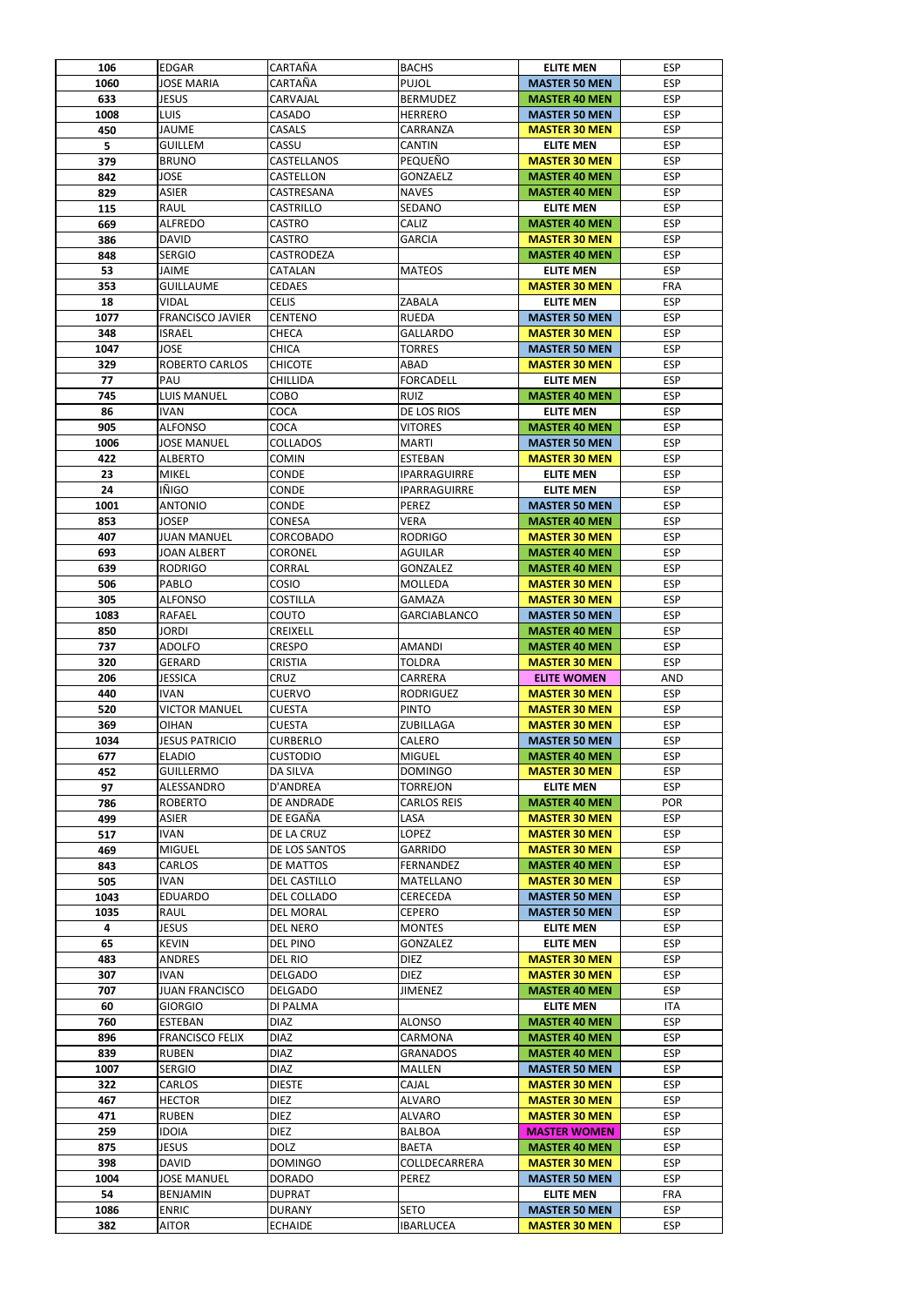| 106        | <b>EDGAR</b>                         | CARTAÑA                            | <b>BACHS</b>                   | <b>ELITE MEN</b>     | <b>ESP</b>               |
|------------|--------------------------------------|------------------------------------|--------------------------------|----------------------|--------------------------|
| 1060       | <b>JOSE MARIA</b>                    | CARTAÑA                            | <b>PUJOL</b>                   | <b>MASTER 50 MEN</b> | <b>ESP</b>               |
| 633        | <b>JESUS</b>                         | CARVAJAL                           | <b>BERMUDEZ</b>                | <b>MASTER 40 MEN</b> | <b>ESP</b>               |
| 1008       | <b>LUIS</b>                          | CASADO                             | <b>HERRERO</b>                 | <b>MASTER 50 MEN</b> | <b>ESP</b>               |
| 450        | <b>JAUME</b>                         | CASALS                             | CARRANZA                       | <b>MASTER 30 MEN</b> | <b>ESP</b>               |
| 5          | <b>GUILLEM</b>                       | CASSU                              | <b>CANTIN</b>                  | <b>ELITE MEN</b>     | <b>ESP</b>               |
| 379        | <b>BRUNO</b>                         | <b>CASTELLANOS</b>                 | PEQUEÑO                        | <b>MASTER 30 MEN</b> | <b>ESP</b>               |
| 842        | <b>JOSE</b>                          | <b>CASTELLON</b>                   | GONZAELZ                       | <b>MASTER 40 MEN</b> | <b>ESP</b>               |
| 829        | <b>ASIER</b>                         | CASTRESANA                         | <b>NAVES</b>                   | <b>MASTER 40 MEN</b> | <b>ESP</b>               |
| 115        | <b>RAUL</b>                          | <b>CASTRILLO</b>                   | <b>SEDANO</b>                  | <b>ELITE MEN</b>     | <b>ESP</b>               |
| 669        | <b>ALFREDO</b>                       | <b>CASTRO</b>                      | CALIZ                          | <b>MASTER 40 MEN</b> | <b>ESP</b>               |
| 386        | <b>DAVID</b>                         | <b>CASTRO</b>                      | <b>GARCIA</b>                  | <b>MASTER 30 MEN</b> | <b>ESP</b>               |
| 848        | <b>SERGIO</b>                        | CASTRODEZA                         |                                | <b>MASTER 40 MEN</b> | <b>ESP</b>               |
| 53         | <b>JAIME</b>                         | CATALAN                            | <b>MATEOS</b>                  | <b>ELITE MEN</b>     | <b>ESP</b>               |
| 353        | <b>GUILLAUME</b>                     | <b>CEDAES</b>                      |                                | <b>MASTER 30 MEN</b> | <b>FRA</b>               |
| 18         | <b>VIDAL</b>                         | <b>CELIS</b>                       | <b>ZABALA</b>                  | <b>ELITE MEN</b>     | <b>ESP</b>               |
| 1077       | <b>FRANCISCO JAVIER</b>              | <b>CENTENO</b>                     | <b>RUEDA</b>                   | <b>MASTER 50 MEN</b> | <b>ESP</b>               |
| 348        | <b>ISRAEL</b>                        | <b>CHECA</b>                       | <b>GALLARDO</b>                | <b>MASTER 30 MEN</b> | <b>ESP</b>               |
| 1047       | <b>JOSE</b>                          | <b>CHICA</b>                       | <b>TORRES</b>                  | <b>MASTER 50 MEN</b> | <b>ESP</b>               |
| 329        | <b>ROBERTO CARLOS</b>                | <b>CHICOTE</b>                     | ABAD                           | <b>MASTER 30 MEN</b> | <b>ESP</b>               |
| 77         | PAU                                  | <b>CHILLIDA</b>                    | <b>FORCADELL</b>               | <b>ELITE MEN</b>     | <b>ESP</b>               |
| 745        | <b>LUIS MANUEL</b>                   | COBO                               | <b>RUIZ</b>                    | <b>MASTER 40 MEN</b> | <b>ESP</b>               |
| 86         | <b>IVAN</b>                          | <b>COCA</b>                        | DE LOS RIOS                    | <b>ELITE MEN</b>     | <b>ESP</b>               |
| 905        | <b>ALFONSO</b>                       | <b>COCA</b>                        | <b>VITORES</b>                 | <b>MASTER 40 MEN</b> | <b>ESP</b>               |
| 1006       | <b>JOSE MANUEL</b>                   | <b>COLLADOS</b>                    | <b>MARTI</b>                   | <b>MASTER 50 MEN</b> | <b>ESP</b>               |
| 422        | <b>ALBERTO</b>                       | <b>COMIN</b>                       | <b>ESTEBAN</b>                 | <b>MASTER 30 MEN</b> | <b>ESP</b>               |
| 23         | <b>MIKEL</b>                         | <b>CONDE</b>                       | <b>IPARRAGUIRRE</b>            | <b>ELITE MEN</b>     | <b>ESP</b>               |
| 24         | <b>IÑIGO</b>                         | <b>CONDE</b>                       | <b>IPARRAGUIRRE</b>            | <b>ELITE MEN</b>     | <b>ESP</b>               |
| 1001       | <b>ANTONIO</b>                       | <b>CONDE</b>                       | <b>PEREZ</b>                   | <b>MASTER 50 MEN</b> | <b>ESP</b>               |
| 853        | <b>JOSEP</b>                         | <b>CONESA</b>                      | <b>VERA</b>                    | <b>MASTER 40 MEN</b> | <b>ESP</b>               |
| 407        | <b>JUAN MANUEL</b>                   | <b>CORCOBADO</b>                   | <b>RODRIGO</b>                 | <b>MASTER 30 MEN</b> | <b>ESP</b>               |
| 693        | <b>JOAN ALBERT</b>                   | <b>CORONEL</b>                     | <b>AGUILAR</b>                 | <b>MASTER 40 MEN</b> | <b>ESP</b>               |
| 639        | <b>RODRIGO</b>                       | CORRAL                             | <b>GONZALEZ</b>                | <b>MASTER 40 MEN</b> | <b>ESP</b>               |
| 506        | PABLO                                | COSIO                              | MOLLEDA                        | <b>MASTER 30 MEN</b> | <b>ESP</b>               |
| 305        | <b>ALFONSO</b>                       | <b>COSTILLA</b>                    | <b>GAMAZA</b>                  | <b>MASTER 30 MEN</b> | <b>ESP</b>               |
| 1083       | <b>RAFAEL</b>                        | COUTO                              | <b>GARCIABLANCO</b>            | <b>MASTER 50 MEN</b> | <b>ESP</b>               |
| 850        | <b>JORDI</b>                         | <b>CREIXELL</b>                    |                                | <b>MASTER 40 MEN</b> | <b>ESP</b>               |
| 737        | <b>ADOLFO</b>                        | <b>CRESPO</b>                      | <b>AMANDI</b>                  | <b>MASTER 40 MEN</b> | <b>ESP</b>               |
| 320        | GERARD                               | <b>CRISTIA</b>                     | <b>TOLDRA</b>                  | <b>MASTER 30 MEN</b> | <b>ESP</b>               |
| 206        | <b>JESSICA</b>                       | <b>CRUZ</b>                        | CARRERA                        | <b>ELITE WOMEN</b>   | <b>AND</b>               |
| 440        | <b>IVAN</b>                          | <b>CUERVO</b>                      | <b>RODRIGUEZ</b>               | <b>MASTER 30 MEN</b> | <b>ESP</b>               |
| 520        | <b>VICTOR MANUEL</b>                 | <b>CUESTA</b>                      | <b>PINTO</b>                   | <b>MASTER 30 MEN</b> | <b>ESP</b>               |
| 369        | <b>OIHAN</b>                         | <b>CUESTA</b>                      | ZUBILLAGA                      | <b>MASTER 30 MEN</b> | <b>ESP</b>               |
| 1034       | <b>JESUS PATRICIO</b>                | <b>CURBERLO</b>                    | CALERO                         | <b>MASTER 50 MEN</b> | <b>ESP</b>               |
| 677        | <b>ELADIO</b>                        | <b>CUSTODIO</b>                    | <b>MIGUEL</b>                  | <b>MASTER 40 MEN</b> | <b>ESP</b>               |
| 452        | <b>GUILLERMO</b>                     | DA SILVA                           | <b>DOMINGO</b>                 | <b>MASTER 30 MEN</b> | <b>ESP</b>               |
| 97         | ALESSANDRO                           | D'ANDREA                           | <b>TORREJON</b>                | <b>ELITE MEN</b>     | <b>ESP</b>               |
| 786        |                                      |                                    |                                |                      | <b>POR</b>               |
|            | <b>ROBERTO</b>                       | DE ANDRADE                         | <b>CARLOS REIS</b>             | <b>MASTER 40 MEN</b> |                          |
| 499        | <b>ASIER</b>                         | DE EGAÑA                           | LASA                           | <b>MASTER 30 MEN</b> | <b>ESP</b><br><b>ESP</b> |
| 517        | <b>IVAN</b>                          | DE LA CRUZ                         | <b>LOPEZ</b>                   | <b>MASTER 30 MEN</b> |                          |
| 469        | <b>MIGUEL</b>                        | DE LOS SANTOS                      | <b>GARRIDO</b>                 | <b>MASTER 30 MEN</b> | <b>ESP</b>               |
| 843        | <b>CARLOS</b>                        | DE MATTOS                          | <b>FERNANDEZ</b>               | <b>MASTER 40 MEN</b> | <b>ESP</b>               |
| 505        | <b>IVAN</b>                          | <b>DEL CASTILLO</b>                | <b>MATELLANO</b>               | <b>MASTER 30 MEN</b> | <b>ESP</b>               |
| 1043       | <b>EDUARDO</b>                       | DEL COLLADO                        | CERECEDA                       | <b>MASTER 50 MEN</b> | <b>ESP</b><br><b>ESP</b> |
| 1035       | <b>RAUL</b>                          | <b>DEL MORAL</b>                   | <b>CEPERO</b>                  | <b>MASTER 50 MEN</b> |                          |
| 4          | <b>JESUS</b>                         | <b>DEL NERO</b><br><b>DEL PINO</b> | <b>MONTES</b>                  | <b>ELITE MEN</b>     | <b>ESP</b>               |
| 65         | <b>KEVIN</b>                         |                                    | <b>GONZALEZ</b><br><b>DIEZ</b> | <b>ELITE MEN</b>     | <b>ESP</b><br><b>ESP</b> |
| 483        | <b>ANDRES</b>                        | DEL RIO                            |                                | <b>MASTER 30 MEN</b> |                          |
| 307<br>707 | <b>IVAN</b><br><b>JUAN FRANCISCO</b> | <b>DELGADO</b><br><b>DELGADO</b>   | <b>DIEZ</b>                    | <b>MASTER 30 MEN</b> | <b>ESP</b>               |
| 60         |                                      |                                    | <b>JIMENEZ</b>                 | <b>MASTER 40 MEN</b> | <b>ESP</b>               |
|            | <b>GIORGIO</b>                       | <b>DI PALMA</b>                    | <b>ALONSO</b>                  | <b>ELITE MEN</b>     | <b>ITA</b>               |
| 760        | <b>ESTEBAN</b>                       | <b>DIAZ</b>                        |                                | <b>MASTER 40 MEN</b> | <b>ESP</b>               |
| 896        | <b>FRANCISCO FELIX</b>               | <b>DIAZ</b>                        | CARMONA                        | <b>MASTER 40 MEN</b> | <b>ESP</b>               |
| 839        | <b>RUBEN</b>                         | <b>DIAZ</b>                        | <b>GRANADOS</b>                | <b>MASTER 40 MEN</b> | <b>ESP</b>               |
| 1007       | <b>SERGIO</b>                        | <b>DIAZ</b>                        | <b>MALLEN</b>                  | <b>MASTER 50 MEN</b> | <b>ESP</b>               |
| 322        | <b>CARLOS</b>                        | <b>DIESTE</b>                      | CAJAL                          | <b>MASTER 30 MEN</b> | <b>ESP</b>               |
| 467        | <b>HECTOR</b>                        | <b>DIEZ</b>                        | <b>ALVARO</b>                  | <b>MASTER 30 MEN</b> | <b>ESP</b>               |
| 471        | <b>RUBEN</b>                         | <b>DIEZ</b>                        | <b>ALVARO</b>                  | <b>MASTER 30 MEN</b> | <b>ESP</b>               |
| 259        | <b>IDOIA</b>                         | <b>DIEZ</b>                        | <b>BALBOA</b>                  | <b>MASTER WOMEN</b>  | <b>ESP</b>               |
| 875        | <b>JESUS</b>                         | <b>DOLZ</b>                        | <b>BAETA</b>                   | <b>MASTER 40 MEN</b> | <b>ESP</b>               |
| 398        | <b>DAVID</b>                         | <b>DOMINGO</b>                     | COLLDECARRERA                  | <b>MASTER 30 MEN</b> | <b>ESP</b>               |
| 1004       | <b>JOSE MANUEL</b>                   | <b>DORADO</b>                      | PEREZ                          | <b>MASTER 50 MEN</b> | <b>ESP</b>               |
| 54         | <b>BENJAMIN</b>                      | <b>DUPRAT</b>                      |                                | <b>ELITE MEN</b>     | <b>FRA</b>               |
| 1086       | <b>ENRIC</b>                         | <b>DURANY</b>                      | <b>SETO</b>                    | <b>MASTER 50 MEN</b> | <b>ESP</b>               |
| 382        | AITOR                                | <b>ECHAIDE</b>                     | <b>IBARLUCEA</b>               | <b>MASTER 30 MEN</b> | <b>ESP</b>               |
|            |                                      |                                    |                                |                      |                          |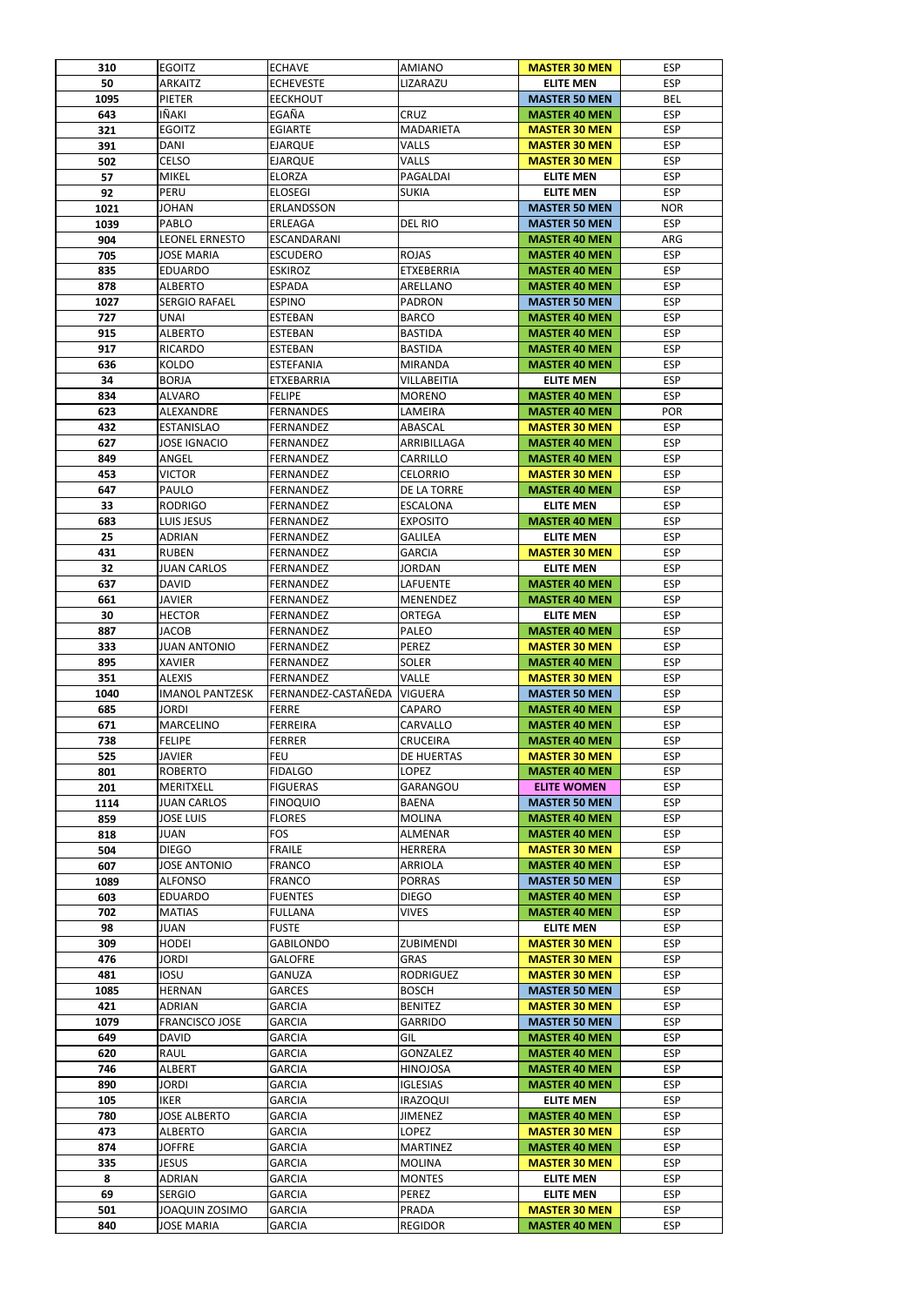| <b>ESP</b><br>50<br><b>ARKAITZ</b><br><b>ECHEVESTE</b><br>LIZARAZU<br><b>ELITE MEN</b><br>1095<br><b>PIETER</b><br><b>EECKHOUT</b><br><b>MASTER 50 MEN</b><br><b>BEL</b><br>IÑAKI<br>EGAÑA<br><b>CRUZ</b><br><b>ESP</b><br>643<br><b>MASTER 40 MEN</b><br>321<br><b>EGOITZ</b><br><b>EGIARTE</b><br><b>MADARIETA</b><br><b>MASTER 30 MEN</b><br><b>ESP</b><br>391<br><b>ESP</b><br><b>DANI</b><br>VALLS<br><b>MASTER 30 MEN</b><br><b>EJARQUE</b><br><b>CELSO</b><br><b>ESP</b><br>502<br>VALLS<br><b>MASTER 30 MEN</b><br><b>EJARQUE</b><br><b>ESP</b><br>57<br><b>MIKEL</b><br><b>ELORZA</b><br>PAGALDAI<br><b>ELITE MEN</b><br>PERU<br><b>ESP</b><br><b>ELOSEGI</b><br><b>ELITE MEN</b><br>92<br><b>SUKIA</b><br><b>JOHAN</b><br><b>ERLANDSSON</b><br><b>MASTER 50 MEN</b><br><b>NOR</b><br>1021<br><b>ESP</b><br>1039<br>PABLO<br>ERLEAGA<br>DEL RIO<br><b>MASTER 50 MEN</b><br>904<br><b>LEONEL ERNESTO</b><br>ESCANDARANI<br>ARG<br><b>MASTER 40 MEN</b><br><b>ROJAS</b><br><b>ESP</b><br>705<br><b>JOSE MARIA</b><br><b>ESCUDERO</b><br><b>MASTER 40 MEN</b><br><b>ETXEBERRIA</b><br><b>ESP</b><br>835<br><b>EDUARDO</b><br><b>ESKIROZ</b><br><b>MASTER 40 MEN</b><br>878<br><b>ESP</b><br><b>ALBERTO</b><br><b>ESPADA</b><br>ARELLANO<br><b>MASTER 40 MEN</b><br><b>ESP</b><br>1027<br><b>SERGIO RAFAEL</b><br><b>ESPINO</b><br>PADRON<br><b>MASTER 50 MEN</b><br><b>ESP</b><br>727<br><b>UNAI</b><br><b>BARCO</b><br><b>ESTEBAN</b><br><b>MASTER 40 MEN</b><br>915<br><b>ESP</b><br><b>ALBERTO</b><br><b>ESTEBAN</b><br><b>BASTIDA</b><br><b>MASTER 40 MEN</b><br>917<br><b>ESP</b><br><b>RICARDO</b><br><b>ESTEBAN</b><br><b>BASTIDA</b><br><b>MASTER 40 MEN</b><br><b>KOLDO</b><br><b>ESP</b><br>636<br><b>ESTEFANIA</b><br><b>MIRANDA</b><br><b>MASTER 40 MEN</b><br>34<br><b>BORJA</b><br><b>ESP</b><br>ETXEBARRIA<br><b>VILLABEITIA</b><br><b>ELITE MEN</b><br>834<br><b>ESP</b><br><b>ALVARO</b><br><b>FELIPE</b><br><b>MORENO</b><br><b>MASTER 40 MEN</b><br>623<br><b>POR</b><br>ALEXANDRE<br><b>FERNANDES</b><br>LAMEIRA<br><b>MASTER 40 MEN</b><br>432<br><b>ESP</b><br><b>FERNANDEZ</b><br>ABASCAL<br><b>MASTER 30 MEN</b><br><b>ESTANISLAO</b><br>627<br><b>JOSE IGNACIO</b><br><b>MASTER 40 MEN</b><br><b>ESP</b><br><b>FERNANDEZ</b><br>ARRIBILLAGA<br>ANGEL<br><b>ESP</b><br>849<br><b>FERNANDEZ</b><br>CARRILLO<br><b>MASTER 40 MEN</b><br>453<br><b>ESP</b><br><b>VICTOR</b><br><b>CELORRIO</b><br><b>MASTER 30 MEN</b><br><b>FERNANDEZ</b><br><b>ESP</b><br>647<br>PAULO<br>DE LA TORRE<br><b>FERNANDEZ</b><br><b>MASTER 40 MEN</b><br><b>ESP</b><br>33<br><b>RODRIGO</b><br><b>ESCALONA</b><br><b>FERNANDEZ</b><br><b>ELITE MEN</b><br><b>ESP</b><br>LUIS JESUS<br><b>EXPOSITO</b><br>683<br><b>FERNANDEZ</b><br><b>MASTER 40 MEN</b><br><b>ESP</b><br>25<br><b>ADRIAN</b><br><b>FERNANDEZ</b><br><b>GALILEA</b><br><b>ELITE MEN</b><br><b>RUBEN</b><br>FERNANDEZ<br><b>GARCIA</b><br><b>ESP</b><br>431<br><b>MASTER 30 MEN</b><br><b>ESP</b><br>32<br><b>JUAN CARLOS</b><br><b>FERNANDEZ</b><br><b>JORDAN</b><br><b>ELITE MEN</b><br>637<br><b>DAVID</b><br><b>ESP</b><br><b>FERNANDEZ</b><br>LAFUENTE<br><b>MASTER 40 MEN</b><br><b>ESP</b><br>661<br><b>JAVIER</b><br><b>FERNANDEZ</b><br><b>MENENDEZ</b><br><b>MASTER 40 MEN</b><br><b>ORTEGA</b><br><b>ESP</b><br>30<br><b>HECTOR</b><br><b>FERNANDEZ</b><br><b>ELITE MEN</b><br><b>ESP</b><br>887<br>JACOB<br>PALEO<br><b>MASTER 40 MEN</b><br><b>FERNANDEZ</b><br><b>PEREZ</b><br><b>ESP</b><br>333<br><b>JUAN ANTONIO</b><br><b>FERNANDEZ</b><br><b>MASTER 30 MEN</b><br>895<br><b>XAVIER</b><br><b>SOLER</b><br><b>ESP</b><br><b>FERNANDEZ</b><br><b>MASTER 40 MEN</b><br>351<br>VALLE<br><b>ESP</b><br><b>ALEXIS</b><br><b>FERNANDEZ</b><br><b>MASTER 30 MEN</b><br>FERNANDEZ-CASTAÑEDA<br><b>ESP</b><br>1040<br><b>IMANOL PANTZESK</b><br><b>VIGUERA</b><br><b>MASTER 50 MEN</b><br>685<br><b>JORDI</b><br><b>FERRE</b><br><b>ESP</b><br>CAPARO<br><b>MASTER 40 MEN</b><br>671<br><b>ESP</b><br><b>MARCELINO</b><br><b>FERREIRA</b><br>CARVALLO<br><b>MASTER 40 MEN</b><br>738<br><b>ESP</b><br><b>FELIPE</b><br><b>FERRER</b><br><b>CRUCEIRA</b><br><b>MASTER 40 MEN</b><br>525<br>JAVIER<br><b>FEU</b><br><b>DE HUERTAS</b><br><b>MASTER 30 MEN</b><br><b>ESP</b><br><b>ESP</b><br>801<br><b>ROBERTO</b><br><b>FIDALGO</b><br>LOPEZ<br><b>MASTER 40 MEN</b><br><b>ESP</b><br>201<br><b>GARANGOU</b><br><b>MERITXELL</b><br><b>FIGUERAS</b><br><b>ELITE WOMEN</b><br>1114<br><b>ESP</b><br><b>JUAN CARLOS</b><br><b>FINOQUIO</b><br><b>BAENA</b><br><b>MASTER 50 MEN</b><br>859<br><b>JOSE LUIS</b><br><b>FLORES</b><br><b>MOLINA</b><br><b>MASTER 40 MEN</b><br><b>ESP</b><br><b>FOS</b><br><b>JUAN</b><br><b>ALMENAR</b><br><b>MASTER 40 MEN</b><br><b>ESP</b><br>818<br><b>FRAILE</b><br><b>ESP</b><br>504<br><b>DIEGO</b><br><b>HERRERA</b><br><b>MASTER 30 MEN</b><br><b>ESP</b><br>607<br><b>JOSE ANTONIO</b><br><b>FRANCO</b><br><b>ARRIOLA</b><br><b>MASTER 40 MEN</b><br><b>ESP</b><br>1089<br><b>ALFONSO</b><br><b>FRANCO</b><br><b>PORRAS</b><br><b>MASTER 50 MEN</b><br><b>ESP</b><br><b>EDUARDO</b><br><b>FUENTES</b><br><b>DIEGO</b><br>603<br><b>MASTER 40 MEN</b><br><b>MATIAS</b><br><b>FULLANA</b><br><b>VIVES</b><br><b>ESP</b><br>702<br><b>MASTER 40 MEN</b><br>98<br>JUAN<br><b>FUSTE</b><br><b>ELITE MEN</b><br><b>ESP</b><br>309<br><b>HODEI</b><br><b>GABILONDO</b><br><b>ZUBIMENDI</b><br><b>MASTER 30 MEN</b><br><b>ESP</b><br><b>JORDI</b><br><b>GRAS</b><br>476<br><b>GALOFRE</b><br><b>MASTER 30 MEN</b><br><b>ESP</b><br>481<br><b>IOSU</b><br><b>ESP</b><br>GANUZA<br><b>RODRIGUEZ</b><br><b>MASTER 30 MEN</b><br>1085<br><b>HERNAN</b><br><b>BOSCH</b><br><b>ESP</b><br><b>GARCES</b><br><b>MASTER 50 MEN</b><br>421<br><b>GARCIA</b><br><b>ADRIAN</b><br><b>BENITEZ</b><br><b>MASTER 30 MEN</b><br><b>ESP</b><br><b>ESP</b><br>1079<br><b>FRANCISCO JOSE</b><br><b>GARCIA</b><br><b>MASTER 50 MEN</b><br><b>GARRIDO</b><br><b>DAVID</b><br>GIL<br><b>ESP</b><br>649<br><b>GARCIA</b><br><b>MASTER 40 MEN</b><br><b>ESP</b><br>620<br>RAUL<br><b>GARCIA</b><br><b>GONZALEZ</b><br><b>MASTER 40 MEN</b><br><b>ESP</b><br>746<br><b>ALBERT</b><br><b>GARCIA</b><br><b>HINOJOSA</b><br><b>MASTER 40 MEN</b><br>890<br><b>ESP</b><br><b>JORDI</b><br><b>GARCIA</b><br><b>IGLESIAS</b><br><b>MASTER 40 MEN</b><br><b>ESP</b><br>105<br><b>IKER</b><br><b>GARCIA</b><br><b>IRAZOQUI</b><br><b>ELITE MEN</b><br>780<br><b>JOSE ALBERTO</b><br><b>ESP</b><br><b>GARCIA</b><br><b>JIMENEZ</b><br><b>MASTER 40 MEN</b><br>473<br><b>ALBERTO</b><br><b>GARCIA</b><br>LOPEZ<br><b>ESP</b><br><b>MASTER 30 MEN</b><br><b>JOFFRE</b><br><b>GARCIA</b><br><b>MARTINEZ</b><br><b>MASTER 40 MEN</b><br><b>ESP</b><br>874<br><b>JESUS</b><br><b>GARCIA</b><br><b>ESP</b><br>335<br><b>MOLINA</b><br><b>MASTER 30 MEN</b><br><b>ESP</b><br>8<br><b>ADRIAN</b><br><b>GARCIA</b><br><b>MONTES</b><br><b>ELITE MEN</b><br><b>ESP</b><br>69<br><b>SERGIO</b><br><b>GARCIA</b><br><b>PEREZ</b><br><b>ELITE MEN</b><br>JOAQUIN ZOSIMO<br><b>GARCIA</b><br>PRADA<br><b>MASTER 30 MEN</b><br><b>ESP</b><br>501<br><b>GARCIA</b><br><b>REGIDOR</b><br><b>ESP</b><br>840<br>JOSE MARIA<br><b>MASTER 40 MEN</b> | 310 | <b>EGOITZ</b> | <b>ECHAVE</b> | <b>AMIANO</b> | <b>MASTER 30 MEN</b> | <b>ESP</b> |
|------------------------------------------------------------------------------------------------------------------------------------------------------------------------------------------------------------------------------------------------------------------------------------------------------------------------------------------------------------------------------------------------------------------------------------------------------------------------------------------------------------------------------------------------------------------------------------------------------------------------------------------------------------------------------------------------------------------------------------------------------------------------------------------------------------------------------------------------------------------------------------------------------------------------------------------------------------------------------------------------------------------------------------------------------------------------------------------------------------------------------------------------------------------------------------------------------------------------------------------------------------------------------------------------------------------------------------------------------------------------------------------------------------------------------------------------------------------------------------------------------------------------------------------------------------------------------------------------------------------------------------------------------------------------------------------------------------------------------------------------------------------------------------------------------------------------------------------------------------------------------------------------------------------------------------------------------------------------------------------------------------------------------------------------------------------------------------------------------------------------------------------------------------------------------------------------------------------------------------------------------------------------------------------------------------------------------------------------------------------------------------------------------------------------------------------------------------------------------------------------------------------------------------------------------------------------------------------------------------------------------------------------------------------------------------------------------------------------------------------------------------------------------------------------------------------------------------------------------------------------------------------------------------------------------------------------------------------------------------------------------------------------------------------------------------------------------------------------------------------------------------------------------------------------------------------------------------------------------------------------------------------------------------------------------------------------------------------------------------------------------------------------------------------------------------------------------------------------------------------------------------------------------------------------------------------------------------------------------------------------------------------------------------------------------------------------------------------------------------------------------------------------------------------------------------------------------------------------------------------------------------------------------------------------------------------------------------------------------------------------------------------------------------------------------------------------------------------------------------------------------------------------------------------------------------------------------------------------------------------------------------------------------------------------------------------------------------------------------------------------------------------------------------------------------------------------------------------------------------------------------------------------------------------------------------------------------------------------------------------------------------------------------------------------------------------------------------------------------------------------------------------------------------------------------------------------------------------------------------------------------------------------------------------------------------------------------------------------------------------------------------------------------------------------------------------------------------------------------------------------------------------------------------------------------------------------------------------------------------------------------------------------------------------------------------------------------------------------------------------------------------------------------------------------------------------------------------------------------------------------------------------------------------------------------------------------------------------------------------------------------------------------------------------------------------------------------------------------------------------------------------------------------------------------------------------------------------------------------------------------------------------------------------------------------------------------------------------------------------------------------------------------------------------------------------------------------------------------------------------------------------------------------------------------------------------------------------------------------------------------------------------------------------------------------------------------------------------------------------------------------------------------------------------------------------------------------------------------------------------------------------------------------------------------------------------------------------------------------------------------------------------------------------------------------------------------------------------------------------------------------------------------------------------------------------------------------------------------------------------------------------------------------------------------------------------------------------------------------------------------------------------------------------------------------------------------------------------------------------------------------------------------------------------------------------------------------------|-----|---------------|---------------|---------------|----------------------|------------|
|                                                                                                                                                                                                                                                                                                                                                                                                                                                                                                                                                                                                                                                                                                                                                                                                                                                                                                                                                                                                                                                                                                                                                                                                                                                                                                                                                                                                                                                                                                                                                                                                                                                                                                                                                                                                                                                                                                                                                                                                                                                                                                                                                                                                                                                                                                                                                                                                                                                                                                                                                                                                                                                                                                                                                                                                                                                                                                                                                                                                                                                                                                                                                                                                                                                                                                                                                                                                                                                                                                                                                                                                                                                                                                                                                                                                                                                                                                                                                                                                                                                                                                                                                                                                                                                                                                                                                                                                                                                                                                                                                                                                                                                                                                                                                                                                                                                                                                                                                                                                                                                                                                                                                                                                                                                                                                                                                                                                                                                                                                                                                                                                                                                                                                                                                                                                                                                                                                                                                                                                                                                                                                                                                                                                                                                                                                                                                                                                                                                                                                                                                                                                                                                                                                                                                                                                                                                                                                                                                                                                                                                                                                                                                                                                            |     |               |               |               |                      |            |
|                                                                                                                                                                                                                                                                                                                                                                                                                                                                                                                                                                                                                                                                                                                                                                                                                                                                                                                                                                                                                                                                                                                                                                                                                                                                                                                                                                                                                                                                                                                                                                                                                                                                                                                                                                                                                                                                                                                                                                                                                                                                                                                                                                                                                                                                                                                                                                                                                                                                                                                                                                                                                                                                                                                                                                                                                                                                                                                                                                                                                                                                                                                                                                                                                                                                                                                                                                                                                                                                                                                                                                                                                                                                                                                                                                                                                                                                                                                                                                                                                                                                                                                                                                                                                                                                                                                                                                                                                                                                                                                                                                                                                                                                                                                                                                                                                                                                                                                                                                                                                                                                                                                                                                                                                                                                                                                                                                                                                                                                                                                                                                                                                                                                                                                                                                                                                                                                                                                                                                                                                                                                                                                                                                                                                                                                                                                                                                                                                                                                                                                                                                                                                                                                                                                                                                                                                                                                                                                                                                                                                                                                                                                                                                                                            |     |               |               |               |                      |            |
|                                                                                                                                                                                                                                                                                                                                                                                                                                                                                                                                                                                                                                                                                                                                                                                                                                                                                                                                                                                                                                                                                                                                                                                                                                                                                                                                                                                                                                                                                                                                                                                                                                                                                                                                                                                                                                                                                                                                                                                                                                                                                                                                                                                                                                                                                                                                                                                                                                                                                                                                                                                                                                                                                                                                                                                                                                                                                                                                                                                                                                                                                                                                                                                                                                                                                                                                                                                                                                                                                                                                                                                                                                                                                                                                                                                                                                                                                                                                                                                                                                                                                                                                                                                                                                                                                                                                                                                                                                                                                                                                                                                                                                                                                                                                                                                                                                                                                                                                                                                                                                                                                                                                                                                                                                                                                                                                                                                                                                                                                                                                                                                                                                                                                                                                                                                                                                                                                                                                                                                                                                                                                                                                                                                                                                                                                                                                                                                                                                                                                                                                                                                                                                                                                                                                                                                                                                                                                                                                                                                                                                                                                                                                                                                                            |     |               |               |               |                      |            |
|                                                                                                                                                                                                                                                                                                                                                                                                                                                                                                                                                                                                                                                                                                                                                                                                                                                                                                                                                                                                                                                                                                                                                                                                                                                                                                                                                                                                                                                                                                                                                                                                                                                                                                                                                                                                                                                                                                                                                                                                                                                                                                                                                                                                                                                                                                                                                                                                                                                                                                                                                                                                                                                                                                                                                                                                                                                                                                                                                                                                                                                                                                                                                                                                                                                                                                                                                                                                                                                                                                                                                                                                                                                                                                                                                                                                                                                                                                                                                                                                                                                                                                                                                                                                                                                                                                                                                                                                                                                                                                                                                                                                                                                                                                                                                                                                                                                                                                                                                                                                                                                                                                                                                                                                                                                                                                                                                                                                                                                                                                                                                                                                                                                                                                                                                                                                                                                                                                                                                                                                                                                                                                                                                                                                                                                                                                                                                                                                                                                                                                                                                                                                                                                                                                                                                                                                                                                                                                                                                                                                                                                                                                                                                                                                            |     |               |               |               |                      |            |
|                                                                                                                                                                                                                                                                                                                                                                                                                                                                                                                                                                                                                                                                                                                                                                                                                                                                                                                                                                                                                                                                                                                                                                                                                                                                                                                                                                                                                                                                                                                                                                                                                                                                                                                                                                                                                                                                                                                                                                                                                                                                                                                                                                                                                                                                                                                                                                                                                                                                                                                                                                                                                                                                                                                                                                                                                                                                                                                                                                                                                                                                                                                                                                                                                                                                                                                                                                                                                                                                                                                                                                                                                                                                                                                                                                                                                                                                                                                                                                                                                                                                                                                                                                                                                                                                                                                                                                                                                                                                                                                                                                                                                                                                                                                                                                                                                                                                                                                                                                                                                                                                                                                                                                                                                                                                                                                                                                                                                                                                                                                                                                                                                                                                                                                                                                                                                                                                                                                                                                                                                                                                                                                                                                                                                                                                                                                                                                                                                                                                                                                                                                                                                                                                                                                                                                                                                                                                                                                                                                                                                                                                                                                                                                                                            |     |               |               |               |                      |            |
|                                                                                                                                                                                                                                                                                                                                                                                                                                                                                                                                                                                                                                                                                                                                                                                                                                                                                                                                                                                                                                                                                                                                                                                                                                                                                                                                                                                                                                                                                                                                                                                                                                                                                                                                                                                                                                                                                                                                                                                                                                                                                                                                                                                                                                                                                                                                                                                                                                                                                                                                                                                                                                                                                                                                                                                                                                                                                                                                                                                                                                                                                                                                                                                                                                                                                                                                                                                                                                                                                                                                                                                                                                                                                                                                                                                                                                                                                                                                                                                                                                                                                                                                                                                                                                                                                                                                                                                                                                                                                                                                                                                                                                                                                                                                                                                                                                                                                                                                                                                                                                                                                                                                                                                                                                                                                                                                                                                                                                                                                                                                                                                                                                                                                                                                                                                                                                                                                                                                                                                                                                                                                                                                                                                                                                                                                                                                                                                                                                                                                                                                                                                                                                                                                                                                                                                                                                                                                                                                                                                                                                                                                                                                                                                                            |     |               |               |               |                      |            |
|                                                                                                                                                                                                                                                                                                                                                                                                                                                                                                                                                                                                                                                                                                                                                                                                                                                                                                                                                                                                                                                                                                                                                                                                                                                                                                                                                                                                                                                                                                                                                                                                                                                                                                                                                                                                                                                                                                                                                                                                                                                                                                                                                                                                                                                                                                                                                                                                                                                                                                                                                                                                                                                                                                                                                                                                                                                                                                                                                                                                                                                                                                                                                                                                                                                                                                                                                                                                                                                                                                                                                                                                                                                                                                                                                                                                                                                                                                                                                                                                                                                                                                                                                                                                                                                                                                                                                                                                                                                                                                                                                                                                                                                                                                                                                                                                                                                                                                                                                                                                                                                                                                                                                                                                                                                                                                                                                                                                                                                                                                                                                                                                                                                                                                                                                                                                                                                                                                                                                                                                                                                                                                                                                                                                                                                                                                                                                                                                                                                                                                                                                                                                                                                                                                                                                                                                                                                                                                                                                                                                                                                                                                                                                                                                            |     |               |               |               |                      |            |
|                                                                                                                                                                                                                                                                                                                                                                                                                                                                                                                                                                                                                                                                                                                                                                                                                                                                                                                                                                                                                                                                                                                                                                                                                                                                                                                                                                                                                                                                                                                                                                                                                                                                                                                                                                                                                                                                                                                                                                                                                                                                                                                                                                                                                                                                                                                                                                                                                                                                                                                                                                                                                                                                                                                                                                                                                                                                                                                                                                                                                                                                                                                                                                                                                                                                                                                                                                                                                                                                                                                                                                                                                                                                                                                                                                                                                                                                                                                                                                                                                                                                                                                                                                                                                                                                                                                                                                                                                                                                                                                                                                                                                                                                                                                                                                                                                                                                                                                                                                                                                                                                                                                                                                                                                                                                                                                                                                                                                                                                                                                                                                                                                                                                                                                                                                                                                                                                                                                                                                                                                                                                                                                                                                                                                                                                                                                                                                                                                                                                                                                                                                                                                                                                                                                                                                                                                                                                                                                                                                                                                                                                                                                                                                                                            |     |               |               |               |                      |            |
|                                                                                                                                                                                                                                                                                                                                                                                                                                                                                                                                                                                                                                                                                                                                                                                                                                                                                                                                                                                                                                                                                                                                                                                                                                                                                                                                                                                                                                                                                                                                                                                                                                                                                                                                                                                                                                                                                                                                                                                                                                                                                                                                                                                                                                                                                                                                                                                                                                                                                                                                                                                                                                                                                                                                                                                                                                                                                                                                                                                                                                                                                                                                                                                                                                                                                                                                                                                                                                                                                                                                                                                                                                                                                                                                                                                                                                                                                                                                                                                                                                                                                                                                                                                                                                                                                                                                                                                                                                                                                                                                                                                                                                                                                                                                                                                                                                                                                                                                                                                                                                                                                                                                                                                                                                                                                                                                                                                                                                                                                                                                                                                                                                                                                                                                                                                                                                                                                                                                                                                                                                                                                                                                                                                                                                                                                                                                                                                                                                                                                                                                                                                                                                                                                                                                                                                                                                                                                                                                                                                                                                                                                                                                                                                                            |     |               |               |               |                      |            |
|                                                                                                                                                                                                                                                                                                                                                                                                                                                                                                                                                                                                                                                                                                                                                                                                                                                                                                                                                                                                                                                                                                                                                                                                                                                                                                                                                                                                                                                                                                                                                                                                                                                                                                                                                                                                                                                                                                                                                                                                                                                                                                                                                                                                                                                                                                                                                                                                                                                                                                                                                                                                                                                                                                                                                                                                                                                                                                                                                                                                                                                                                                                                                                                                                                                                                                                                                                                                                                                                                                                                                                                                                                                                                                                                                                                                                                                                                                                                                                                                                                                                                                                                                                                                                                                                                                                                                                                                                                                                                                                                                                                                                                                                                                                                                                                                                                                                                                                                                                                                                                                                                                                                                                                                                                                                                                                                                                                                                                                                                                                                                                                                                                                                                                                                                                                                                                                                                                                                                                                                                                                                                                                                                                                                                                                                                                                                                                                                                                                                                                                                                                                                                                                                                                                                                                                                                                                                                                                                                                                                                                                                                                                                                                                                            |     |               |               |               |                      |            |
|                                                                                                                                                                                                                                                                                                                                                                                                                                                                                                                                                                                                                                                                                                                                                                                                                                                                                                                                                                                                                                                                                                                                                                                                                                                                                                                                                                                                                                                                                                                                                                                                                                                                                                                                                                                                                                                                                                                                                                                                                                                                                                                                                                                                                                                                                                                                                                                                                                                                                                                                                                                                                                                                                                                                                                                                                                                                                                                                                                                                                                                                                                                                                                                                                                                                                                                                                                                                                                                                                                                                                                                                                                                                                                                                                                                                                                                                                                                                                                                                                                                                                                                                                                                                                                                                                                                                                                                                                                                                                                                                                                                                                                                                                                                                                                                                                                                                                                                                                                                                                                                                                                                                                                                                                                                                                                                                                                                                                                                                                                                                                                                                                                                                                                                                                                                                                                                                                                                                                                                                                                                                                                                                                                                                                                                                                                                                                                                                                                                                                                                                                                                                                                                                                                                                                                                                                                                                                                                                                                                                                                                                                                                                                                                                            |     |               |               |               |                      |            |
|                                                                                                                                                                                                                                                                                                                                                                                                                                                                                                                                                                                                                                                                                                                                                                                                                                                                                                                                                                                                                                                                                                                                                                                                                                                                                                                                                                                                                                                                                                                                                                                                                                                                                                                                                                                                                                                                                                                                                                                                                                                                                                                                                                                                                                                                                                                                                                                                                                                                                                                                                                                                                                                                                                                                                                                                                                                                                                                                                                                                                                                                                                                                                                                                                                                                                                                                                                                                                                                                                                                                                                                                                                                                                                                                                                                                                                                                                                                                                                                                                                                                                                                                                                                                                                                                                                                                                                                                                                                                                                                                                                                                                                                                                                                                                                                                                                                                                                                                                                                                                                                                                                                                                                                                                                                                                                                                                                                                                                                                                                                                                                                                                                                                                                                                                                                                                                                                                                                                                                                                                                                                                                                                                                                                                                                                                                                                                                                                                                                                                                                                                                                                                                                                                                                                                                                                                                                                                                                                                                                                                                                                                                                                                                                                            |     |               |               |               |                      |            |
|                                                                                                                                                                                                                                                                                                                                                                                                                                                                                                                                                                                                                                                                                                                                                                                                                                                                                                                                                                                                                                                                                                                                                                                                                                                                                                                                                                                                                                                                                                                                                                                                                                                                                                                                                                                                                                                                                                                                                                                                                                                                                                                                                                                                                                                                                                                                                                                                                                                                                                                                                                                                                                                                                                                                                                                                                                                                                                                                                                                                                                                                                                                                                                                                                                                                                                                                                                                                                                                                                                                                                                                                                                                                                                                                                                                                                                                                                                                                                                                                                                                                                                                                                                                                                                                                                                                                                                                                                                                                                                                                                                                                                                                                                                                                                                                                                                                                                                                                                                                                                                                                                                                                                                                                                                                                                                                                                                                                                                                                                                                                                                                                                                                                                                                                                                                                                                                                                                                                                                                                                                                                                                                                                                                                                                                                                                                                                                                                                                                                                                                                                                                                                                                                                                                                                                                                                                                                                                                                                                                                                                                                                                                                                                                                            |     |               |               |               |                      |            |
|                                                                                                                                                                                                                                                                                                                                                                                                                                                                                                                                                                                                                                                                                                                                                                                                                                                                                                                                                                                                                                                                                                                                                                                                                                                                                                                                                                                                                                                                                                                                                                                                                                                                                                                                                                                                                                                                                                                                                                                                                                                                                                                                                                                                                                                                                                                                                                                                                                                                                                                                                                                                                                                                                                                                                                                                                                                                                                                                                                                                                                                                                                                                                                                                                                                                                                                                                                                                                                                                                                                                                                                                                                                                                                                                                                                                                                                                                                                                                                                                                                                                                                                                                                                                                                                                                                                                                                                                                                                                                                                                                                                                                                                                                                                                                                                                                                                                                                                                                                                                                                                                                                                                                                                                                                                                                                                                                                                                                                                                                                                                                                                                                                                                                                                                                                                                                                                                                                                                                                                                                                                                                                                                                                                                                                                                                                                                                                                                                                                                                                                                                                                                                                                                                                                                                                                                                                                                                                                                                                                                                                                                                                                                                                                                            |     |               |               |               |                      |            |
|                                                                                                                                                                                                                                                                                                                                                                                                                                                                                                                                                                                                                                                                                                                                                                                                                                                                                                                                                                                                                                                                                                                                                                                                                                                                                                                                                                                                                                                                                                                                                                                                                                                                                                                                                                                                                                                                                                                                                                                                                                                                                                                                                                                                                                                                                                                                                                                                                                                                                                                                                                                                                                                                                                                                                                                                                                                                                                                                                                                                                                                                                                                                                                                                                                                                                                                                                                                                                                                                                                                                                                                                                                                                                                                                                                                                                                                                                                                                                                                                                                                                                                                                                                                                                                                                                                                                                                                                                                                                                                                                                                                                                                                                                                                                                                                                                                                                                                                                                                                                                                                                                                                                                                                                                                                                                                                                                                                                                                                                                                                                                                                                                                                                                                                                                                                                                                                                                                                                                                                                                                                                                                                                                                                                                                                                                                                                                                                                                                                                                                                                                                                                                                                                                                                                                                                                                                                                                                                                                                                                                                                                                                                                                                                                            |     |               |               |               |                      |            |
|                                                                                                                                                                                                                                                                                                                                                                                                                                                                                                                                                                                                                                                                                                                                                                                                                                                                                                                                                                                                                                                                                                                                                                                                                                                                                                                                                                                                                                                                                                                                                                                                                                                                                                                                                                                                                                                                                                                                                                                                                                                                                                                                                                                                                                                                                                                                                                                                                                                                                                                                                                                                                                                                                                                                                                                                                                                                                                                                                                                                                                                                                                                                                                                                                                                                                                                                                                                                                                                                                                                                                                                                                                                                                                                                                                                                                                                                                                                                                                                                                                                                                                                                                                                                                                                                                                                                                                                                                                                                                                                                                                                                                                                                                                                                                                                                                                                                                                                                                                                                                                                                                                                                                                                                                                                                                                                                                                                                                                                                                                                                                                                                                                                                                                                                                                                                                                                                                                                                                                                                                                                                                                                                                                                                                                                                                                                                                                                                                                                                                                                                                                                                                                                                                                                                                                                                                                                                                                                                                                                                                                                                                                                                                                                                            |     |               |               |               |                      |            |
|                                                                                                                                                                                                                                                                                                                                                                                                                                                                                                                                                                                                                                                                                                                                                                                                                                                                                                                                                                                                                                                                                                                                                                                                                                                                                                                                                                                                                                                                                                                                                                                                                                                                                                                                                                                                                                                                                                                                                                                                                                                                                                                                                                                                                                                                                                                                                                                                                                                                                                                                                                                                                                                                                                                                                                                                                                                                                                                                                                                                                                                                                                                                                                                                                                                                                                                                                                                                                                                                                                                                                                                                                                                                                                                                                                                                                                                                                                                                                                                                                                                                                                                                                                                                                                                                                                                                                                                                                                                                                                                                                                                                                                                                                                                                                                                                                                                                                                                                                                                                                                                                                                                                                                                                                                                                                                                                                                                                                                                                                                                                                                                                                                                                                                                                                                                                                                                                                                                                                                                                                                                                                                                                                                                                                                                                                                                                                                                                                                                                                                                                                                                                                                                                                                                                                                                                                                                                                                                                                                                                                                                                                                                                                                                                            |     |               |               |               |                      |            |
|                                                                                                                                                                                                                                                                                                                                                                                                                                                                                                                                                                                                                                                                                                                                                                                                                                                                                                                                                                                                                                                                                                                                                                                                                                                                                                                                                                                                                                                                                                                                                                                                                                                                                                                                                                                                                                                                                                                                                                                                                                                                                                                                                                                                                                                                                                                                                                                                                                                                                                                                                                                                                                                                                                                                                                                                                                                                                                                                                                                                                                                                                                                                                                                                                                                                                                                                                                                                                                                                                                                                                                                                                                                                                                                                                                                                                                                                                                                                                                                                                                                                                                                                                                                                                                                                                                                                                                                                                                                                                                                                                                                                                                                                                                                                                                                                                                                                                                                                                                                                                                                                                                                                                                                                                                                                                                                                                                                                                                                                                                                                                                                                                                                                                                                                                                                                                                                                                                                                                                                                                                                                                                                                                                                                                                                                                                                                                                                                                                                                                                                                                                                                                                                                                                                                                                                                                                                                                                                                                                                                                                                                                                                                                                                                            |     |               |               |               |                      |            |
|                                                                                                                                                                                                                                                                                                                                                                                                                                                                                                                                                                                                                                                                                                                                                                                                                                                                                                                                                                                                                                                                                                                                                                                                                                                                                                                                                                                                                                                                                                                                                                                                                                                                                                                                                                                                                                                                                                                                                                                                                                                                                                                                                                                                                                                                                                                                                                                                                                                                                                                                                                                                                                                                                                                                                                                                                                                                                                                                                                                                                                                                                                                                                                                                                                                                                                                                                                                                                                                                                                                                                                                                                                                                                                                                                                                                                                                                                                                                                                                                                                                                                                                                                                                                                                                                                                                                                                                                                                                                                                                                                                                                                                                                                                                                                                                                                                                                                                                                                                                                                                                                                                                                                                                                                                                                                                                                                                                                                                                                                                                                                                                                                                                                                                                                                                                                                                                                                                                                                                                                                                                                                                                                                                                                                                                                                                                                                                                                                                                                                                                                                                                                                                                                                                                                                                                                                                                                                                                                                                                                                                                                                                                                                                                                            |     |               |               |               |                      |            |
|                                                                                                                                                                                                                                                                                                                                                                                                                                                                                                                                                                                                                                                                                                                                                                                                                                                                                                                                                                                                                                                                                                                                                                                                                                                                                                                                                                                                                                                                                                                                                                                                                                                                                                                                                                                                                                                                                                                                                                                                                                                                                                                                                                                                                                                                                                                                                                                                                                                                                                                                                                                                                                                                                                                                                                                                                                                                                                                                                                                                                                                                                                                                                                                                                                                                                                                                                                                                                                                                                                                                                                                                                                                                                                                                                                                                                                                                                                                                                                                                                                                                                                                                                                                                                                                                                                                                                                                                                                                                                                                                                                                                                                                                                                                                                                                                                                                                                                                                                                                                                                                                                                                                                                                                                                                                                                                                                                                                                                                                                                                                                                                                                                                                                                                                                                                                                                                                                                                                                                                                                                                                                                                                                                                                                                                                                                                                                                                                                                                                                                                                                                                                                                                                                                                                                                                                                                                                                                                                                                                                                                                                                                                                                                                                            |     |               |               |               |                      |            |
|                                                                                                                                                                                                                                                                                                                                                                                                                                                                                                                                                                                                                                                                                                                                                                                                                                                                                                                                                                                                                                                                                                                                                                                                                                                                                                                                                                                                                                                                                                                                                                                                                                                                                                                                                                                                                                                                                                                                                                                                                                                                                                                                                                                                                                                                                                                                                                                                                                                                                                                                                                                                                                                                                                                                                                                                                                                                                                                                                                                                                                                                                                                                                                                                                                                                                                                                                                                                                                                                                                                                                                                                                                                                                                                                                                                                                                                                                                                                                                                                                                                                                                                                                                                                                                                                                                                                                                                                                                                                                                                                                                                                                                                                                                                                                                                                                                                                                                                                                                                                                                                                                                                                                                                                                                                                                                                                                                                                                                                                                                                                                                                                                                                                                                                                                                                                                                                                                                                                                                                                                                                                                                                                                                                                                                                                                                                                                                                                                                                                                                                                                                                                                                                                                                                                                                                                                                                                                                                                                                                                                                                                                                                                                                                                            |     |               |               |               |                      |            |
|                                                                                                                                                                                                                                                                                                                                                                                                                                                                                                                                                                                                                                                                                                                                                                                                                                                                                                                                                                                                                                                                                                                                                                                                                                                                                                                                                                                                                                                                                                                                                                                                                                                                                                                                                                                                                                                                                                                                                                                                                                                                                                                                                                                                                                                                                                                                                                                                                                                                                                                                                                                                                                                                                                                                                                                                                                                                                                                                                                                                                                                                                                                                                                                                                                                                                                                                                                                                                                                                                                                                                                                                                                                                                                                                                                                                                                                                                                                                                                                                                                                                                                                                                                                                                                                                                                                                                                                                                                                                                                                                                                                                                                                                                                                                                                                                                                                                                                                                                                                                                                                                                                                                                                                                                                                                                                                                                                                                                                                                                                                                                                                                                                                                                                                                                                                                                                                                                                                                                                                                                                                                                                                                                                                                                                                                                                                                                                                                                                                                                                                                                                                                                                                                                                                                                                                                                                                                                                                                                                                                                                                                                                                                                                                                            |     |               |               |               |                      |            |
|                                                                                                                                                                                                                                                                                                                                                                                                                                                                                                                                                                                                                                                                                                                                                                                                                                                                                                                                                                                                                                                                                                                                                                                                                                                                                                                                                                                                                                                                                                                                                                                                                                                                                                                                                                                                                                                                                                                                                                                                                                                                                                                                                                                                                                                                                                                                                                                                                                                                                                                                                                                                                                                                                                                                                                                                                                                                                                                                                                                                                                                                                                                                                                                                                                                                                                                                                                                                                                                                                                                                                                                                                                                                                                                                                                                                                                                                                                                                                                                                                                                                                                                                                                                                                                                                                                                                                                                                                                                                                                                                                                                                                                                                                                                                                                                                                                                                                                                                                                                                                                                                                                                                                                                                                                                                                                                                                                                                                                                                                                                                                                                                                                                                                                                                                                                                                                                                                                                                                                                                                                                                                                                                                                                                                                                                                                                                                                                                                                                                                                                                                                                                                                                                                                                                                                                                                                                                                                                                                                                                                                                                                                                                                                                                            |     |               |               |               |                      |            |
|                                                                                                                                                                                                                                                                                                                                                                                                                                                                                                                                                                                                                                                                                                                                                                                                                                                                                                                                                                                                                                                                                                                                                                                                                                                                                                                                                                                                                                                                                                                                                                                                                                                                                                                                                                                                                                                                                                                                                                                                                                                                                                                                                                                                                                                                                                                                                                                                                                                                                                                                                                                                                                                                                                                                                                                                                                                                                                                                                                                                                                                                                                                                                                                                                                                                                                                                                                                                                                                                                                                                                                                                                                                                                                                                                                                                                                                                                                                                                                                                                                                                                                                                                                                                                                                                                                                                                                                                                                                                                                                                                                                                                                                                                                                                                                                                                                                                                                                                                                                                                                                                                                                                                                                                                                                                                                                                                                                                                                                                                                                                                                                                                                                                                                                                                                                                                                                                                                                                                                                                                                                                                                                                                                                                                                                                                                                                                                                                                                                                                                                                                                                                                                                                                                                                                                                                                                                                                                                                                                                                                                                                                                                                                                                                            |     |               |               |               |                      |            |
|                                                                                                                                                                                                                                                                                                                                                                                                                                                                                                                                                                                                                                                                                                                                                                                                                                                                                                                                                                                                                                                                                                                                                                                                                                                                                                                                                                                                                                                                                                                                                                                                                                                                                                                                                                                                                                                                                                                                                                                                                                                                                                                                                                                                                                                                                                                                                                                                                                                                                                                                                                                                                                                                                                                                                                                                                                                                                                                                                                                                                                                                                                                                                                                                                                                                                                                                                                                                                                                                                                                                                                                                                                                                                                                                                                                                                                                                                                                                                                                                                                                                                                                                                                                                                                                                                                                                                                                                                                                                                                                                                                                                                                                                                                                                                                                                                                                                                                                                                                                                                                                                                                                                                                                                                                                                                                                                                                                                                                                                                                                                                                                                                                                                                                                                                                                                                                                                                                                                                                                                                                                                                                                                                                                                                                                                                                                                                                                                                                                                                                                                                                                                                                                                                                                                                                                                                                                                                                                                                                                                                                                                                                                                                                                                            |     |               |               |               |                      |            |
|                                                                                                                                                                                                                                                                                                                                                                                                                                                                                                                                                                                                                                                                                                                                                                                                                                                                                                                                                                                                                                                                                                                                                                                                                                                                                                                                                                                                                                                                                                                                                                                                                                                                                                                                                                                                                                                                                                                                                                                                                                                                                                                                                                                                                                                                                                                                                                                                                                                                                                                                                                                                                                                                                                                                                                                                                                                                                                                                                                                                                                                                                                                                                                                                                                                                                                                                                                                                                                                                                                                                                                                                                                                                                                                                                                                                                                                                                                                                                                                                                                                                                                                                                                                                                                                                                                                                                                                                                                                                                                                                                                                                                                                                                                                                                                                                                                                                                                                                                                                                                                                                                                                                                                                                                                                                                                                                                                                                                                                                                                                                                                                                                                                                                                                                                                                                                                                                                                                                                                                                                                                                                                                                                                                                                                                                                                                                                                                                                                                                                                                                                                                                                                                                                                                                                                                                                                                                                                                                                                                                                                                                                                                                                                                                            |     |               |               |               |                      |            |
|                                                                                                                                                                                                                                                                                                                                                                                                                                                                                                                                                                                                                                                                                                                                                                                                                                                                                                                                                                                                                                                                                                                                                                                                                                                                                                                                                                                                                                                                                                                                                                                                                                                                                                                                                                                                                                                                                                                                                                                                                                                                                                                                                                                                                                                                                                                                                                                                                                                                                                                                                                                                                                                                                                                                                                                                                                                                                                                                                                                                                                                                                                                                                                                                                                                                                                                                                                                                                                                                                                                                                                                                                                                                                                                                                                                                                                                                                                                                                                                                                                                                                                                                                                                                                                                                                                                                                                                                                                                                                                                                                                                                                                                                                                                                                                                                                                                                                                                                                                                                                                                                                                                                                                                                                                                                                                                                                                                                                                                                                                                                                                                                                                                                                                                                                                                                                                                                                                                                                                                                                                                                                                                                                                                                                                                                                                                                                                                                                                                                                                                                                                                                                                                                                                                                                                                                                                                                                                                                                                                                                                                                                                                                                                                                            |     |               |               |               |                      |            |
|                                                                                                                                                                                                                                                                                                                                                                                                                                                                                                                                                                                                                                                                                                                                                                                                                                                                                                                                                                                                                                                                                                                                                                                                                                                                                                                                                                                                                                                                                                                                                                                                                                                                                                                                                                                                                                                                                                                                                                                                                                                                                                                                                                                                                                                                                                                                                                                                                                                                                                                                                                                                                                                                                                                                                                                                                                                                                                                                                                                                                                                                                                                                                                                                                                                                                                                                                                                                                                                                                                                                                                                                                                                                                                                                                                                                                                                                                                                                                                                                                                                                                                                                                                                                                                                                                                                                                                                                                                                                                                                                                                                                                                                                                                                                                                                                                                                                                                                                                                                                                                                                                                                                                                                                                                                                                                                                                                                                                                                                                                                                                                                                                                                                                                                                                                                                                                                                                                                                                                                                                                                                                                                                                                                                                                                                                                                                                                                                                                                                                                                                                                                                                                                                                                                                                                                                                                                                                                                                                                                                                                                                                                                                                                                                            |     |               |               |               |                      |            |
|                                                                                                                                                                                                                                                                                                                                                                                                                                                                                                                                                                                                                                                                                                                                                                                                                                                                                                                                                                                                                                                                                                                                                                                                                                                                                                                                                                                                                                                                                                                                                                                                                                                                                                                                                                                                                                                                                                                                                                                                                                                                                                                                                                                                                                                                                                                                                                                                                                                                                                                                                                                                                                                                                                                                                                                                                                                                                                                                                                                                                                                                                                                                                                                                                                                                                                                                                                                                                                                                                                                                                                                                                                                                                                                                                                                                                                                                                                                                                                                                                                                                                                                                                                                                                                                                                                                                                                                                                                                                                                                                                                                                                                                                                                                                                                                                                                                                                                                                                                                                                                                                                                                                                                                                                                                                                                                                                                                                                                                                                                                                                                                                                                                                                                                                                                                                                                                                                                                                                                                                                                                                                                                                                                                                                                                                                                                                                                                                                                                                                                                                                                                                                                                                                                                                                                                                                                                                                                                                                                                                                                                                                                                                                                                                            |     |               |               |               |                      |            |
|                                                                                                                                                                                                                                                                                                                                                                                                                                                                                                                                                                                                                                                                                                                                                                                                                                                                                                                                                                                                                                                                                                                                                                                                                                                                                                                                                                                                                                                                                                                                                                                                                                                                                                                                                                                                                                                                                                                                                                                                                                                                                                                                                                                                                                                                                                                                                                                                                                                                                                                                                                                                                                                                                                                                                                                                                                                                                                                                                                                                                                                                                                                                                                                                                                                                                                                                                                                                                                                                                                                                                                                                                                                                                                                                                                                                                                                                                                                                                                                                                                                                                                                                                                                                                                                                                                                                                                                                                                                                                                                                                                                                                                                                                                                                                                                                                                                                                                                                                                                                                                                                                                                                                                                                                                                                                                                                                                                                                                                                                                                                                                                                                                                                                                                                                                                                                                                                                                                                                                                                                                                                                                                                                                                                                                                                                                                                                                                                                                                                                                                                                                                                                                                                                                                                                                                                                                                                                                                                                                                                                                                                                                                                                                                                            |     |               |               |               |                      |            |
|                                                                                                                                                                                                                                                                                                                                                                                                                                                                                                                                                                                                                                                                                                                                                                                                                                                                                                                                                                                                                                                                                                                                                                                                                                                                                                                                                                                                                                                                                                                                                                                                                                                                                                                                                                                                                                                                                                                                                                                                                                                                                                                                                                                                                                                                                                                                                                                                                                                                                                                                                                                                                                                                                                                                                                                                                                                                                                                                                                                                                                                                                                                                                                                                                                                                                                                                                                                                                                                                                                                                                                                                                                                                                                                                                                                                                                                                                                                                                                                                                                                                                                                                                                                                                                                                                                                                                                                                                                                                                                                                                                                                                                                                                                                                                                                                                                                                                                                                                                                                                                                                                                                                                                                                                                                                                                                                                                                                                                                                                                                                                                                                                                                                                                                                                                                                                                                                                                                                                                                                                                                                                                                                                                                                                                                                                                                                                                                                                                                                                                                                                                                                                                                                                                                                                                                                                                                                                                                                                                                                                                                                                                                                                                                                            |     |               |               |               |                      |            |
|                                                                                                                                                                                                                                                                                                                                                                                                                                                                                                                                                                                                                                                                                                                                                                                                                                                                                                                                                                                                                                                                                                                                                                                                                                                                                                                                                                                                                                                                                                                                                                                                                                                                                                                                                                                                                                                                                                                                                                                                                                                                                                                                                                                                                                                                                                                                                                                                                                                                                                                                                                                                                                                                                                                                                                                                                                                                                                                                                                                                                                                                                                                                                                                                                                                                                                                                                                                                                                                                                                                                                                                                                                                                                                                                                                                                                                                                                                                                                                                                                                                                                                                                                                                                                                                                                                                                                                                                                                                                                                                                                                                                                                                                                                                                                                                                                                                                                                                                                                                                                                                                                                                                                                                                                                                                                                                                                                                                                                                                                                                                                                                                                                                                                                                                                                                                                                                                                                                                                                                                                                                                                                                                                                                                                                                                                                                                                                                                                                                                                                                                                                                                                                                                                                                                                                                                                                                                                                                                                                                                                                                                                                                                                                                                            |     |               |               |               |                      |            |
|                                                                                                                                                                                                                                                                                                                                                                                                                                                                                                                                                                                                                                                                                                                                                                                                                                                                                                                                                                                                                                                                                                                                                                                                                                                                                                                                                                                                                                                                                                                                                                                                                                                                                                                                                                                                                                                                                                                                                                                                                                                                                                                                                                                                                                                                                                                                                                                                                                                                                                                                                                                                                                                                                                                                                                                                                                                                                                                                                                                                                                                                                                                                                                                                                                                                                                                                                                                                                                                                                                                                                                                                                                                                                                                                                                                                                                                                                                                                                                                                                                                                                                                                                                                                                                                                                                                                                                                                                                                                                                                                                                                                                                                                                                                                                                                                                                                                                                                                                                                                                                                                                                                                                                                                                                                                                                                                                                                                                                                                                                                                                                                                                                                                                                                                                                                                                                                                                                                                                                                                                                                                                                                                                                                                                                                                                                                                                                                                                                                                                                                                                                                                                                                                                                                                                                                                                                                                                                                                                                                                                                                                                                                                                                                                            |     |               |               |               |                      |            |
|                                                                                                                                                                                                                                                                                                                                                                                                                                                                                                                                                                                                                                                                                                                                                                                                                                                                                                                                                                                                                                                                                                                                                                                                                                                                                                                                                                                                                                                                                                                                                                                                                                                                                                                                                                                                                                                                                                                                                                                                                                                                                                                                                                                                                                                                                                                                                                                                                                                                                                                                                                                                                                                                                                                                                                                                                                                                                                                                                                                                                                                                                                                                                                                                                                                                                                                                                                                                                                                                                                                                                                                                                                                                                                                                                                                                                                                                                                                                                                                                                                                                                                                                                                                                                                                                                                                                                                                                                                                                                                                                                                                                                                                                                                                                                                                                                                                                                                                                                                                                                                                                                                                                                                                                                                                                                                                                                                                                                                                                                                                                                                                                                                                                                                                                                                                                                                                                                                                                                                                                                                                                                                                                                                                                                                                                                                                                                                                                                                                                                                                                                                                                                                                                                                                                                                                                                                                                                                                                                                                                                                                                                                                                                                                                            |     |               |               |               |                      |            |
|                                                                                                                                                                                                                                                                                                                                                                                                                                                                                                                                                                                                                                                                                                                                                                                                                                                                                                                                                                                                                                                                                                                                                                                                                                                                                                                                                                                                                                                                                                                                                                                                                                                                                                                                                                                                                                                                                                                                                                                                                                                                                                                                                                                                                                                                                                                                                                                                                                                                                                                                                                                                                                                                                                                                                                                                                                                                                                                                                                                                                                                                                                                                                                                                                                                                                                                                                                                                                                                                                                                                                                                                                                                                                                                                                                                                                                                                                                                                                                                                                                                                                                                                                                                                                                                                                                                                                                                                                                                                                                                                                                                                                                                                                                                                                                                                                                                                                                                                                                                                                                                                                                                                                                                                                                                                                                                                                                                                                                                                                                                                                                                                                                                                                                                                                                                                                                                                                                                                                                                                                                                                                                                                                                                                                                                                                                                                                                                                                                                                                                                                                                                                                                                                                                                                                                                                                                                                                                                                                                                                                                                                                                                                                                                                            |     |               |               |               |                      |            |
|                                                                                                                                                                                                                                                                                                                                                                                                                                                                                                                                                                                                                                                                                                                                                                                                                                                                                                                                                                                                                                                                                                                                                                                                                                                                                                                                                                                                                                                                                                                                                                                                                                                                                                                                                                                                                                                                                                                                                                                                                                                                                                                                                                                                                                                                                                                                                                                                                                                                                                                                                                                                                                                                                                                                                                                                                                                                                                                                                                                                                                                                                                                                                                                                                                                                                                                                                                                                                                                                                                                                                                                                                                                                                                                                                                                                                                                                                                                                                                                                                                                                                                                                                                                                                                                                                                                                                                                                                                                                                                                                                                                                                                                                                                                                                                                                                                                                                                                                                                                                                                                                                                                                                                                                                                                                                                                                                                                                                                                                                                                                                                                                                                                                                                                                                                                                                                                                                                                                                                                                                                                                                                                                                                                                                                                                                                                                                                                                                                                                                                                                                                                                                                                                                                                                                                                                                                                                                                                                                                                                                                                                                                                                                                                                            |     |               |               |               |                      |            |
|                                                                                                                                                                                                                                                                                                                                                                                                                                                                                                                                                                                                                                                                                                                                                                                                                                                                                                                                                                                                                                                                                                                                                                                                                                                                                                                                                                                                                                                                                                                                                                                                                                                                                                                                                                                                                                                                                                                                                                                                                                                                                                                                                                                                                                                                                                                                                                                                                                                                                                                                                                                                                                                                                                                                                                                                                                                                                                                                                                                                                                                                                                                                                                                                                                                                                                                                                                                                                                                                                                                                                                                                                                                                                                                                                                                                                                                                                                                                                                                                                                                                                                                                                                                                                                                                                                                                                                                                                                                                                                                                                                                                                                                                                                                                                                                                                                                                                                                                                                                                                                                                                                                                                                                                                                                                                                                                                                                                                                                                                                                                                                                                                                                                                                                                                                                                                                                                                                                                                                                                                                                                                                                                                                                                                                                                                                                                                                                                                                                                                                                                                                                                                                                                                                                                                                                                                                                                                                                                                                                                                                                                                                                                                                                                            |     |               |               |               |                      |            |
|                                                                                                                                                                                                                                                                                                                                                                                                                                                                                                                                                                                                                                                                                                                                                                                                                                                                                                                                                                                                                                                                                                                                                                                                                                                                                                                                                                                                                                                                                                                                                                                                                                                                                                                                                                                                                                                                                                                                                                                                                                                                                                                                                                                                                                                                                                                                                                                                                                                                                                                                                                                                                                                                                                                                                                                                                                                                                                                                                                                                                                                                                                                                                                                                                                                                                                                                                                                                                                                                                                                                                                                                                                                                                                                                                                                                                                                                                                                                                                                                                                                                                                                                                                                                                                                                                                                                                                                                                                                                                                                                                                                                                                                                                                                                                                                                                                                                                                                                                                                                                                                                                                                                                                                                                                                                                                                                                                                                                                                                                                                                                                                                                                                                                                                                                                                                                                                                                                                                                                                                                                                                                                                                                                                                                                                                                                                                                                                                                                                                                                                                                                                                                                                                                                                                                                                                                                                                                                                                                                                                                                                                                                                                                                                                            |     |               |               |               |                      |            |
|                                                                                                                                                                                                                                                                                                                                                                                                                                                                                                                                                                                                                                                                                                                                                                                                                                                                                                                                                                                                                                                                                                                                                                                                                                                                                                                                                                                                                                                                                                                                                                                                                                                                                                                                                                                                                                                                                                                                                                                                                                                                                                                                                                                                                                                                                                                                                                                                                                                                                                                                                                                                                                                                                                                                                                                                                                                                                                                                                                                                                                                                                                                                                                                                                                                                                                                                                                                                                                                                                                                                                                                                                                                                                                                                                                                                                                                                                                                                                                                                                                                                                                                                                                                                                                                                                                                                                                                                                                                                                                                                                                                                                                                                                                                                                                                                                                                                                                                                                                                                                                                                                                                                                                                                                                                                                                                                                                                                                                                                                                                                                                                                                                                                                                                                                                                                                                                                                                                                                                                                                                                                                                                                                                                                                                                                                                                                                                                                                                                                                                                                                                                                                                                                                                                                                                                                                                                                                                                                                                                                                                                                                                                                                                                                            |     |               |               |               |                      |            |
|                                                                                                                                                                                                                                                                                                                                                                                                                                                                                                                                                                                                                                                                                                                                                                                                                                                                                                                                                                                                                                                                                                                                                                                                                                                                                                                                                                                                                                                                                                                                                                                                                                                                                                                                                                                                                                                                                                                                                                                                                                                                                                                                                                                                                                                                                                                                                                                                                                                                                                                                                                                                                                                                                                                                                                                                                                                                                                                                                                                                                                                                                                                                                                                                                                                                                                                                                                                                                                                                                                                                                                                                                                                                                                                                                                                                                                                                                                                                                                                                                                                                                                                                                                                                                                                                                                                                                                                                                                                                                                                                                                                                                                                                                                                                                                                                                                                                                                                                                                                                                                                                                                                                                                                                                                                                                                                                                                                                                                                                                                                                                                                                                                                                                                                                                                                                                                                                                                                                                                                                                                                                                                                                                                                                                                                                                                                                                                                                                                                                                                                                                                                                                                                                                                                                                                                                                                                                                                                                                                                                                                                                                                                                                                                                            |     |               |               |               |                      |            |
|                                                                                                                                                                                                                                                                                                                                                                                                                                                                                                                                                                                                                                                                                                                                                                                                                                                                                                                                                                                                                                                                                                                                                                                                                                                                                                                                                                                                                                                                                                                                                                                                                                                                                                                                                                                                                                                                                                                                                                                                                                                                                                                                                                                                                                                                                                                                                                                                                                                                                                                                                                                                                                                                                                                                                                                                                                                                                                                                                                                                                                                                                                                                                                                                                                                                                                                                                                                                                                                                                                                                                                                                                                                                                                                                                                                                                                                                                                                                                                                                                                                                                                                                                                                                                                                                                                                                                                                                                                                                                                                                                                                                                                                                                                                                                                                                                                                                                                                                                                                                                                                                                                                                                                                                                                                                                                                                                                                                                                                                                                                                                                                                                                                                                                                                                                                                                                                                                                                                                                                                                                                                                                                                                                                                                                                                                                                                                                                                                                                                                                                                                                                                                                                                                                                                                                                                                                                                                                                                                                                                                                                                                                                                                                                                            |     |               |               |               |                      |            |
|                                                                                                                                                                                                                                                                                                                                                                                                                                                                                                                                                                                                                                                                                                                                                                                                                                                                                                                                                                                                                                                                                                                                                                                                                                                                                                                                                                                                                                                                                                                                                                                                                                                                                                                                                                                                                                                                                                                                                                                                                                                                                                                                                                                                                                                                                                                                                                                                                                                                                                                                                                                                                                                                                                                                                                                                                                                                                                                                                                                                                                                                                                                                                                                                                                                                                                                                                                                                                                                                                                                                                                                                                                                                                                                                                                                                                                                                                                                                                                                                                                                                                                                                                                                                                                                                                                                                                                                                                                                                                                                                                                                                                                                                                                                                                                                                                                                                                                                                                                                                                                                                                                                                                                                                                                                                                                                                                                                                                                                                                                                                                                                                                                                                                                                                                                                                                                                                                                                                                                                                                                                                                                                                                                                                                                                                                                                                                                                                                                                                                                                                                                                                                                                                                                                                                                                                                                                                                                                                                                                                                                                                                                                                                                                                            |     |               |               |               |                      |            |
|                                                                                                                                                                                                                                                                                                                                                                                                                                                                                                                                                                                                                                                                                                                                                                                                                                                                                                                                                                                                                                                                                                                                                                                                                                                                                                                                                                                                                                                                                                                                                                                                                                                                                                                                                                                                                                                                                                                                                                                                                                                                                                                                                                                                                                                                                                                                                                                                                                                                                                                                                                                                                                                                                                                                                                                                                                                                                                                                                                                                                                                                                                                                                                                                                                                                                                                                                                                                                                                                                                                                                                                                                                                                                                                                                                                                                                                                                                                                                                                                                                                                                                                                                                                                                                                                                                                                                                                                                                                                                                                                                                                                                                                                                                                                                                                                                                                                                                                                                                                                                                                                                                                                                                                                                                                                                                                                                                                                                                                                                                                                                                                                                                                                                                                                                                                                                                                                                                                                                                                                                                                                                                                                                                                                                                                                                                                                                                                                                                                                                                                                                                                                                                                                                                                                                                                                                                                                                                                                                                                                                                                                                                                                                                                                            |     |               |               |               |                      |            |
|                                                                                                                                                                                                                                                                                                                                                                                                                                                                                                                                                                                                                                                                                                                                                                                                                                                                                                                                                                                                                                                                                                                                                                                                                                                                                                                                                                                                                                                                                                                                                                                                                                                                                                                                                                                                                                                                                                                                                                                                                                                                                                                                                                                                                                                                                                                                                                                                                                                                                                                                                                                                                                                                                                                                                                                                                                                                                                                                                                                                                                                                                                                                                                                                                                                                                                                                                                                                                                                                                                                                                                                                                                                                                                                                                                                                                                                                                                                                                                                                                                                                                                                                                                                                                                                                                                                                                                                                                                                                                                                                                                                                                                                                                                                                                                                                                                                                                                                                                                                                                                                                                                                                                                                                                                                                                                                                                                                                                                                                                                                                                                                                                                                                                                                                                                                                                                                                                                                                                                                                                                                                                                                                                                                                                                                                                                                                                                                                                                                                                                                                                                                                                                                                                                                                                                                                                                                                                                                                                                                                                                                                                                                                                                                                            |     |               |               |               |                      |            |
|                                                                                                                                                                                                                                                                                                                                                                                                                                                                                                                                                                                                                                                                                                                                                                                                                                                                                                                                                                                                                                                                                                                                                                                                                                                                                                                                                                                                                                                                                                                                                                                                                                                                                                                                                                                                                                                                                                                                                                                                                                                                                                                                                                                                                                                                                                                                                                                                                                                                                                                                                                                                                                                                                                                                                                                                                                                                                                                                                                                                                                                                                                                                                                                                                                                                                                                                                                                                                                                                                                                                                                                                                                                                                                                                                                                                                                                                                                                                                                                                                                                                                                                                                                                                                                                                                                                                                                                                                                                                                                                                                                                                                                                                                                                                                                                                                                                                                                                                                                                                                                                                                                                                                                                                                                                                                                                                                                                                                                                                                                                                                                                                                                                                                                                                                                                                                                                                                                                                                                                                                                                                                                                                                                                                                                                                                                                                                                                                                                                                                                                                                                                                                                                                                                                                                                                                                                                                                                                                                                                                                                                                                                                                                                                                            |     |               |               |               |                      |            |
|                                                                                                                                                                                                                                                                                                                                                                                                                                                                                                                                                                                                                                                                                                                                                                                                                                                                                                                                                                                                                                                                                                                                                                                                                                                                                                                                                                                                                                                                                                                                                                                                                                                                                                                                                                                                                                                                                                                                                                                                                                                                                                                                                                                                                                                                                                                                                                                                                                                                                                                                                                                                                                                                                                                                                                                                                                                                                                                                                                                                                                                                                                                                                                                                                                                                                                                                                                                                                                                                                                                                                                                                                                                                                                                                                                                                                                                                                                                                                                                                                                                                                                                                                                                                                                                                                                                                                                                                                                                                                                                                                                                                                                                                                                                                                                                                                                                                                                                                                                                                                                                                                                                                                                                                                                                                                                                                                                                                                                                                                                                                                                                                                                                                                                                                                                                                                                                                                                                                                                                                                                                                                                                                                                                                                                                                                                                                                                                                                                                                                                                                                                                                                                                                                                                                                                                                                                                                                                                                                                                                                                                                                                                                                                                                            |     |               |               |               |                      |            |
|                                                                                                                                                                                                                                                                                                                                                                                                                                                                                                                                                                                                                                                                                                                                                                                                                                                                                                                                                                                                                                                                                                                                                                                                                                                                                                                                                                                                                                                                                                                                                                                                                                                                                                                                                                                                                                                                                                                                                                                                                                                                                                                                                                                                                                                                                                                                                                                                                                                                                                                                                                                                                                                                                                                                                                                                                                                                                                                                                                                                                                                                                                                                                                                                                                                                                                                                                                                                                                                                                                                                                                                                                                                                                                                                                                                                                                                                                                                                                                                                                                                                                                                                                                                                                                                                                                                                                                                                                                                                                                                                                                                                                                                                                                                                                                                                                                                                                                                                                                                                                                                                                                                                                                                                                                                                                                                                                                                                                                                                                                                                                                                                                                                                                                                                                                                                                                                                                                                                                                                                                                                                                                                                                                                                                                                                                                                                                                                                                                                                                                                                                                                                                                                                                                                                                                                                                                                                                                                                                                                                                                                                                                                                                                                                            |     |               |               |               |                      |            |
|                                                                                                                                                                                                                                                                                                                                                                                                                                                                                                                                                                                                                                                                                                                                                                                                                                                                                                                                                                                                                                                                                                                                                                                                                                                                                                                                                                                                                                                                                                                                                                                                                                                                                                                                                                                                                                                                                                                                                                                                                                                                                                                                                                                                                                                                                                                                                                                                                                                                                                                                                                                                                                                                                                                                                                                                                                                                                                                                                                                                                                                                                                                                                                                                                                                                                                                                                                                                                                                                                                                                                                                                                                                                                                                                                                                                                                                                                                                                                                                                                                                                                                                                                                                                                                                                                                                                                                                                                                                                                                                                                                                                                                                                                                                                                                                                                                                                                                                                                                                                                                                                                                                                                                                                                                                                                                                                                                                                                                                                                                                                                                                                                                                                                                                                                                                                                                                                                                                                                                                                                                                                                                                                                                                                                                                                                                                                                                                                                                                                                                                                                                                                                                                                                                                                                                                                                                                                                                                                                                                                                                                                                                                                                                                                            |     |               |               |               |                      |            |
|                                                                                                                                                                                                                                                                                                                                                                                                                                                                                                                                                                                                                                                                                                                                                                                                                                                                                                                                                                                                                                                                                                                                                                                                                                                                                                                                                                                                                                                                                                                                                                                                                                                                                                                                                                                                                                                                                                                                                                                                                                                                                                                                                                                                                                                                                                                                                                                                                                                                                                                                                                                                                                                                                                                                                                                                                                                                                                                                                                                                                                                                                                                                                                                                                                                                                                                                                                                                                                                                                                                                                                                                                                                                                                                                                                                                                                                                                                                                                                                                                                                                                                                                                                                                                                                                                                                                                                                                                                                                                                                                                                                                                                                                                                                                                                                                                                                                                                                                                                                                                                                                                                                                                                                                                                                                                                                                                                                                                                                                                                                                                                                                                                                                                                                                                                                                                                                                                                                                                                                                                                                                                                                                                                                                                                                                                                                                                                                                                                                                                                                                                                                                                                                                                                                                                                                                                                                                                                                                                                                                                                                                                                                                                                                                            |     |               |               |               |                      |            |
|                                                                                                                                                                                                                                                                                                                                                                                                                                                                                                                                                                                                                                                                                                                                                                                                                                                                                                                                                                                                                                                                                                                                                                                                                                                                                                                                                                                                                                                                                                                                                                                                                                                                                                                                                                                                                                                                                                                                                                                                                                                                                                                                                                                                                                                                                                                                                                                                                                                                                                                                                                                                                                                                                                                                                                                                                                                                                                                                                                                                                                                                                                                                                                                                                                                                                                                                                                                                                                                                                                                                                                                                                                                                                                                                                                                                                                                                                                                                                                                                                                                                                                                                                                                                                                                                                                                                                                                                                                                                                                                                                                                                                                                                                                                                                                                                                                                                                                                                                                                                                                                                                                                                                                                                                                                                                                                                                                                                                                                                                                                                                                                                                                                                                                                                                                                                                                                                                                                                                                                                                                                                                                                                                                                                                                                                                                                                                                                                                                                                                                                                                                                                                                                                                                                                                                                                                                                                                                                                                                                                                                                                                                                                                                                                            |     |               |               |               |                      |            |
|                                                                                                                                                                                                                                                                                                                                                                                                                                                                                                                                                                                                                                                                                                                                                                                                                                                                                                                                                                                                                                                                                                                                                                                                                                                                                                                                                                                                                                                                                                                                                                                                                                                                                                                                                                                                                                                                                                                                                                                                                                                                                                                                                                                                                                                                                                                                                                                                                                                                                                                                                                                                                                                                                                                                                                                                                                                                                                                                                                                                                                                                                                                                                                                                                                                                                                                                                                                                                                                                                                                                                                                                                                                                                                                                                                                                                                                                                                                                                                                                                                                                                                                                                                                                                                                                                                                                                                                                                                                                                                                                                                                                                                                                                                                                                                                                                                                                                                                                                                                                                                                                                                                                                                                                                                                                                                                                                                                                                                                                                                                                                                                                                                                                                                                                                                                                                                                                                                                                                                                                                                                                                                                                                                                                                                                                                                                                                                                                                                                                                                                                                                                                                                                                                                                                                                                                                                                                                                                                                                                                                                                                                                                                                                                                            |     |               |               |               |                      |            |
|                                                                                                                                                                                                                                                                                                                                                                                                                                                                                                                                                                                                                                                                                                                                                                                                                                                                                                                                                                                                                                                                                                                                                                                                                                                                                                                                                                                                                                                                                                                                                                                                                                                                                                                                                                                                                                                                                                                                                                                                                                                                                                                                                                                                                                                                                                                                                                                                                                                                                                                                                                                                                                                                                                                                                                                                                                                                                                                                                                                                                                                                                                                                                                                                                                                                                                                                                                                                                                                                                                                                                                                                                                                                                                                                                                                                                                                                                                                                                                                                                                                                                                                                                                                                                                                                                                                                                                                                                                                                                                                                                                                                                                                                                                                                                                                                                                                                                                                                                                                                                                                                                                                                                                                                                                                                                                                                                                                                                                                                                                                                                                                                                                                                                                                                                                                                                                                                                                                                                                                                                                                                                                                                                                                                                                                                                                                                                                                                                                                                                                                                                                                                                                                                                                                                                                                                                                                                                                                                                                                                                                                                                                                                                                                                            |     |               |               |               |                      |            |
|                                                                                                                                                                                                                                                                                                                                                                                                                                                                                                                                                                                                                                                                                                                                                                                                                                                                                                                                                                                                                                                                                                                                                                                                                                                                                                                                                                                                                                                                                                                                                                                                                                                                                                                                                                                                                                                                                                                                                                                                                                                                                                                                                                                                                                                                                                                                                                                                                                                                                                                                                                                                                                                                                                                                                                                                                                                                                                                                                                                                                                                                                                                                                                                                                                                                                                                                                                                                                                                                                                                                                                                                                                                                                                                                                                                                                                                                                                                                                                                                                                                                                                                                                                                                                                                                                                                                                                                                                                                                                                                                                                                                                                                                                                                                                                                                                                                                                                                                                                                                                                                                                                                                                                                                                                                                                                                                                                                                                                                                                                                                                                                                                                                                                                                                                                                                                                                                                                                                                                                                                                                                                                                                                                                                                                                                                                                                                                                                                                                                                                                                                                                                                                                                                                                                                                                                                                                                                                                                                                                                                                                                                                                                                                                                            |     |               |               |               |                      |            |
|                                                                                                                                                                                                                                                                                                                                                                                                                                                                                                                                                                                                                                                                                                                                                                                                                                                                                                                                                                                                                                                                                                                                                                                                                                                                                                                                                                                                                                                                                                                                                                                                                                                                                                                                                                                                                                                                                                                                                                                                                                                                                                                                                                                                                                                                                                                                                                                                                                                                                                                                                                                                                                                                                                                                                                                                                                                                                                                                                                                                                                                                                                                                                                                                                                                                                                                                                                                                                                                                                                                                                                                                                                                                                                                                                                                                                                                                                                                                                                                                                                                                                                                                                                                                                                                                                                                                                                                                                                                                                                                                                                                                                                                                                                                                                                                                                                                                                                                                                                                                                                                                                                                                                                                                                                                                                                                                                                                                                                                                                                                                                                                                                                                                                                                                                                                                                                                                                                                                                                                                                                                                                                                                                                                                                                                                                                                                                                                                                                                                                                                                                                                                                                                                                                                                                                                                                                                                                                                                                                                                                                                                                                                                                                                                            |     |               |               |               |                      |            |
|                                                                                                                                                                                                                                                                                                                                                                                                                                                                                                                                                                                                                                                                                                                                                                                                                                                                                                                                                                                                                                                                                                                                                                                                                                                                                                                                                                                                                                                                                                                                                                                                                                                                                                                                                                                                                                                                                                                                                                                                                                                                                                                                                                                                                                                                                                                                                                                                                                                                                                                                                                                                                                                                                                                                                                                                                                                                                                                                                                                                                                                                                                                                                                                                                                                                                                                                                                                                                                                                                                                                                                                                                                                                                                                                                                                                                                                                                                                                                                                                                                                                                                                                                                                                                                                                                                                                                                                                                                                                                                                                                                                                                                                                                                                                                                                                                                                                                                                                                                                                                                                                                                                                                                                                                                                                                                                                                                                                                                                                                                                                                                                                                                                                                                                                                                                                                                                                                                                                                                                                                                                                                                                                                                                                                                                                                                                                                                                                                                                                                                                                                                                                                                                                                                                                                                                                                                                                                                                                                                                                                                                                                                                                                                                                            |     |               |               |               |                      |            |
|                                                                                                                                                                                                                                                                                                                                                                                                                                                                                                                                                                                                                                                                                                                                                                                                                                                                                                                                                                                                                                                                                                                                                                                                                                                                                                                                                                                                                                                                                                                                                                                                                                                                                                                                                                                                                                                                                                                                                                                                                                                                                                                                                                                                                                                                                                                                                                                                                                                                                                                                                                                                                                                                                                                                                                                                                                                                                                                                                                                                                                                                                                                                                                                                                                                                                                                                                                                                                                                                                                                                                                                                                                                                                                                                                                                                                                                                                                                                                                                                                                                                                                                                                                                                                                                                                                                                                                                                                                                                                                                                                                                                                                                                                                                                                                                                                                                                                                                                                                                                                                                                                                                                                                                                                                                                                                                                                                                                                                                                                                                                                                                                                                                                                                                                                                                                                                                                                                                                                                                                                                                                                                                                                                                                                                                                                                                                                                                                                                                                                                                                                                                                                                                                                                                                                                                                                                                                                                                                                                                                                                                                                                                                                                                                            |     |               |               |               |                      |            |
|                                                                                                                                                                                                                                                                                                                                                                                                                                                                                                                                                                                                                                                                                                                                                                                                                                                                                                                                                                                                                                                                                                                                                                                                                                                                                                                                                                                                                                                                                                                                                                                                                                                                                                                                                                                                                                                                                                                                                                                                                                                                                                                                                                                                                                                                                                                                                                                                                                                                                                                                                                                                                                                                                                                                                                                                                                                                                                                                                                                                                                                                                                                                                                                                                                                                                                                                                                                                                                                                                                                                                                                                                                                                                                                                                                                                                                                                                                                                                                                                                                                                                                                                                                                                                                                                                                                                                                                                                                                                                                                                                                                                                                                                                                                                                                                                                                                                                                                                                                                                                                                                                                                                                                                                                                                                                                                                                                                                                                                                                                                                                                                                                                                                                                                                                                                                                                                                                                                                                                                                                                                                                                                                                                                                                                                                                                                                                                                                                                                                                                                                                                                                                                                                                                                                                                                                                                                                                                                                                                                                                                                                                                                                                                                                            |     |               |               |               |                      |            |
|                                                                                                                                                                                                                                                                                                                                                                                                                                                                                                                                                                                                                                                                                                                                                                                                                                                                                                                                                                                                                                                                                                                                                                                                                                                                                                                                                                                                                                                                                                                                                                                                                                                                                                                                                                                                                                                                                                                                                                                                                                                                                                                                                                                                                                                                                                                                                                                                                                                                                                                                                                                                                                                                                                                                                                                                                                                                                                                                                                                                                                                                                                                                                                                                                                                                                                                                                                                                                                                                                                                                                                                                                                                                                                                                                                                                                                                                                                                                                                                                                                                                                                                                                                                                                                                                                                                                                                                                                                                                                                                                                                                                                                                                                                                                                                                                                                                                                                                                                                                                                                                                                                                                                                                                                                                                                                                                                                                                                                                                                                                                                                                                                                                                                                                                                                                                                                                                                                                                                                                                                                                                                                                                                                                                                                                                                                                                                                                                                                                                                                                                                                                                                                                                                                                                                                                                                                                                                                                                                                                                                                                                                                                                                                                                            |     |               |               |               |                      |            |
|                                                                                                                                                                                                                                                                                                                                                                                                                                                                                                                                                                                                                                                                                                                                                                                                                                                                                                                                                                                                                                                                                                                                                                                                                                                                                                                                                                                                                                                                                                                                                                                                                                                                                                                                                                                                                                                                                                                                                                                                                                                                                                                                                                                                                                                                                                                                                                                                                                                                                                                                                                                                                                                                                                                                                                                                                                                                                                                                                                                                                                                                                                                                                                                                                                                                                                                                                                                                                                                                                                                                                                                                                                                                                                                                                                                                                                                                                                                                                                                                                                                                                                                                                                                                                                                                                                                                                                                                                                                                                                                                                                                                                                                                                                                                                                                                                                                                                                                                                                                                                                                                                                                                                                                                                                                                                                                                                                                                                                                                                                                                                                                                                                                                                                                                                                                                                                                                                                                                                                                                                                                                                                                                                                                                                                                                                                                                                                                                                                                                                                                                                                                                                                                                                                                                                                                                                                                                                                                                                                                                                                                                                                                                                                                                            |     |               |               |               |                      |            |
|                                                                                                                                                                                                                                                                                                                                                                                                                                                                                                                                                                                                                                                                                                                                                                                                                                                                                                                                                                                                                                                                                                                                                                                                                                                                                                                                                                                                                                                                                                                                                                                                                                                                                                                                                                                                                                                                                                                                                                                                                                                                                                                                                                                                                                                                                                                                                                                                                                                                                                                                                                                                                                                                                                                                                                                                                                                                                                                                                                                                                                                                                                                                                                                                                                                                                                                                                                                                                                                                                                                                                                                                                                                                                                                                                                                                                                                                                                                                                                                                                                                                                                                                                                                                                                                                                                                                                                                                                                                                                                                                                                                                                                                                                                                                                                                                                                                                                                                                                                                                                                                                                                                                                                                                                                                                                                                                                                                                                                                                                                                                                                                                                                                                                                                                                                                                                                                                                                                                                                                                                                                                                                                                                                                                                                                                                                                                                                                                                                                                                                                                                                                                                                                                                                                                                                                                                                                                                                                                                                                                                                                                                                                                                                                                            |     |               |               |               |                      |            |
|                                                                                                                                                                                                                                                                                                                                                                                                                                                                                                                                                                                                                                                                                                                                                                                                                                                                                                                                                                                                                                                                                                                                                                                                                                                                                                                                                                                                                                                                                                                                                                                                                                                                                                                                                                                                                                                                                                                                                                                                                                                                                                                                                                                                                                                                                                                                                                                                                                                                                                                                                                                                                                                                                                                                                                                                                                                                                                                                                                                                                                                                                                                                                                                                                                                                                                                                                                                                                                                                                                                                                                                                                                                                                                                                                                                                                                                                                                                                                                                                                                                                                                                                                                                                                                                                                                                                                                                                                                                                                                                                                                                                                                                                                                                                                                                                                                                                                                                                                                                                                                                                                                                                                                                                                                                                                                                                                                                                                                                                                                                                                                                                                                                                                                                                                                                                                                                                                                                                                                                                                                                                                                                                                                                                                                                                                                                                                                                                                                                                                                                                                                                                                                                                                                                                                                                                                                                                                                                                                                                                                                                                                                                                                                                                            |     |               |               |               |                      |            |
|                                                                                                                                                                                                                                                                                                                                                                                                                                                                                                                                                                                                                                                                                                                                                                                                                                                                                                                                                                                                                                                                                                                                                                                                                                                                                                                                                                                                                                                                                                                                                                                                                                                                                                                                                                                                                                                                                                                                                                                                                                                                                                                                                                                                                                                                                                                                                                                                                                                                                                                                                                                                                                                                                                                                                                                                                                                                                                                                                                                                                                                                                                                                                                                                                                                                                                                                                                                                                                                                                                                                                                                                                                                                                                                                                                                                                                                                                                                                                                                                                                                                                                                                                                                                                                                                                                                                                                                                                                                                                                                                                                                                                                                                                                                                                                                                                                                                                                                                                                                                                                                                                                                                                                                                                                                                                                                                                                                                                                                                                                                                                                                                                                                                                                                                                                                                                                                                                                                                                                                                                                                                                                                                                                                                                                                                                                                                                                                                                                                                                                                                                                                                                                                                                                                                                                                                                                                                                                                                                                                                                                                                                                                                                                                                            |     |               |               |               |                      |            |
|                                                                                                                                                                                                                                                                                                                                                                                                                                                                                                                                                                                                                                                                                                                                                                                                                                                                                                                                                                                                                                                                                                                                                                                                                                                                                                                                                                                                                                                                                                                                                                                                                                                                                                                                                                                                                                                                                                                                                                                                                                                                                                                                                                                                                                                                                                                                                                                                                                                                                                                                                                                                                                                                                                                                                                                                                                                                                                                                                                                                                                                                                                                                                                                                                                                                                                                                                                                                                                                                                                                                                                                                                                                                                                                                                                                                                                                                                                                                                                                                                                                                                                                                                                                                                                                                                                                                                                                                                                                                                                                                                                                                                                                                                                                                                                                                                                                                                                                                                                                                                                                                                                                                                                                                                                                                                                                                                                                                                                                                                                                                                                                                                                                                                                                                                                                                                                                                                                                                                                                                                                                                                                                                                                                                                                                                                                                                                                                                                                                                                                                                                                                                                                                                                                                                                                                                                                                                                                                                                                                                                                                                                                                                                                                                            |     |               |               |               |                      |            |
|                                                                                                                                                                                                                                                                                                                                                                                                                                                                                                                                                                                                                                                                                                                                                                                                                                                                                                                                                                                                                                                                                                                                                                                                                                                                                                                                                                                                                                                                                                                                                                                                                                                                                                                                                                                                                                                                                                                                                                                                                                                                                                                                                                                                                                                                                                                                                                                                                                                                                                                                                                                                                                                                                                                                                                                                                                                                                                                                                                                                                                                                                                                                                                                                                                                                                                                                                                                                                                                                                                                                                                                                                                                                                                                                                                                                                                                                                                                                                                                                                                                                                                                                                                                                                                                                                                                                                                                                                                                                                                                                                                                                                                                                                                                                                                                                                                                                                                                                                                                                                                                                                                                                                                                                                                                                                                                                                                                                                                                                                                                                                                                                                                                                                                                                                                                                                                                                                                                                                                                                                                                                                                                                                                                                                                                                                                                                                                                                                                                                                                                                                                                                                                                                                                                                                                                                                                                                                                                                                                                                                                                                                                                                                                                                            |     |               |               |               |                      |            |
|                                                                                                                                                                                                                                                                                                                                                                                                                                                                                                                                                                                                                                                                                                                                                                                                                                                                                                                                                                                                                                                                                                                                                                                                                                                                                                                                                                                                                                                                                                                                                                                                                                                                                                                                                                                                                                                                                                                                                                                                                                                                                                                                                                                                                                                                                                                                                                                                                                                                                                                                                                                                                                                                                                                                                                                                                                                                                                                                                                                                                                                                                                                                                                                                                                                                                                                                                                                                                                                                                                                                                                                                                                                                                                                                                                                                                                                                                                                                                                                                                                                                                                                                                                                                                                                                                                                                                                                                                                                                                                                                                                                                                                                                                                                                                                                                                                                                                                                                                                                                                                                                                                                                                                                                                                                                                                                                                                                                                                                                                                                                                                                                                                                                                                                                                                                                                                                                                                                                                                                                                                                                                                                                                                                                                                                                                                                                                                                                                                                                                                                                                                                                                                                                                                                                                                                                                                                                                                                                                                                                                                                                                                                                                                                                            |     |               |               |               |                      |            |
|                                                                                                                                                                                                                                                                                                                                                                                                                                                                                                                                                                                                                                                                                                                                                                                                                                                                                                                                                                                                                                                                                                                                                                                                                                                                                                                                                                                                                                                                                                                                                                                                                                                                                                                                                                                                                                                                                                                                                                                                                                                                                                                                                                                                                                                                                                                                                                                                                                                                                                                                                                                                                                                                                                                                                                                                                                                                                                                                                                                                                                                                                                                                                                                                                                                                                                                                                                                                                                                                                                                                                                                                                                                                                                                                                                                                                                                                                                                                                                                                                                                                                                                                                                                                                                                                                                                                                                                                                                                                                                                                                                                                                                                                                                                                                                                                                                                                                                                                                                                                                                                                                                                                                                                                                                                                                                                                                                                                                                                                                                                                                                                                                                                                                                                                                                                                                                                                                                                                                                                                                                                                                                                                                                                                                                                                                                                                                                                                                                                                                                                                                                                                                                                                                                                                                                                                                                                                                                                                                                                                                                                                                                                                                                                                            |     |               |               |               |                      |            |
|                                                                                                                                                                                                                                                                                                                                                                                                                                                                                                                                                                                                                                                                                                                                                                                                                                                                                                                                                                                                                                                                                                                                                                                                                                                                                                                                                                                                                                                                                                                                                                                                                                                                                                                                                                                                                                                                                                                                                                                                                                                                                                                                                                                                                                                                                                                                                                                                                                                                                                                                                                                                                                                                                                                                                                                                                                                                                                                                                                                                                                                                                                                                                                                                                                                                                                                                                                                                                                                                                                                                                                                                                                                                                                                                                                                                                                                                                                                                                                                                                                                                                                                                                                                                                                                                                                                                                                                                                                                                                                                                                                                                                                                                                                                                                                                                                                                                                                                                                                                                                                                                                                                                                                                                                                                                                                                                                                                                                                                                                                                                                                                                                                                                                                                                                                                                                                                                                                                                                                                                                                                                                                                                                                                                                                                                                                                                                                                                                                                                                                                                                                                                                                                                                                                                                                                                                                                                                                                                                                                                                                                                                                                                                                                                            |     |               |               |               |                      |            |
|                                                                                                                                                                                                                                                                                                                                                                                                                                                                                                                                                                                                                                                                                                                                                                                                                                                                                                                                                                                                                                                                                                                                                                                                                                                                                                                                                                                                                                                                                                                                                                                                                                                                                                                                                                                                                                                                                                                                                                                                                                                                                                                                                                                                                                                                                                                                                                                                                                                                                                                                                                                                                                                                                                                                                                                                                                                                                                                                                                                                                                                                                                                                                                                                                                                                                                                                                                                                                                                                                                                                                                                                                                                                                                                                                                                                                                                                                                                                                                                                                                                                                                                                                                                                                                                                                                                                                                                                                                                                                                                                                                                                                                                                                                                                                                                                                                                                                                                                                                                                                                                                                                                                                                                                                                                                                                                                                                                                                                                                                                                                                                                                                                                                                                                                                                                                                                                                                                                                                                                                                                                                                                                                                                                                                                                                                                                                                                                                                                                                                                                                                                                                                                                                                                                                                                                                                                                                                                                                                                                                                                                                                                                                                                                                            |     |               |               |               |                      |            |
|                                                                                                                                                                                                                                                                                                                                                                                                                                                                                                                                                                                                                                                                                                                                                                                                                                                                                                                                                                                                                                                                                                                                                                                                                                                                                                                                                                                                                                                                                                                                                                                                                                                                                                                                                                                                                                                                                                                                                                                                                                                                                                                                                                                                                                                                                                                                                                                                                                                                                                                                                                                                                                                                                                                                                                                                                                                                                                                                                                                                                                                                                                                                                                                                                                                                                                                                                                                                                                                                                                                                                                                                                                                                                                                                                                                                                                                                                                                                                                                                                                                                                                                                                                                                                                                                                                                                                                                                                                                                                                                                                                                                                                                                                                                                                                                                                                                                                                                                                                                                                                                                                                                                                                                                                                                                                                                                                                                                                                                                                                                                                                                                                                                                                                                                                                                                                                                                                                                                                                                                                                                                                                                                                                                                                                                                                                                                                                                                                                                                                                                                                                                                                                                                                                                                                                                                                                                                                                                                                                                                                                                                                                                                                                                                            |     |               |               |               |                      |            |
|                                                                                                                                                                                                                                                                                                                                                                                                                                                                                                                                                                                                                                                                                                                                                                                                                                                                                                                                                                                                                                                                                                                                                                                                                                                                                                                                                                                                                                                                                                                                                                                                                                                                                                                                                                                                                                                                                                                                                                                                                                                                                                                                                                                                                                                                                                                                                                                                                                                                                                                                                                                                                                                                                                                                                                                                                                                                                                                                                                                                                                                                                                                                                                                                                                                                                                                                                                                                                                                                                                                                                                                                                                                                                                                                                                                                                                                                                                                                                                                                                                                                                                                                                                                                                                                                                                                                                                                                                                                                                                                                                                                                                                                                                                                                                                                                                                                                                                                                                                                                                                                                                                                                                                                                                                                                                                                                                                                                                                                                                                                                                                                                                                                                                                                                                                                                                                                                                                                                                                                                                                                                                                                                                                                                                                                                                                                                                                                                                                                                                                                                                                                                                                                                                                                                                                                                                                                                                                                                                                                                                                                                                                                                                                                                            |     |               |               |               |                      |            |
|                                                                                                                                                                                                                                                                                                                                                                                                                                                                                                                                                                                                                                                                                                                                                                                                                                                                                                                                                                                                                                                                                                                                                                                                                                                                                                                                                                                                                                                                                                                                                                                                                                                                                                                                                                                                                                                                                                                                                                                                                                                                                                                                                                                                                                                                                                                                                                                                                                                                                                                                                                                                                                                                                                                                                                                                                                                                                                                                                                                                                                                                                                                                                                                                                                                                                                                                                                                                                                                                                                                                                                                                                                                                                                                                                                                                                                                                                                                                                                                                                                                                                                                                                                                                                                                                                                                                                                                                                                                                                                                                                                                                                                                                                                                                                                                                                                                                                                                                                                                                                                                                                                                                                                                                                                                                                                                                                                                                                                                                                                                                                                                                                                                                                                                                                                                                                                                                                                                                                                                                                                                                                                                                                                                                                                                                                                                                                                                                                                                                                                                                                                                                                                                                                                                                                                                                                                                                                                                                                                                                                                                                                                                                                                                                            |     |               |               |               |                      |            |
|                                                                                                                                                                                                                                                                                                                                                                                                                                                                                                                                                                                                                                                                                                                                                                                                                                                                                                                                                                                                                                                                                                                                                                                                                                                                                                                                                                                                                                                                                                                                                                                                                                                                                                                                                                                                                                                                                                                                                                                                                                                                                                                                                                                                                                                                                                                                                                                                                                                                                                                                                                                                                                                                                                                                                                                                                                                                                                                                                                                                                                                                                                                                                                                                                                                                                                                                                                                                                                                                                                                                                                                                                                                                                                                                                                                                                                                                                                                                                                                                                                                                                                                                                                                                                                                                                                                                                                                                                                                                                                                                                                                                                                                                                                                                                                                                                                                                                                                                                                                                                                                                                                                                                                                                                                                                                                                                                                                                                                                                                                                                                                                                                                                                                                                                                                                                                                                                                                                                                                                                                                                                                                                                                                                                                                                                                                                                                                                                                                                                                                                                                                                                                                                                                                                                                                                                                                                                                                                                                                                                                                                                                                                                                                                                            |     |               |               |               |                      |            |
|                                                                                                                                                                                                                                                                                                                                                                                                                                                                                                                                                                                                                                                                                                                                                                                                                                                                                                                                                                                                                                                                                                                                                                                                                                                                                                                                                                                                                                                                                                                                                                                                                                                                                                                                                                                                                                                                                                                                                                                                                                                                                                                                                                                                                                                                                                                                                                                                                                                                                                                                                                                                                                                                                                                                                                                                                                                                                                                                                                                                                                                                                                                                                                                                                                                                                                                                                                                                                                                                                                                                                                                                                                                                                                                                                                                                                                                                                                                                                                                                                                                                                                                                                                                                                                                                                                                                                                                                                                                                                                                                                                                                                                                                                                                                                                                                                                                                                                                                                                                                                                                                                                                                                                                                                                                                                                                                                                                                                                                                                                                                                                                                                                                                                                                                                                                                                                                                                                                                                                                                                                                                                                                                                                                                                                                                                                                                                                                                                                                                                                                                                                                                                                                                                                                                                                                                                                                                                                                                                                                                                                                                                                                                                                                                            |     |               |               |               |                      |            |
|                                                                                                                                                                                                                                                                                                                                                                                                                                                                                                                                                                                                                                                                                                                                                                                                                                                                                                                                                                                                                                                                                                                                                                                                                                                                                                                                                                                                                                                                                                                                                                                                                                                                                                                                                                                                                                                                                                                                                                                                                                                                                                                                                                                                                                                                                                                                                                                                                                                                                                                                                                                                                                                                                                                                                                                                                                                                                                                                                                                                                                                                                                                                                                                                                                                                                                                                                                                                                                                                                                                                                                                                                                                                                                                                                                                                                                                                                                                                                                                                                                                                                                                                                                                                                                                                                                                                                                                                                                                                                                                                                                                                                                                                                                                                                                                                                                                                                                                                                                                                                                                                                                                                                                                                                                                                                                                                                                                                                                                                                                                                                                                                                                                                                                                                                                                                                                                                                                                                                                                                                                                                                                                                                                                                                                                                                                                                                                                                                                                                                                                                                                                                                                                                                                                                                                                                                                                                                                                                                                                                                                                                                                                                                                                                            |     |               |               |               |                      |            |
|                                                                                                                                                                                                                                                                                                                                                                                                                                                                                                                                                                                                                                                                                                                                                                                                                                                                                                                                                                                                                                                                                                                                                                                                                                                                                                                                                                                                                                                                                                                                                                                                                                                                                                                                                                                                                                                                                                                                                                                                                                                                                                                                                                                                                                                                                                                                                                                                                                                                                                                                                                                                                                                                                                                                                                                                                                                                                                                                                                                                                                                                                                                                                                                                                                                                                                                                                                                                                                                                                                                                                                                                                                                                                                                                                                                                                                                                                                                                                                                                                                                                                                                                                                                                                                                                                                                                                                                                                                                                                                                                                                                                                                                                                                                                                                                                                                                                                                                                                                                                                                                                                                                                                                                                                                                                                                                                                                                                                                                                                                                                                                                                                                                                                                                                                                                                                                                                                                                                                                                                                                                                                                                                                                                                                                                                                                                                                                                                                                                                                                                                                                                                                                                                                                                                                                                                                                                                                                                                                                                                                                                                                                                                                                                                            |     |               |               |               |                      |            |
|                                                                                                                                                                                                                                                                                                                                                                                                                                                                                                                                                                                                                                                                                                                                                                                                                                                                                                                                                                                                                                                                                                                                                                                                                                                                                                                                                                                                                                                                                                                                                                                                                                                                                                                                                                                                                                                                                                                                                                                                                                                                                                                                                                                                                                                                                                                                                                                                                                                                                                                                                                                                                                                                                                                                                                                                                                                                                                                                                                                                                                                                                                                                                                                                                                                                                                                                                                                                                                                                                                                                                                                                                                                                                                                                                                                                                                                                                                                                                                                                                                                                                                                                                                                                                                                                                                                                                                                                                                                                                                                                                                                                                                                                                                                                                                                                                                                                                                                                                                                                                                                                                                                                                                                                                                                                                                                                                                                                                                                                                                                                                                                                                                                                                                                                                                                                                                                                                                                                                                                                                                                                                                                                                                                                                                                                                                                                                                                                                                                                                                                                                                                                                                                                                                                                                                                                                                                                                                                                                                                                                                                                                                                                                                                                            |     |               |               |               |                      |            |
|                                                                                                                                                                                                                                                                                                                                                                                                                                                                                                                                                                                                                                                                                                                                                                                                                                                                                                                                                                                                                                                                                                                                                                                                                                                                                                                                                                                                                                                                                                                                                                                                                                                                                                                                                                                                                                                                                                                                                                                                                                                                                                                                                                                                                                                                                                                                                                                                                                                                                                                                                                                                                                                                                                                                                                                                                                                                                                                                                                                                                                                                                                                                                                                                                                                                                                                                                                                                                                                                                                                                                                                                                                                                                                                                                                                                                                                                                                                                                                                                                                                                                                                                                                                                                                                                                                                                                                                                                                                                                                                                                                                                                                                                                                                                                                                                                                                                                                                                                                                                                                                                                                                                                                                                                                                                                                                                                                                                                                                                                                                                                                                                                                                                                                                                                                                                                                                                                                                                                                                                                                                                                                                                                                                                                                                                                                                                                                                                                                                                                                                                                                                                                                                                                                                                                                                                                                                                                                                                                                                                                                                                                                                                                                                                            |     |               |               |               |                      |            |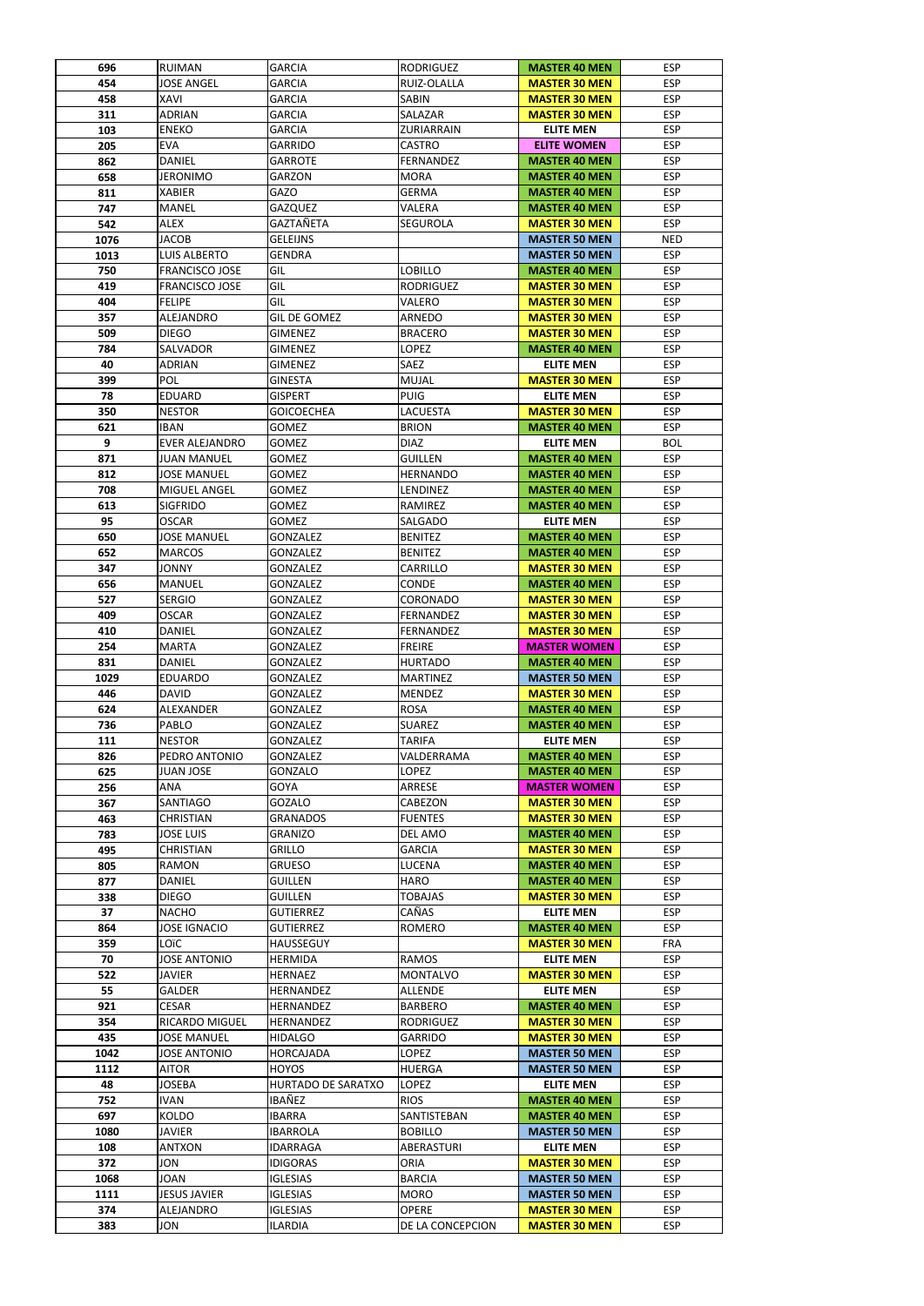| 696  | <b>RUIMAN</b>         | <b>GARCIA</b>       | <b>RODRIGUEZ</b>  | <b>MASTER 40 MEN</b> | <b>ESP</b> |
|------|-----------------------|---------------------|-------------------|----------------------|------------|
| 454  | <b>JOSE ANGEL</b>     | <b>GARCIA</b>       | RUIZ-OLALLA       | <b>MASTER 30 MEN</b> | <b>ESP</b> |
| 458  | <b>XAVI</b>           | <b>GARCIA</b>       | <b>SABIN</b>      | <b>MASTER 30 MEN</b> | <b>ESP</b> |
| 311  | ADRIAN                | <b>GARCIA</b>       | SALAZAR           | <b>MASTER 30 MEN</b> | <b>ESP</b> |
|      |                       |                     |                   |                      |            |
| 103  | <b>ENEKO</b>          | <b>GARCIA</b>       | <b>ZURIARRAIN</b> | <b>ELITE MEN</b>     | <b>ESP</b> |
| 205  | <b>EVA</b>            | <b>GARRIDO</b>      | <b>CASTRO</b>     | <b>ELITE WOMEN</b>   | <b>ESP</b> |
| 862  | <b>DANIEL</b>         | <b>GARROTE</b>      | FERNANDEZ         | <b>MASTER 40 MEN</b> | <b>ESP</b> |
|      |                       |                     |                   |                      |            |
| 658  | <b>JERONIMO</b>       | <b>GARZON</b>       | <b>MORA</b>       | <b>MASTER 40 MEN</b> | <b>ESP</b> |
| 811  | <b>XABIER</b>         | <b>GAZO</b>         | <b>GERMA</b>      | <b>MASTER 40 MEN</b> | <b>ESP</b> |
| 747  | <b>MANEL</b>          | <b>GAZQUEZ</b>      | VALERA            | <b>MASTER 40 MEN</b> | <b>ESP</b> |
| 542  | <b>ALEX</b>           | <b>GAZTAÑETA</b>    | <b>SEGUROLA</b>   | <b>MASTER 30 MEN</b> | <b>ESP</b> |
|      |                       |                     |                   |                      |            |
| 1076 | <b>JACOB</b>          | <b>GELEIJNS</b>     |                   | <b>MASTER 50 MEN</b> | <b>NED</b> |
| 1013 | <b>LUIS ALBERTO</b>   | <b>GENDRA</b>       |                   | <b>MASTER 50 MEN</b> | <b>ESP</b> |
| 750  | <b>FRANCISCO JOSE</b> | GIL                 | <b>LOBILLO</b>    | <b>MASTER 40 MEN</b> | <b>ESP</b> |
| 419  | <b>FRANCISCO JOSE</b> | GIL                 | <b>RODRIGUEZ</b>  | <b>MASTER 30 MEN</b> | <b>ESP</b> |
|      |                       |                     |                   |                      |            |
| 404  | <b>FELIPE</b>         | GIL                 | VALERO            | <b>MASTER 30 MEN</b> | <b>ESP</b> |
| 357  | ALEJANDRO             | <b>GIL DE GOMEZ</b> | ARNEDO            | <b>MASTER 30 MEN</b> | <b>ESP</b> |
| 509  | <b>DIEGO</b>          | <b>GIMENEZ</b>      | <b>BRACERO</b>    | <b>MASTER 30 MEN</b> | <b>ESP</b> |
|      |                       |                     |                   |                      |            |
| 784  | <b>SALVADOR</b>       | <b>GIMENEZ</b>      | <b>LOPEZ</b>      | <b>MASTER 40 MEN</b> | <b>ESP</b> |
| 40   | <b>ADRIAN</b>         | <b>GIMENEZ</b>      | <b>SAEZ</b>       | <b>ELITE MEN</b>     | <b>ESP</b> |
| 399  | <b>POL</b>            | <b>GINESTA</b>      | <b>MUJAL</b>      | <b>MASTER 30 MEN</b> | <b>ESP</b> |
| 78   | <b>EDUARD</b>         | <b>GISPERT</b>      | <b>PUIG</b>       | <b>ELITE MEN</b>     | <b>ESP</b> |
|      |                       |                     |                   |                      |            |
| 350  | <b>NESTOR</b>         | <b>GOICOECHEA</b>   | <b>LACUESTA</b>   | <b>MASTER 30 MEN</b> | <b>ESP</b> |
| 621  | <b>IBAN</b>           | <b>GOMEZ</b>        | <b>BRION</b>      | <b>MASTER 40 MEN</b> | <b>ESP</b> |
| 9    | <b>EVER ALEJANDRO</b> | <b>GOMEZ</b>        | <b>DIAZ</b>       | <b>ELITE MEN</b>     | <b>BOL</b> |
| 871  | <b>JUAN MANUEL</b>    | <b>GOMEZ</b>        | <b>GUILLEN</b>    | <b>MASTER 40 MEN</b> | <b>ESP</b> |
|      |                       |                     |                   |                      |            |
| 812  | <b>JOSE MANUEL</b>    | <b>GOMEZ</b>        | <b>HERNANDO</b>   | <b>MASTER 40 MEN</b> | <b>ESP</b> |
| 708  | <b>MIGUEL ANGEL</b>   | <b>GOMEZ</b>        | LENDINEZ          | <b>MASTER 40 MEN</b> | <b>ESP</b> |
| 613  | <b>SIGFRIDO</b>       | <b>GOMEZ</b>        | <b>RAMIREZ</b>    | <b>MASTER 40 MEN</b> | <b>ESP</b> |
| 95   | <b>OSCAR</b>          | <b>GOMEZ</b>        | SALGADO           | <b>ELITE MEN</b>     | <b>ESP</b> |
|      |                       |                     |                   |                      |            |
| 650  | <b>JOSE MANUEL</b>    | <b>GONZALEZ</b>     | <b>BENITEZ</b>    | <b>MASTER 40 MEN</b> | <b>ESP</b> |
| 652  | <b>MARCOS</b>         | <b>GONZALEZ</b>     | <b>BENITEZ</b>    | <b>MASTER 40 MEN</b> | <b>ESP</b> |
| 347  | <b>JONNY</b>          | <b>GONZALEZ</b>     | CARRILLO          | <b>MASTER 30 MEN</b> | <b>ESP</b> |
|      | <b>MANUEL</b>         |                     |                   |                      | <b>ESP</b> |
| 656  |                       | <b>GONZALEZ</b>     | <b>CONDE</b>      | <b>MASTER 40 MEN</b> |            |
| 527  | <b>SERGIO</b>         | <b>GONZALEZ</b>     | <b>CORONADO</b>   | <b>MASTER 30 MEN</b> | <b>ESP</b> |
| 409  | <b>OSCAR</b>          | <b>GONZALEZ</b>     | FERNANDEZ         | <b>MASTER 30 MEN</b> | <b>ESP</b> |
| 410  | <b>DANIEL</b>         | <b>GONZALEZ</b>     | <b>FERNANDEZ</b>  | <b>MASTER 30 MEN</b> | <b>ESP</b> |
|      |                       |                     |                   |                      |            |
| 254  | <b>MARTA</b>          | <b>GONZALEZ</b>     | <b>FREIRE</b>     | <b>MASTER WOMEN</b>  | <b>ESP</b> |
| 831  | <b>DANIEL</b>         | <b>GONZALEZ</b>     | <b>HURTADO</b>    | <b>MASTER 40 MEN</b> | <b>ESP</b> |
| 1029 | <b>EDUARDO</b>        | <b>GONZALEZ</b>     | <b>MARTINEZ</b>   | <b>MASTER 50 MEN</b> | <b>ESP</b> |
| 446  | <b>DAVID</b>          | <b>GONZALEZ</b>     | <b>MENDEZ</b>     | <b>MASTER 30 MEN</b> | <b>ESP</b> |
|      |                       |                     |                   |                      |            |
| 624  | <b>ALEXANDER</b>      | <b>GONZALEZ</b>     | <b>ROSA</b>       | <b>MASTER 40 MEN</b> | <b>ESP</b> |
| 736  | PABLO                 | <b>GONZALEZ</b>     | <b>SUAREZ</b>     | <b>MASTER 40 MEN</b> | <b>ESP</b> |
| 111  | <b>NESTOR</b>         | <b>GONZALEZ</b>     | <b>TARIFA</b>     | <b>ELITE MEN</b>     | <b>ESP</b> |
|      |                       |                     |                   |                      | <b>ESP</b> |
| 826  | PEDRO ANTONIO         | <b>GONZALEZ</b>     | VALDERRAMA        | <b>MASTER 40 MEN</b> |            |
| 625  | JUAN JOSE             | <b>GONZALO</b>      | <b>LOPEZ</b>      | <b>MASTER 40 MEN</b> | <b>ESP</b> |
| 256  | <b>ANA</b>            | <b>GOYA</b>         | <b>ARRESE</b>     | <b>MASTER WOMEN</b>  | <b>ESP</b> |
| 367  | <b>SANTIAGO</b>       | <b>GOZALO</b>       | <b>CABEZON</b>    | <b>MASTER 30 MEN</b> | <b>ESP</b> |
|      |                       | <b>GRANADOS</b>     |                   |                      | <b>ESP</b> |
| 463  | <b>CHRISTIAN</b>      |                     | <b>FUENTES</b>    | <b>MASTER 30 MEN</b> |            |
| 783  | <b>JOSE LUIS</b>      | <b>GRANIZO</b>      | <b>DEL AMO</b>    | <b>MASTER 40 MEN</b> | <b>ESP</b> |
| 495  | <b>CHRISTIAN</b>      | <b>GRILLO</b>       | <b>GARCIA</b>     | <b>MASTER 30 MEN</b> | <b>ESP</b> |
| 805  | <b>RAMON</b>          | <b>GRUESO</b>       | <b>LUCENA</b>     | <b>MASTER 40 MEN</b> | <b>ESP</b> |
| 877  | <b>DANIEL</b>         | <b>GUILLEN</b>      | <b>HARO</b>       | <b>MASTER 40 MEN</b> | <b>ESP</b> |
|      |                       |                     |                   |                      |            |
| 338  | <b>DIEGO</b>          | <b>GUILLEN</b>      | <b>TOBAJAS</b>    | <b>MASTER 30 MEN</b> | <b>ESP</b> |
| 37   | <b>NACHO</b>          | <b>GUTIERREZ</b>    | CAÑAS             | <b>ELITE MEN</b>     | <b>ESP</b> |
| 864  | <b>JOSE IGNACIO</b>   | <b>GUTIERREZ</b>    | <b>ROMERO</b>     | <b>MASTER 40 MEN</b> | <b>ESP</b> |
| 359  | LOïC                  | <b>HAUSSEGUY</b>    |                   | <b>MASTER 30 MEN</b> | <b>FRA</b> |
|      |                       |                     |                   |                      |            |
| 70   | <b>JOSE ANTONIO</b>   | <b>HERMIDA</b>      | <b>RAMOS</b>      | <b>ELITE MEN</b>     | <b>ESP</b> |
| 522  | <b>JAVIER</b>         | <b>HERNAEZ</b>      | <b>MONTALVO</b>   | <b>MASTER 30 MEN</b> | <b>ESP</b> |
| 55   | <b>GALDER</b>         | <b>HERNANDEZ</b>    | <b>ALLENDE</b>    | <b>ELITE MEN</b>     | <b>ESP</b> |
| 921  | <b>CESAR</b>          | <b>HERNANDEZ</b>    | <b>BARBERO</b>    | <b>MASTER 40 MEN</b> | <b>ESP</b> |
|      |                       |                     |                   |                      |            |
| 354  | RICARDO MIGUEL        | <b>HERNANDEZ</b>    | <b>RODRIGUEZ</b>  | <b>MASTER 30 MEN</b> | <b>ESP</b> |
| 435  | <b>JOSE MANUEL</b>    | <b>HIDALGO</b>      | <b>GARRIDO</b>    | <b>MASTER 30 MEN</b> | <b>ESP</b> |
| 1042 | <b>JOSE ANTONIO</b>   | <b>HORCAJADA</b>    | <b>LOPEZ</b>      | <b>MASTER 50 MEN</b> | <b>ESP</b> |
| 1112 | <b>AITOR</b>          | <b>HOYOS</b>        | <b>HUERGA</b>     | <b>MASTER 50 MEN</b> | <b>ESP</b> |
| 48   |                       |                     |                   |                      | <b>ESP</b> |
|      | <b>JOSEBA</b>         | HURTADO DE SARATXO  | <b>LOPEZ</b>      | <b>ELITE MEN</b>     |            |
| 752  | <b>IVAN</b>           | IBAÑEZ              | <b>RIOS</b>       | <b>MASTER 40 MEN</b> | <b>ESP</b> |
| 697  | KOLDO                 | <b>IBARRA</b>       | SANTISTEBAN       | <b>MASTER 40 MEN</b> | <b>ESP</b> |
| 1080 | <b>JAVIER</b>         | <b>IBARROLA</b>     | <b>BOBILLO</b>    | <b>MASTER 50 MEN</b> | <b>ESP</b> |
|      |                       |                     |                   |                      |            |
| 108  | <b>ANTXON</b>         | <b>IDARRAGA</b>     | ABERASTURI        | <b>ELITE MEN</b>     | <b>ESP</b> |
| 372  | JON                   | <b>IDIGORAS</b>     | <b>ORIA</b>       | <b>MASTER 30 MEN</b> | <b>ESP</b> |
| 1068 | <b>JOAN</b>           | <b>IGLESIAS</b>     | <b>BARCIA</b>     | <b>MASTER 50 MEN</b> | <b>ESP</b> |
| 1111 | <b>JESUS JAVIER</b>   | <b>IGLESIAS</b>     | <b>MORO</b>       | <b>MASTER 50 MEN</b> | <b>ESP</b> |
|      |                       |                     |                   |                      |            |
| 374  | <b>ALEJANDRO</b>      | <b>IGLESIAS</b>     | <b>OPERE</b>      | <b>MASTER 30 MEN</b> | <b>ESP</b> |
| 383  | JON                   | <b>ILARDIA</b>      | DE LA CONCEPCION  | <b>MASTER 30 MEN</b> | <b>ESP</b> |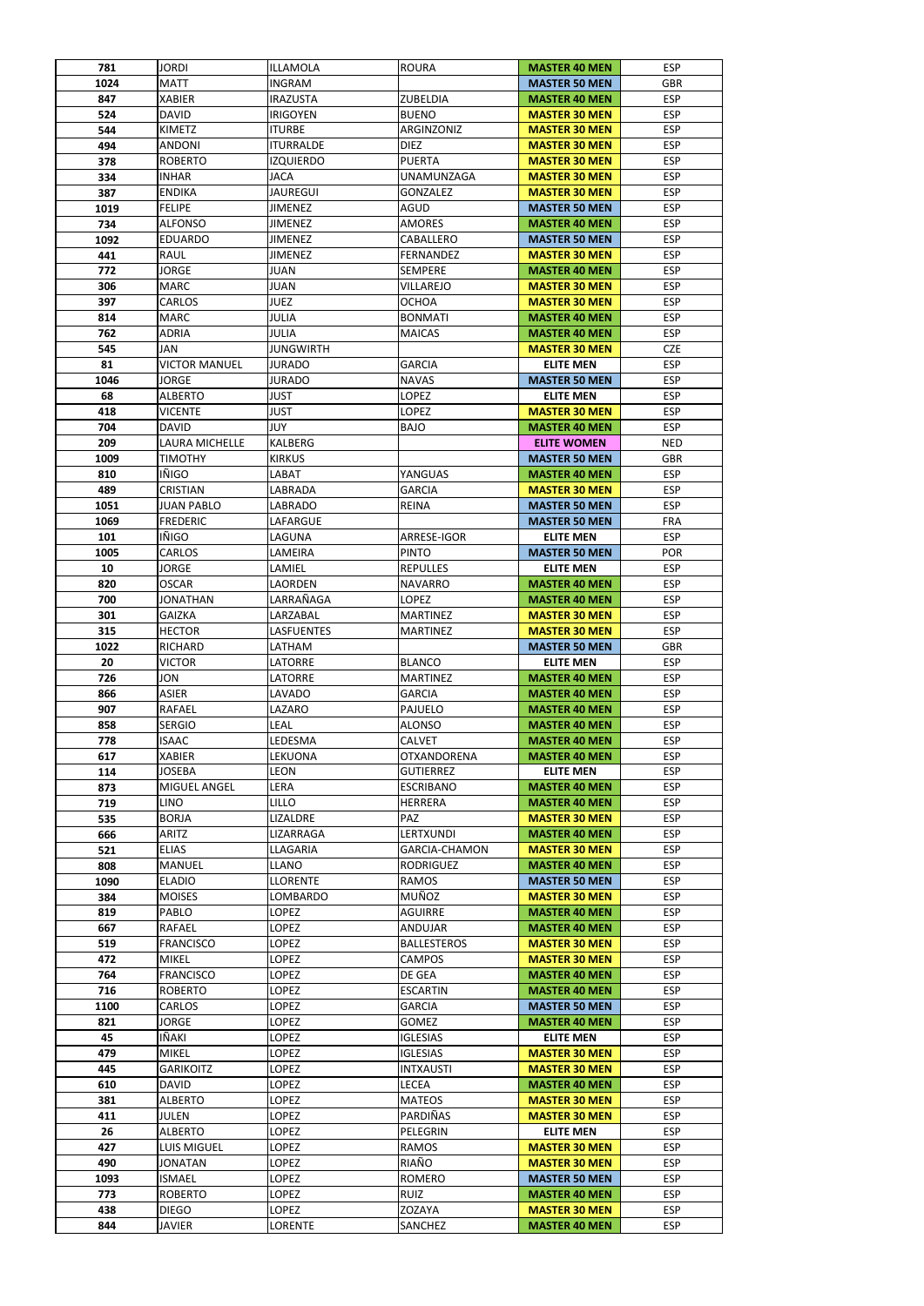| 781  | <b>JORDI</b>         | ILLAMOLA         | <b>ROURA</b>         | <b>MASTER 40 MEN</b> | <b>ESP</b> |
|------|----------------------|------------------|----------------------|----------------------|------------|
| 1024 | <b>MATT</b>          | <b>INGRAM</b>    |                      | <b>MASTER 50 MEN</b> | <b>GBR</b> |
| 847  | <b>XABIER</b>        | IRAZUSTA         | ZUBELDIA             | <b>MASTER 40 MEN</b> | <b>ESP</b> |
| 524  | <b>DAVID</b>         | <b>IRIGOYEN</b>  | <b>BUENO</b>         | <b>MASTER 30 MEN</b> | <b>ESP</b> |
| 544  | <b>KIMETZ</b>        | <b>ITURBE</b>    | ARGINZONIZ           | <b>MASTER 30 MEN</b> | <b>ESP</b> |
| 494  | <b>ANDONI</b>        | <b>ITURRALDE</b> | <b>DIEZ</b>          | <b>MASTER 30 MEN</b> | <b>ESP</b> |
| 378  | <b>ROBERTO</b>       | <b>IZQUIERDO</b> | <b>PUERTA</b>        | <b>MASTER 30 MEN</b> | <b>ESP</b> |
| 334  | <b>INHAR</b>         | <b>JACA</b>      | UNAMUNZAGA           | <b>MASTER 30 MEN</b> | <b>ESP</b> |
| 387  | <b>ENDIKA</b>        | <b>JAUREGUI</b>  | <b>GONZALEZ</b>      | <b>MASTER 30 MEN</b> | <b>ESP</b> |
| 1019 | <b>FELIPE</b>        | <b>JIMENEZ</b>   | <b>AGUD</b>          | <b>MASTER 50 MEN</b> | <b>ESP</b> |
| 734  | <b>ALFONSO</b>       | <b>JIMENEZ</b>   | <b>AMORES</b>        | <b>MASTER 40 MEN</b> | <b>ESP</b> |
|      |                      |                  |                      |                      | <b>ESP</b> |
| 1092 | <b>EDUARDO</b>       | <b>JIMENEZ</b>   | CABALLERO            | <b>MASTER 50 MEN</b> |            |
| 441  | <b>RAUL</b>          | <b>JIMENEZ</b>   | <b>FERNANDEZ</b>     | <b>MASTER 30 MEN</b> | <b>ESP</b> |
| 772  | <b>JORGE</b>         | <b>JUAN</b>      | <b>SEMPERE</b>       | <b>MASTER 40 MEN</b> | <b>ESP</b> |
| 306  | <b>MARC</b>          | <b>JUAN</b>      | VILLAREJO            | <b>MASTER 30 MEN</b> | <b>ESP</b> |
| 397  | <b>CARLOS</b>        | <b>JUEZ</b>      | <b>OCHOA</b>         | <b>MASTER 30 MEN</b> | <b>ESP</b> |
| 814  | <b>MARC</b>          | <b>JULIA</b>     | <b>BONMATI</b>       | <b>MASTER 40 MEN</b> | <b>ESP</b> |
| 762  | <b>ADRIA</b>         | <b>JULIA</b>     | <b>MAICAS</b>        | <b>MASTER 40 MEN</b> | <b>ESP</b> |
| 545  | JAN                  | <b>JUNGWIRTH</b> |                      | <b>MASTER 30 MEN</b> | <b>CZE</b> |
| 81   | <b>VICTOR MANUEL</b> | <b>JURADO</b>    | <b>GARCIA</b>        | <b>ELITE MEN</b>     | <b>ESP</b> |
| 1046 | <b>JORGE</b>         | <b>JURADO</b>    | <b>NAVAS</b>         | <b>MASTER 50 MEN</b> | <b>ESP</b> |
| 68   | <b>ALBERTO</b>       | <b>JUST</b>      | LOPEZ                | <b>ELITE MEN</b>     | <b>ESP</b> |
| 418  | <b>VICENTE</b>       | <b>JUST</b>      | LOPEZ                | <b>MASTER 30 MEN</b> | <b>ESP</b> |
| 704  | <b>DAVID</b>         | <b>JUY</b>       | <b>BAJO</b>          | <b>MASTER 40 MEN</b> | <b>ESP</b> |
| 209  | LAURA MICHELLE       | <b>KALBERG</b>   |                      | <b>ELITE WOMEN</b>   | <b>NED</b> |
| 1009 | <b>TIMOTHY</b>       | <b>KIRKUS</b>    |                      | <b>MASTER 50 MEN</b> | <b>GBR</b> |
|      |                      |                  |                      |                      |            |
| 810  | IÑIGO                | LABAT            | YANGUAS              | <b>MASTER 40 MEN</b> | <b>ESP</b> |
| 489  | <b>CRISTIAN</b>      | LABRADA          | <b>GARCIA</b>        | <b>MASTER 30 MEN</b> | <b>ESP</b> |
| 1051 | <b>JUAN PABLO</b>    | <b>LABRADO</b>   | <b>REINA</b>         | <b>MASTER 50 MEN</b> | <b>ESP</b> |
| 1069 | <b>FREDERIC</b>      | LAFARGUE         |                      | <b>MASTER 50 MEN</b> | <b>FRA</b> |
| 101  | <b>IÑIGO</b>         | LAGUNA           | ARRESE-IGOR          | <b>ELITE MEN</b>     | <b>ESP</b> |
| 1005 | <b>CARLOS</b>        | LAMEIRA          | <b>PINTO</b>         | <b>MASTER 50 MEN</b> | <b>POR</b> |
| 10   | <b>JORGE</b>         | LAMIEL           | <b>REPULLES</b>      | <b>ELITE MEN</b>     | <b>ESP</b> |
| 820  | <b>OSCAR</b>         | LAORDEN          | <b>NAVARRO</b>       | <b>MASTER 40 MEN</b> | <b>ESP</b> |
| 700  | JONATHAN             | LARRAÑAGA        | LOPEZ                | <b>MASTER 40 MEN</b> | <b>ESP</b> |
| 301  | <b>GAIZKA</b>        | LARZABAL         | <b>MARTINEZ</b>      | <b>MASTER 30 MEN</b> | <b>ESP</b> |
| 315  | <b>HECTOR</b>        | LASFUENTES       | <b>MARTINEZ</b>      | <b>MASTER 30 MEN</b> | <b>ESP</b> |
| 1022 | <b>RICHARD</b>       | LATHAM           |                      | <b>MASTER 50 MEN</b> | <b>GBR</b> |
|      |                      |                  |                      |                      | <b>ESP</b> |
| 20   | <b>VICTOR</b>        | LATORRE          | <b>BLANCO</b>        | <b>ELITE MEN</b>     |            |
| 726  | JON                  | LATORRE          | <b>MARTINEZ</b>      | <b>MASTER 40 MEN</b> | <b>ESP</b> |
| 866  | <b>ASIER</b>         | LAVADO           | <b>GARCIA</b>        | <b>MASTER 40 MEN</b> | <b>ESP</b> |
| 907  | <b>RAFAEL</b>        | LAZARO           | <b>PAJUELO</b>       | <b>MASTER 40 MEN</b> | <b>ESP</b> |
| 858  | <b>SERGIO</b>        | LEAL             | <b>ALONSO</b>        | <b>MASTER 40 MEN</b> | <b>ESP</b> |
| 778  | <b>ISAAC</b>         | LEDESMA          | <b>CALVET</b>        | <b>MASTER 40 MEN</b> | <b>ESP</b> |
| 617  | <b>XABIER</b>        | LEKUONA          | <b>OTXANDORENA</b>   | <b>MASTER 40 MEN</b> | <b>ESP</b> |
| 114  | <b>JOSEBA</b>        | LEON             | <b>GUTIERREZ</b>     | <b>ELITE MEN</b>     | <b>ESP</b> |
| 873  | MIGUEL ANGEL         | LERA             | <b>ESCRIBANO</b>     | <b>MASTER 40 MEN</b> | <b>ESP</b> |
| 719  | <b>LINO</b>          | LILLO            | <b>HERRERA</b>       | <b>MASTER 40 MEN</b> | <b>ESP</b> |
| 535  | <b>BORJA</b>         | LIZALDRE         | <b>PAZ</b>           | <b>MASTER 30 MEN</b> | <b>ESP</b> |
| 666  | <b>ARITZ</b>         | LIZARRAGA        | LERTXUNDI            | <b>MASTER 40 MEN</b> | <b>ESP</b> |
| 521  | <b>ELIAS</b>         | LLAGARIA         | <b>GARCIA-CHAMON</b> | <b>MASTER 30 MEN</b> | <b>ESP</b> |
| 808  | <b>MANUEL</b>        | LLANO            | <b>RODRIGUEZ</b>     | <b>MASTER 40 MEN</b> | <b>ESP</b> |
|      |                      |                  |                      |                      | <b>ESP</b> |
| 1090 | <b>ELADIO</b>        | <b>LLORENTE</b>  | <b>RAMOS</b>         | <b>MASTER 50 MEN</b> |            |
| 384  | <b>MOISES</b>        | LOMBARDO         | MUÑOZ                | <b>MASTER 30 MEN</b> | <b>ESP</b> |
| 819  | PABLO                | LOPEZ            | <b>AGUIRRE</b>       | <b>MASTER 40 MEN</b> | <b>ESP</b> |
| 667  | <b>RAFAEL</b>        | LOPEZ            | <b>ANDUJAR</b>       | <b>MASTER 40 MEN</b> | <b>ESP</b> |
| 519  | <b>FRANCISCO</b>     | LOPEZ            | <b>BALLESTEROS</b>   | <b>MASTER 30 MEN</b> | <b>ESP</b> |
| 472  | <b>MIKEL</b>         | LOPEZ            | <b>CAMPOS</b>        | <b>MASTER 30 MEN</b> | <b>ESP</b> |
| 764  | <b>FRANCISCO</b>     | LOPEZ            | DE GEA               | <b>MASTER 40 MEN</b> | <b>ESP</b> |
| 716  | <b>ROBERTO</b>       | LOPEZ            | <b>ESCARTIN</b>      | <b>MASTER 40 MEN</b> | <b>ESP</b> |
| 1100 | <b>CARLOS</b>        | <b>LOPEZ</b>     | <b>GARCIA</b>        | <b>MASTER 50 MEN</b> | <b>ESP</b> |
| 821  | <b>JORGE</b>         | LOPEZ            | <b>GOMEZ</b>         | <b>MASTER 40 MEN</b> | <b>ESP</b> |
| 45   | IÑAKI                | LOPEZ            | <b>IGLESIAS</b>      | <b>ELITE MEN</b>     | <b>ESP</b> |
| 479  | <b>MIKEL</b>         | LOPEZ            | <b>IGLESIAS</b>      | <b>MASTER 30 MEN</b> | <b>ESP</b> |
| 445  | <b>GARIKOITZ</b>     | <b>LOPEZ</b>     | <b>INTXAUSTI</b>     | <b>MASTER 30 MEN</b> | <b>ESP</b> |
| 610  | <b>DAVID</b>         | LOPEZ            | <b>LECEA</b>         | <b>MASTER 40 MEN</b> | <b>ESP</b> |
| 381  | <b>ALBERTO</b>       | LOPEZ            | <b>MATEOS</b>        | <b>MASTER 30 MEN</b> | <b>ESP</b> |
|      |                      |                  |                      |                      |            |
| 411  | JULEN                | LOPEZ            | PARDIÑAS             | <b>MASTER 30 MEN</b> | <b>ESP</b> |
| 26   | <b>ALBERTO</b>       | LOPEZ            | PELEGRIN             | <b>ELITE MEN</b>     | <b>ESP</b> |
| 427  | <b>LUIS MIGUEL</b>   | LOPEZ            | <b>RAMOS</b>         | <b>MASTER 30 MEN</b> | <b>ESP</b> |
| 490  | <b>JONATAN</b>       | LOPEZ            | RIAÑO                | <b>MASTER 30 MEN</b> | <b>ESP</b> |
|      |                      | LOPEZ            | ROMERO               | <b>MASTER 50 MEN</b> | <b>ESP</b> |
| 1093 | <b>ISMAEL</b>        |                  |                      |                      |            |
| 773  | <b>ROBERTO</b>       | LOPEZ            | <b>RUIZ</b>          | <b>MASTER 40 MEN</b> | <b>ESP</b> |
| 438  | <b>DIEGO</b>         | LOPEZ            | ZOZAYA               | <b>MASTER 30 MEN</b> | <b>ESP</b> |
| 844  | JAVIER               | LORENTE          | SANCHEZ              | <b>MASTER 40 MEN</b> | <b>ESP</b> |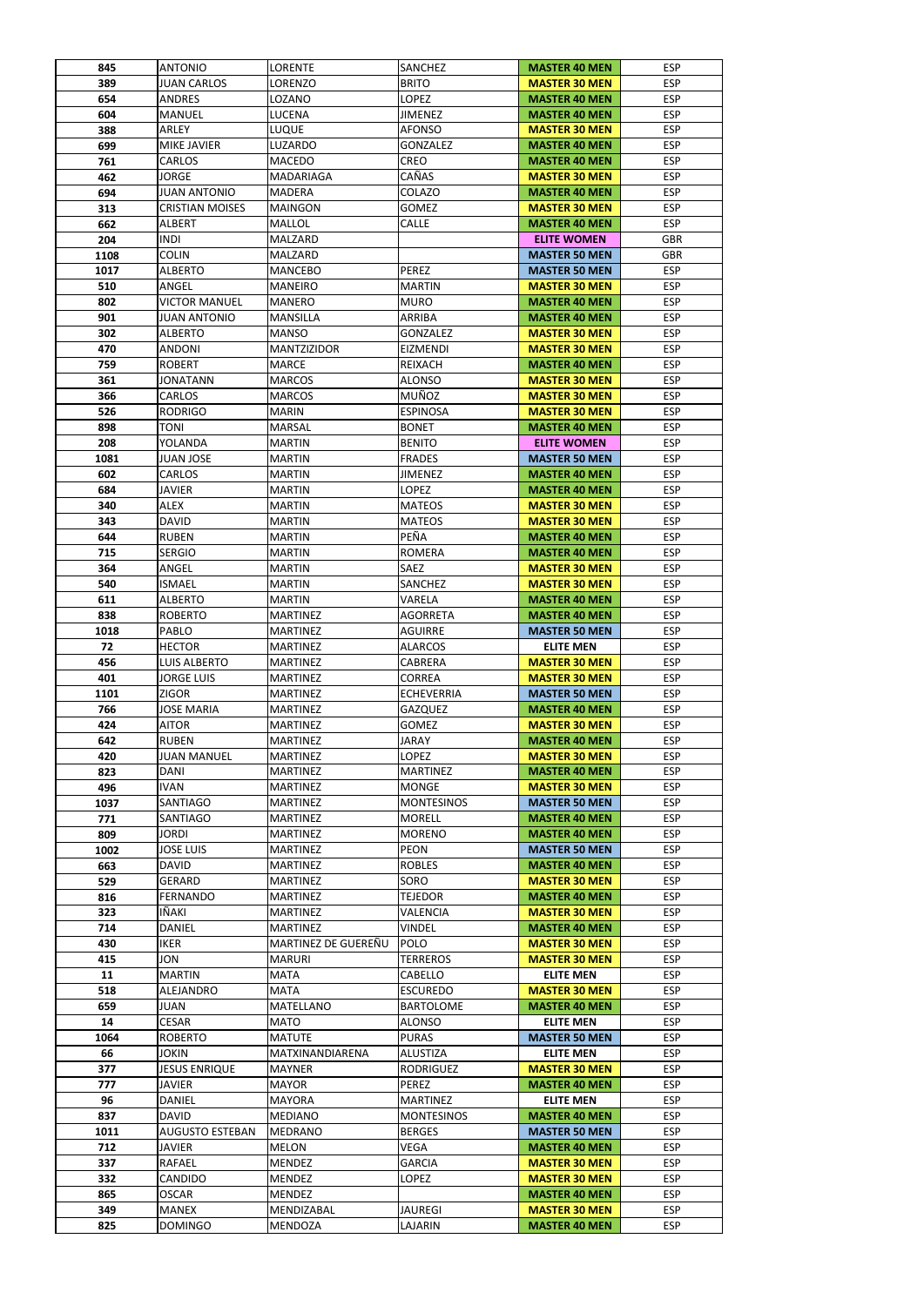| 389<br>654<br>604 | <b>ANTONIO</b>               | LORENTE                     | <b>SANCHEZ</b>    | <b>MASTER 40 MEN</b>                         | <b>ESP</b>               |
|-------------------|------------------------------|-----------------------------|-------------------|----------------------------------------------|--------------------------|
|                   | <b>JUAN CARLOS</b>           | LORENZO                     | <b>BRITO</b>      | <b>MASTER 30 MEN</b>                         | <b>ESP</b>               |
|                   | <b>ANDRES</b>                | LOZANO                      | <b>LOPEZ</b>      | <b>MASTER 40 MEN</b>                         | <b>ESP</b>               |
|                   | <b>MANUEL</b>                | LUCENA                      | <b>JIMENEZ</b>    | <b>MASTER 40 MEN</b>                         | <b>ESP</b>               |
| 388               | ARLEY                        | LUQUE                       | <b>AFONSO</b>     | <b>MASTER 30 MEN</b>                         | <b>ESP</b>               |
| 699               | <b>MIKE JAVIER</b>           | LUZARDO                     | <b>GONZALEZ</b>   | <b>MASTER 40 MEN</b>                         | <b>ESP</b>               |
| 761               | <b>CARLOS</b>                | <b>MACEDO</b>               | <b>CREO</b>       | <b>MASTER 40 MEN</b>                         | <b>ESP</b>               |
| 462               | <b>JORGE</b>                 | <b>MADARIAGA</b>            | CAÑAS             | <b>MASTER 30 MEN</b>                         | <b>ESP</b>               |
| 694               | <b>JUAN ANTONIO</b>          | <b>MADERA</b>               | <b>COLAZO</b>     | <b>MASTER 40 MEN</b>                         | <b>ESP</b>               |
| 313               | <b>CRISTIAN MOISES</b>       | <b>MAINGON</b>              | <b>GOMEZ</b>      | <b>MASTER 30 MEN</b>                         | <b>ESP</b>               |
| 662               | <b>ALBERT</b>                | MALLOL                      | <b>CALLE</b>      | <b>MASTER 40 MEN</b>                         | <b>ESP</b>               |
| 204               | <b>INDI</b>                  | <b>MALZARD</b>              |                   | <b>ELITE WOMEN</b>                           | <b>GBR</b>               |
| 1108              | <b>COLIN</b>                 | <b>MALZARD</b>              |                   | <b>MASTER 50 MEN</b>                         | <b>GBR</b>               |
| 1017              | <b>ALBERTO</b>               | <b>MANCEBO</b>              | <b>PEREZ</b>      | <b>MASTER 50 MEN</b>                         | <b>ESP</b>               |
| 510               | ANGEL                        | <b>MANEIRO</b>              | <b>MARTIN</b>     | <b>MASTER 30 MEN</b>                         | <b>ESP</b>               |
| 802               | <b>VICTOR MANUEL</b>         | IMANERO                     | <b>MURO</b>       | <b>MASTER 40 MEN</b>                         | <b>ESP</b>               |
|                   |                              |                             |                   |                                              |                          |
| 901               | <b>JUAN ANTONIO</b>          | <b>MANSILLA</b>             | <b>ARRIBA</b>     | <b>MASTER 40 MEN</b>                         | <b>ESP</b>               |
| 302               | <b>ALBERTO</b>               | <b>MANSO</b>                | <b>GONZALEZ</b>   | <b>MASTER 30 MEN</b>                         | <b>ESP</b>               |
| 470               | <b>ANDONI</b>                | <b>MANTZIZIDOR</b>          | <b>EIZMENDI</b>   | <b>MASTER 30 MEN</b>                         | <b>ESP</b>               |
| 759               | <b>ROBERT</b>                | <b>MARCE</b>                | <b>REIXACH</b>    | <b>MASTER 40 MEN</b>                         | <b>ESP</b>               |
| 361               | <b>JONATANN</b>              | <b>MARCOS</b>               | <b>ALONSO</b>     | <b>MASTER 30 MEN</b>                         | <b>ESP</b>               |
| 366               | <b>CARLOS</b>                | <b>MARCOS</b>               | <b>MUÑOZ</b>      | <b>MASTER 30 MEN</b>                         | <b>ESP</b>               |
| 526               | <b>RODRIGO</b>               | <b>MARIN</b>                | <b>ESPINOSA</b>   | <b>MASTER 30 MEN</b>                         | <b>ESP</b>               |
| 898               | <b>TONI</b>                  | <b>MARSAL</b>               | <b>BONET</b>      | <b>MASTER 40 MEN</b>                         | <b>ESP</b>               |
| 208               | YOLANDA                      | <b>MARTIN</b>               | <b>BENITO</b>     | <b>ELITE WOMEN</b>                           | <b>ESP</b>               |
| 1081              | <b>JUAN JOSE</b>             | <b>MARTIN</b>               | <b>FRADES</b>     | <b>MASTER 50 MEN</b>                         | <b>ESP</b>               |
| 602               | <b>CARLOS</b>                | <b>MARTIN</b>               | <b>JIMENEZ</b>    | <b>MASTER 40 MEN</b>                         | <b>ESP</b>               |
| 684               | <b>JAVIER</b>                | <b>MARTIN</b>               | <b>LOPEZ</b>      | <b>MASTER 40 MEN</b>                         | <b>ESP</b>               |
| 340               | <b>ALEX</b>                  | <b>MARTIN</b>               | <b>MATEOS</b>     | <b>MASTER 30 MEN</b>                         | <b>ESP</b>               |
| 343               | <b>DAVID</b>                 | <b>MARTIN</b>               | <b>MATEOS</b>     | <b>MASTER 30 MEN</b>                         | <b>ESP</b>               |
| 644               | <b>RUBEN</b>                 | <b>MARTIN</b>               | PEÑA              | <b>MASTER 40 MEN</b>                         | <b>ESP</b>               |
| 715               | <b>SERGIO</b>                | <b>MARTIN</b>               | <b>ROMERA</b>     | <b>MASTER 40 MEN</b>                         | <b>ESP</b>               |
| 364               | ANGEL                        | <b>MARTIN</b>               | <b>SAEZ</b>       | <b>MASTER 30 MEN</b>                         | <b>ESP</b>               |
| 540               | <b>ISMAEL</b>                | <b>MARTIN</b>               | <b>SANCHEZ</b>    | <b>MASTER 30 MEN</b>                         | <b>ESP</b>               |
| 611               | <b>ALBERTO</b>               | <b>MARTIN</b>               | VARELA            | <b>MASTER 40 MEN</b>                         | <b>ESP</b>               |
| 838               | <b>ROBERTO</b>               | <b>MARTINEZ</b>             | <b>AGORRETA</b>   | <b>MASTER 40 MEN</b>                         | <b>ESP</b>               |
| 1018              | PABLO                        | <b>MARTINEZ</b>             | <b>AGUIRRE</b>    | <b>MASTER 50 MEN</b>                         | <b>ESP</b>               |
|                   |                              |                             |                   |                                              |                          |
| 72                | <b>HECTOR</b>                | <b>MARTINEZ</b>             | <b>ALARCOS</b>    | <b>ELITE MEN</b>                             | <b>ESP</b>               |
| 456               | <b>LUIS ALBERTO</b>          | <b>MARTINEZ</b>             | CABRERA           | <b>MASTER 30 MEN</b>                         | <b>ESP</b>               |
| 401               | <b>JORGE LUIS</b>            | <b>MARTINEZ</b>             | <b>CORREA</b>     | <b>MASTER 30 MEN</b>                         | <b>ESP</b>               |
| 1101              | <b>ZIGOR</b>                 | <b>MARTINEZ</b>             | <b>ECHEVERRIA</b> | <b>MASTER 50 MEN</b>                         | <b>ESP</b>               |
| 766               | <b>JOSE MARIA</b>            | <b>MARTINEZ</b>             | <b>GAZQUEZ</b>    | <b>MASTER 40 MEN</b>                         | <b>ESP</b>               |
| 424               | <b>AITOR</b>                 | <b>MARTINEZ</b>             | <b>GOMEZ</b>      | <b>MASTER 30 MEN</b>                         | <b>ESP</b>               |
| 642               | <b>RUBEN</b>                 | <b>MARTINEZ</b>             | <b>JARAY</b>      | <b>MASTER 40 MEN</b>                         | <b>ESP</b>               |
| 420               | <b>JUAN MANUEL</b>           | <b>MARTINEZ</b>             | <b>LOPEZ</b>      | <b>MASTER 30 MEN</b>                         | <b>ESP</b>               |
| 823               | <b>DANI</b>                  | <b>MARTINEZ</b>             | <b>MARTINEZ</b>   | <b>MASTER 40 MEN</b>                         | <b>ESP</b>               |
| 496               | <b>IVAN</b>                  | <b>MARTINEZ</b>             | <b>MONGE</b>      | <b>MASTER 30 MEN</b>                         | <b>ESP</b>               |
| 1037              | <b>SANTIAGO</b>              | <b>MARTINEZ</b>             | <b>MONTESINOS</b> | <b>MASTER 50 MEN</b>                         | <b>ESP</b>               |
| 771               | <b>SANTIAGO</b>              | <b>MARTINEZ</b>             | <b>MORELL</b>     | <b>MASTER 40 MEN</b>                         | <b>ESP</b>               |
| 809               | <b>JORDI</b>                 | <b>MARTINEZ</b>             | <b>MORENO</b>     | <b>MASTER 40 MEN</b>                         | <b>ESP</b>               |
| 1002              | <b>JOSE LUIS</b>             | <b>MARTINEZ</b>             | <b>PEON</b>       | <b>MASTER 50 MEN</b>                         | <b>ESP</b>               |
| 663               | <b>DAVID</b>                 | <b>MARTINEZ</b>             | <b>ROBLES</b>     | <b>MASTER 40 MEN</b>                         | <b>ESP</b>               |
| 529               | <b>GERARD</b>                | <b>MARTINEZ</b>             | SORO              | <b>MASTER 30 MEN</b>                         | <b>ESP</b>               |
| 816               | <b>FERNANDO</b>              | <b>MARTINEZ</b>             | <b>TEJEDOR</b>    | <b>MASTER 40 MEN</b>                         | <b>ESP</b>               |
| 323               | IÑAKI                        | <b>MARTINEZ</b>             | VALENCIA          | <b>MASTER 30 MEN</b>                         | <b>ESP</b>               |
| 714               | <b>DANIEL</b>                | <b>MARTINEZ</b>             | <b>VINDEL</b>     | <b>MASTER 40 MEN</b>                         | <b>ESP</b>               |
| 430               | <b>IKER</b>                  | MARTINEZ DE GUEREÑU         | <b>POLO</b>       | <b>MASTER 30 MEN</b>                         | <b>ESP</b>               |
| 415               | <b>JON</b>                   | <b>MARURI</b>               | <b>TERREROS</b>   | <b>MASTER 30 MEN</b>                         | <b>ESP</b>               |
| 11                | <b>MARTIN</b>                | <b>MATA</b>                 |                   | <b>ELITE MEN</b>                             | <b>ESP</b>               |
|                   |                              |                             | CABELLO           |                                              |                          |
|                   | <b>ALEJANDRO</b>             | <b>MATA</b>                 | <b>ESCUREDO</b>   | <b>MASTER 30 MEN</b>                         | <b>ESP</b>               |
| 518               | JUAN                         | <b>MATELLANO</b>            | <b>BARTOLOME</b>  | <b>MASTER 40 MEN</b>                         | <b>ESP</b>               |
| 659               |                              | <b>MATO</b>                 | <b>ALONSO</b>     | <b>ELITE MEN</b>                             | <b>ESP</b>               |
| 14                | <b>CESAR</b>                 |                             |                   |                                              |                          |
| 1064              | <b>ROBERTO</b>               | <b>MATUTE</b>               | <b>PURAS</b>      | <b>MASTER 50 MEN</b>                         | <b>ESP</b>               |
| 66                | <b>JOKIN</b>                 | MATXINANDIARENA             | <b>ALUSTIZA</b>   | <b>ELITE MEN</b>                             | <b>ESP</b>               |
| 377               | <b>JESUS ENRIQUE</b>         | <b>MAYNER</b>               | <b>RODRIGUEZ</b>  | <b>MASTER 30 MEN</b>                         | <b>ESP</b>               |
| 777               | <b>JAVIER</b>                | <b>MAYOR</b>                | PEREZ             | <b>MASTER 40 MEN</b>                         | <b>ESP</b>               |
| 96                | <b>DANIEL</b>                | <b>MAYORA</b>               | <b>MARTINEZ</b>   | <b>ELITE MEN</b>                             | <b>ESP</b>               |
| 837               | <b>DAVID</b>                 | <b>MEDIANO</b>              | <b>MONTESINOS</b> | <b>MASTER 40 MEN</b>                         | <b>ESP</b>               |
| 1011              | <b>AUGUSTO ESTEBAN</b>       | MEDRANO                     | <b>BERGES</b>     | <b>MASTER 50 MEN</b>                         | <b>ESP</b>               |
| 712               | JAVIER                       | <b>MELON</b>                | <b>VEGA</b>       | <b>MASTER 40 MEN</b>                         | <b>ESP</b>               |
|                   | <b>RAFAEL</b>                | <b>MENDEZ</b>               | <b>GARCIA</b>     | <b>MASTER 30 MEN</b>                         | <b>ESP</b>               |
| 337               |                              |                             |                   |                                              |                          |
| 332               | CANDIDO                      | <b>MENDEZ</b>               | <b>LOPEZ</b>      | <b>MASTER 30 MEN</b>                         | <b>ESP</b>               |
| 865<br>349        | <b>OSCAR</b><br><b>MANEX</b> | <b>MENDEZ</b><br>MENDIZABAL | <b>JAUREGI</b>    | <b>MASTER 40 MEN</b><br><b>MASTER 30 MEN</b> | <b>ESP</b><br><b>ESP</b> |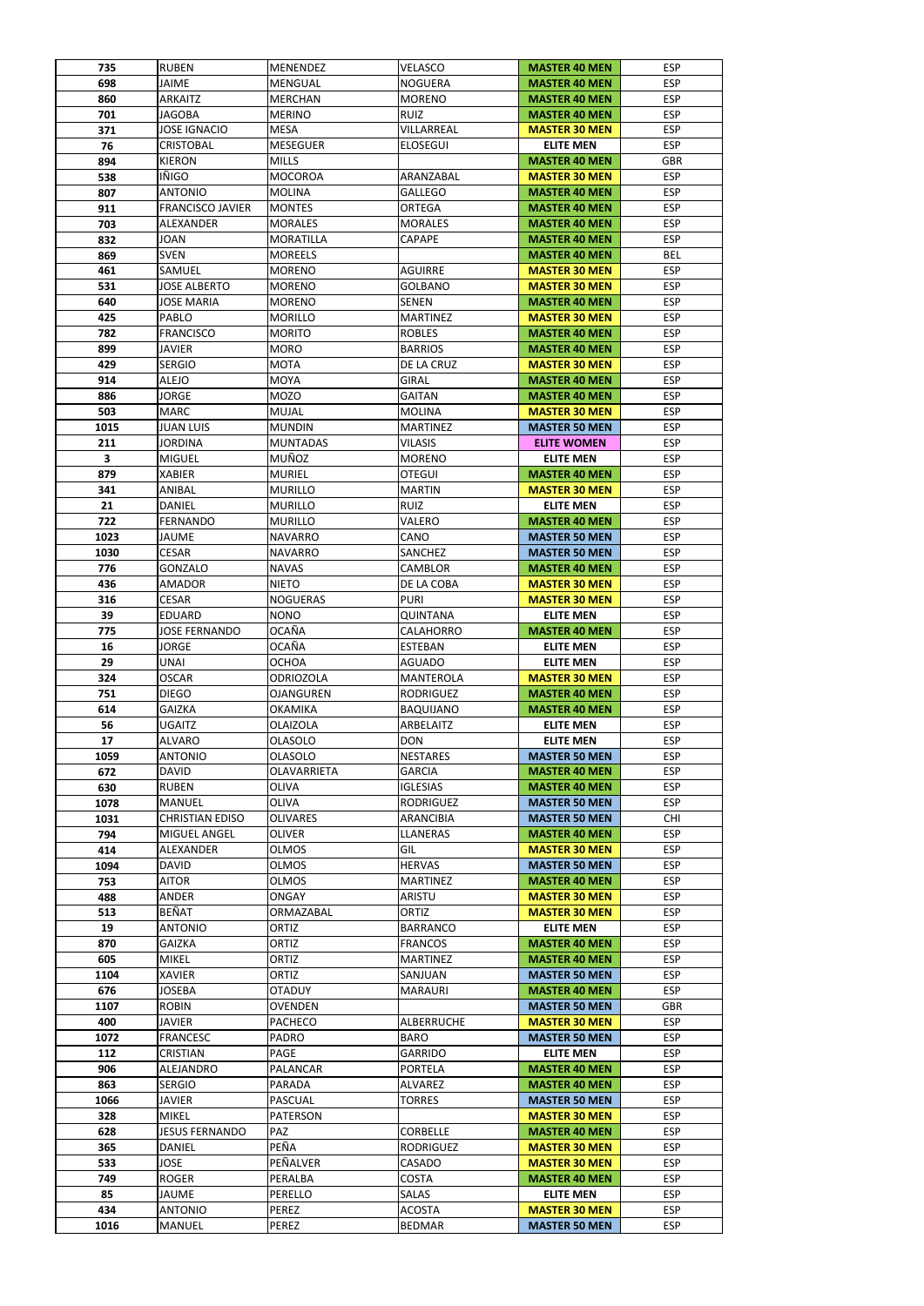| 735  | <b>RUBEN</b>            | <b>MENENDEZ</b>  | <b>VELASCO</b>   | <b>MASTER 40 MEN</b> | <b>ESP</b> |
|------|-------------------------|------------------|------------------|----------------------|------------|
| 698  | <b>JAIME</b>            | MENGUAL          | <b>NOGUERA</b>   | <b>MASTER 40 MEN</b> | <b>ESP</b> |
| 860  | <b>ARKAITZ</b>          | <b>MERCHAN</b>   | <b>MORENO</b>    | <b>MASTER 40 MEN</b> | <b>ESP</b> |
| 701  | <b>JAGOBA</b>           | <b>MERINO</b>    | <b>RUIZ</b>      | <b>MASTER 40 MEN</b> | <b>ESP</b> |
| 371  | <b>JOSE IGNACIO</b>     | <b>MESA</b>      | VILLARREAL       | <b>MASTER 30 MEN</b> | <b>ESP</b> |
| 76   | <b>CRISTOBAL</b>        | <b>MESEGUER</b>  | <b>ELOSEGUI</b>  | <b>ELITE MEN</b>     | <b>ESP</b> |
| 894  | <b>KIERON</b>           | <b>MILLS</b>     |                  | <b>MASTER 40 MEN</b> | <b>GBR</b> |
| 538  | IÑIGO                   | <b>MOCOROA</b>   | ARANZABAL        | <b>MASTER 30 MEN</b> | <b>ESP</b> |
| 807  | <b>ANTONIO</b>          | <b>MOLINA</b>    | <b>GALLEGO</b>   | <b>MASTER 40 MEN</b> | <b>ESP</b> |
| 911  | <b>FRANCISCO JAVIER</b> | <b>MONTES</b>    | <b>ORTEGA</b>    | <b>MASTER 40 MEN</b> | <b>ESP</b> |
| 703  | <b>ALEXANDER</b>        | <b>MORALES</b>   | <b>MORALES</b>   | <b>MASTER 40 MEN</b> | <b>ESP</b> |
| 832  | <b>JOAN</b>             | <b>MORATILLA</b> | <b>CAPAPE</b>    | <b>MASTER 40 MEN</b> | <b>ESP</b> |
| 869  | <b>SVEN</b>             | <b>MOREELS</b>   |                  | <b>MASTER 40 MEN</b> | <b>BEL</b> |
| 461  | SAMUEL                  | <b>MORENO</b>    | <b>AGUIRRE</b>   | <b>MASTER 30 MEN</b> | <b>ESP</b> |
| 531  | <b>JOSE ALBERTO</b>     | <b>MORENO</b>    | <b>GOLBANO</b>   | <b>MASTER 30 MEN</b> | <b>ESP</b> |
| 640  | <b>JOSE MARIA</b>       | <b>MORENO</b>    | <b>SENEN</b>     | <b>MASTER 40 MEN</b> | <b>ESP</b> |
| 425  | PABLO                   | <b>MORILLO</b>   | <b>MARTINEZ</b>  | <b>MASTER 30 MEN</b> | <b>ESP</b> |
| 782  | <b>FRANCISCO</b>        | <b>MORITO</b>    | <b>ROBLES</b>    | <b>MASTER 40 MEN</b> | <b>ESP</b> |
|      |                         |                  |                  |                      |            |
| 899  | <b>JAVIER</b>           | <b>MORO</b>      | <b>BARRIOS</b>   | <b>MASTER 40 MEN</b> | <b>ESP</b> |
| 429  | <b>SERGIO</b>           | <b>MOTA</b>      | DE LA CRUZ       | <b>MASTER 30 MEN</b> | <b>ESP</b> |
| 914  | <b>ALEJO</b>            | <b>MOYA</b>      | <b>GIRAL</b>     | <b>MASTER 40 MEN</b> | <b>ESP</b> |
| 886  | <b>JORGE</b>            | <b>MOZO</b>      | <b>GAITAN</b>    | <b>MASTER 40 MEN</b> | <b>ESP</b> |
| 503  | <b>MARC</b>             | <b>MUJAL</b>     | <b>MOLINA</b>    | <b>MASTER 30 MEN</b> | <b>ESP</b> |
| 1015 | <b>JUAN LUIS</b>        | <b>MUNDIN</b>    | <b>MARTINEZ</b>  | <b>MASTER 50 MEN</b> | <b>ESP</b> |
| 211  | <b>JORDINA</b>          | <b>MUNTADAS</b>  | <b>VILASIS</b>   | <b>ELITE WOMEN</b>   | <b>ESP</b> |
| 3    | <b>MIGUEL</b>           | <b>MUÑOZ</b>     | <b>MORENO</b>    | <b>ELITE MEN</b>     | <b>ESP</b> |
| 879  | <b>XABIER</b>           | <b>MURIEL</b>    | <b>OTEGUI</b>    | <b>MASTER 40 MEN</b> | <b>ESP</b> |
| 341  | ANIBAL                  | <b>MURILLO</b>   | <b>MARTIN</b>    | <b>MASTER 30 MEN</b> | <b>ESP</b> |
| 21   | <b>DANIEL</b>           | <b>MURILLO</b>   | <b>RUIZ</b>      | <b>ELITE MEN</b>     | <b>ESP</b> |
| 722  | <b>FERNANDO</b>         | <b>MURILLO</b>   | VALERO           | <b>MASTER 40 MEN</b> | <b>ESP</b> |
| 1023 | <b>JAUME</b>            | <b>NAVARRO</b>   | CANO             | <b>MASTER 50 MEN</b> | <b>ESP</b> |
| 1030 | <b>CESAR</b>            | NAVARRO          | <b>SANCHEZ</b>   | <b>MASTER 50 MEN</b> | <b>ESP</b> |
| 776  | <b>GONZALO</b>          | <b>NAVAS</b>     | <b>CAMBLOR</b>   | <b>MASTER 40 MEN</b> | <b>ESP</b> |
| 436  | <b>AMADOR</b>           | <b>NIETO</b>     | DE LA COBA       | <b>MASTER 30 MEN</b> | <b>ESP</b> |
| 316  | <b>CESAR</b>            | <b>NOGUERAS</b>  | <b>PURI</b>      | <b>MASTER 30 MEN</b> | <b>ESP</b> |
| 39   | <b>EDUARD</b>           | <b>NONO</b>      | QUINTANA         | <b>ELITE MEN</b>     | <b>ESP</b> |
| 775  | <b>JOSE FERNANDO</b>    | <b>OCAÑA</b>     | CALAHORRO        | <b>MASTER 40 MEN</b> | <b>ESP</b> |
| 16   | <b>JORGE</b>            | <b>OCAÑA</b>     | <b>ESTEBAN</b>   | <b>ELITE MEN</b>     | <b>ESP</b> |
| 29   | <b>UNAI</b>             | <b>OCHOA</b>     | <b>AGUADO</b>    | <b>ELITE MEN</b>     | <b>ESP</b> |
| 324  | <b>OSCAR</b>            | <b>ODRIOZOLA</b> | <b>MANTEROLA</b> | <b>MASTER 30 MEN</b> | <b>ESP</b> |
| 751  | <b>DIEGO</b>            | <b>OJANGUREN</b> | <b>RODRIGUEZ</b> | <b>MASTER 40 MEN</b> | <b>ESP</b> |
| 614  | <b>GAIZKA</b>           | <b>OKAMIKA</b>   | <b>BAQUIJANO</b> | <b>MASTER 40 MEN</b> | <b>ESP</b> |
| 56   | <b>UGAITZ</b>           | <b>OLAIZOLA</b>  | ARBELAITZ        | <b>ELITE MEN</b>     | <b>ESP</b> |
| 17   |                         |                  |                  |                      |            |
|      | <b>ALVARO</b>           | <b>OLASOLO</b>   | <b>DON</b>       | <b>ELITE MEN</b>     | <b>ESP</b> |
| 1059 | <b>ANTONIO</b>          | <b>OLASOLO</b>   | <b>NESTARES</b>  | <b>MASTER 50 MEN</b> | <b>ESP</b> |
| 672  | <b>DAVID</b>            | OLAVARRIETA      | <b>GARCIA</b>    | <b>MASTER 40 MEN</b> | <b>ESP</b> |
| 630  | <b>RUBEN</b>            | <b>OLIVA</b>     | <b>IGLESIAS</b>  | <b>MASTER 40 MEN</b> | <b>ESP</b> |
| 1078 | <b>MANUEL</b>           | <b>OLIVA</b>     | <b>RODRIGUEZ</b> | <b>MASTER 50 MEN</b> | <b>ESP</b> |
| 1031 | <b>CHRISTIAN EDISO</b>  | <b>OLIVARES</b>  | <b>ARANCIBIA</b> | <b>MASTER 50 MEN</b> | <b>CHI</b> |
| 794  | <b>MIGUEL ANGEL</b>     | <b>OLIVER</b>    | <b>LLANERAS</b>  | <b>MASTER 40 MEN</b> | <b>ESP</b> |
| 414  | <b>ALEXANDER</b>        | <b>OLMOS</b>     | GIL              | <b>MASTER 30 MEN</b> | <b>ESP</b> |
| 1094 | <b>DAVID</b>            | <b>OLMOS</b>     | <b>HERVAS</b>    | <b>MASTER 50 MEN</b> | <b>ESP</b> |
| 753  | <b>AITOR</b>            | <b>OLMOS</b>     | <b>MARTINEZ</b>  | <b>MASTER 40 MEN</b> | <b>ESP</b> |
| 488  | ANDER                   | <b>ONGAY</b>     | ARISTU           | <b>MASTER 30 MEN</b> | <b>ESP</b> |
| 513  | <b>BEÑAT</b>            | ORMAZABAL        | <b>ORTIZ</b>     | <b>MASTER 30 MEN</b> | <b>ESP</b> |
| 19   | <b>ANTONIO</b>          | ORTIZ            | <b>BARRANCO</b>  | <b>ELITE MEN</b>     | <b>ESP</b> |
| 870  | <b>GAIZKA</b>           | <b>ORTIZ</b>     | <b>FRANCOS</b>   | <b>MASTER 40 MEN</b> | <b>ESP</b> |
|      |                         |                  |                  |                      |            |
| 605  | <b>MIKEL</b>            | <b>ORTIZ</b>     | <b>MARTINEZ</b>  | <b>MASTER 40 MEN</b> | <b>ESP</b> |
| 1104 | XAVIER                  | <b>ORTIZ</b>     | SANJUAN          | <b>MASTER 50 MEN</b> | <b>ESP</b> |
| 676  | <b>JOSEBA</b>           | <b>OTADUY</b>    | <b>MARAURI</b>   | <b>MASTER 40 MEN</b> | <b>ESP</b> |
| 1107 | <b>ROBIN</b>            | <b>OVENDEN</b>   |                  | <b>MASTER 50 MEN</b> | <b>GBR</b> |
|      | <b>JAVIER</b>           |                  |                  |                      |            |
| 400  |                         | <b>PACHECO</b>   | ALBERRUCHE       | <b>MASTER 30 MEN</b> | <b>ESP</b> |
| 1072 | FRANCESC                | <b>PADRO</b>     | <b>BARO</b>      | <b>MASTER 50 MEN</b> | <b>ESP</b> |
| 112  | <b>CRISTIAN</b>         | PAGE             | <b>GARRIDO</b>   | <b>ELITE MEN</b>     | <b>ESP</b> |
| 906  | <b>ALEJANDRO</b>        | <b>PALANCAR</b>  | <b>PORTELA</b>   | <b>MASTER 40 MEN</b> | <b>ESP</b> |
| 863  | <b>SERGIO</b>           | PARADA           | <b>ALVAREZ</b>   | <b>MASTER 40 MEN</b> | <b>ESP</b> |
| 1066 | <b>JAVIER</b>           | PASCUAL          | <b>TORRES</b>    | <b>MASTER 50 MEN</b> | <b>ESP</b> |
| 328  | <b>MIKEL</b>            | <b>PATERSON</b>  |                  | <b>MASTER 30 MEN</b> | <b>ESP</b> |
| 628  | <b>JESUS FERNANDO</b>   | PAZ              | <b>CORBELLE</b>  | <b>MASTER 40 MEN</b> | <b>ESP</b> |
| 365  | DANIEL                  | PEÑA             | <b>RODRIGUEZ</b> | <b>MASTER 30 MEN</b> | <b>ESP</b> |
| 533  | <b>JOSE</b>             | PEÑALVER         | CASADO           | <b>MASTER 30 MEN</b> | <b>ESP</b> |
| 749  | <b>ROGER</b>            | PERALBA          | <b>COSTA</b>     | <b>MASTER 40 MEN</b> | <b>ESP</b> |
| 85   | JAUME                   | PERELLO          | <b>SALAS</b>     | <b>ELITE MEN</b>     | <b>ESP</b> |
| 434  | <b>ANTONIO</b>          | PEREZ            | <b>ACOSTA</b>    | <b>MASTER 30 MEN</b> | <b>ESP</b> |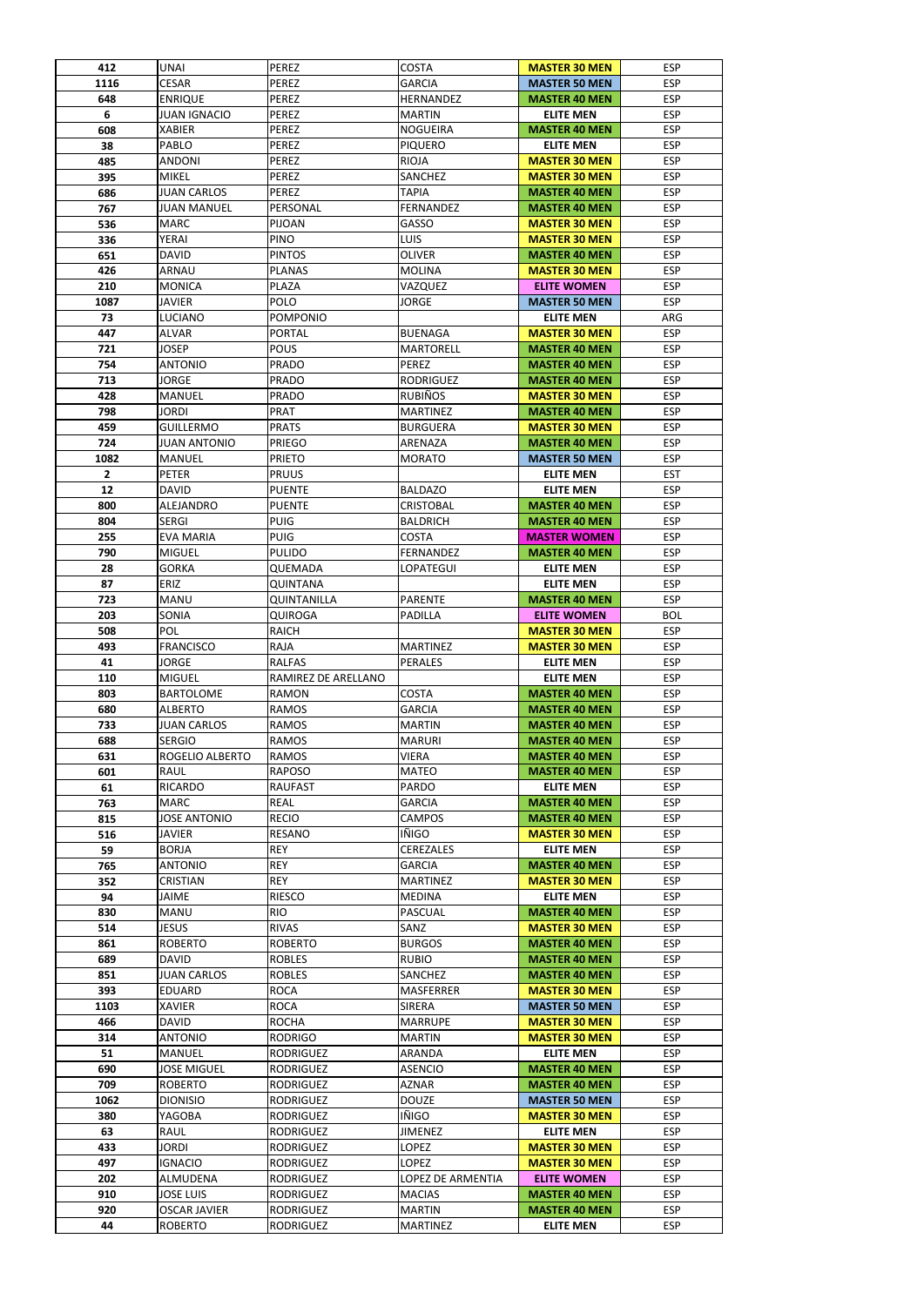| 412  | <b>UNAI</b>            | <b>PEREZ</b>        | <b>COSTA</b>             | <b>MASTER 30 MEN</b> | <b>ESP</b> |
|------|------------------------|---------------------|--------------------------|----------------------|------------|
| 1116 | <b>CESAR</b>           | <b>PEREZ</b>        | <b>GARCIA</b>            | <b>MASTER 50 MEN</b> | <b>ESP</b> |
| 648  | <b>ENRIQUE</b>         | <b>PEREZ</b>        | <b>HERNANDEZ</b>         | <b>MASTER 40 MEN</b> | <b>ESP</b> |
| 6    | <b>JUAN IGNACIO</b>    | <b>PEREZ</b>        | <b>MARTIN</b>            | <b>ELITE MEN</b>     | <b>ESP</b> |
| 608  | <b>XABIER</b>          | <b>PEREZ</b>        | <b>NOGUEIRA</b>          | <b>MASTER 40 MEN</b> | <b>ESP</b> |
| 38   | PABLO                  | <b>PEREZ</b>        | <b>PIQUERO</b>           | <b>ELITE MEN</b>     | <b>ESP</b> |
| 485  | <b>ANDONI</b>          | <b>PEREZ</b>        | <b>RIOJA</b>             | <b>MASTER 30 MEN</b> | <b>ESP</b> |
| 395  | <b>MIKEL</b>           | <b>PEREZ</b>        | <b>SANCHEZ</b>           | <b>MASTER 30 MEN</b> | <b>ESP</b> |
| 686  | <b>JUAN CARLOS</b>     | <b>PEREZ</b>        | <b>TAPIA</b>             | <b>MASTER 40 MEN</b> | <b>ESP</b> |
| 767  | <b>JUAN MANUEL</b>     | PERSONAL            | FERNANDEZ                | <b>MASTER 40 MEN</b> | <b>ESP</b> |
| 536  | <b>MARC</b>            | <b>PIJOAN</b>       | GASSO                    | <b>MASTER 30 MEN</b> | <b>ESP</b> |
| 336  | <b>YERAI</b>           | <b>PINO</b>         | <b>LUIS</b>              | <b>MASTER 30 MEN</b> | <b>ESP</b> |
| 651  | <b>DAVID</b>           | <b>PINTOS</b>       | <b>OLIVER</b>            | <b>MASTER 40 MEN</b> | <b>ESP</b> |
| 426  | <b>ARNAU</b>           | <b>PLANAS</b>       | <b>MOLINA</b>            | <b>MASTER 30 MEN</b> | <b>ESP</b> |
| 210  | <b>MONICA</b>          | <b>PLAZA</b>        | VAZQUEZ                  | <b>ELITE WOMEN</b>   | <b>ESP</b> |
| 1087 | <b>JAVIER</b>          | <b>POLO</b>         | <b>JORGE</b>             | <b>MASTER 50 MEN</b> | <b>ESP</b> |
|      |                        |                     |                          |                      |            |
| 73   | <b>LUCIANO</b>         | <b>POMPONIO</b>     |                          | <b>ELITE MEN</b>     | ARG        |
| 447  | <b>ALVAR</b>           | <b>PORTAL</b>       | <b>BUENAGA</b>           | <b>MASTER 30 MEN</b> | <b>ESP</b> |
| 721  | <b>JOSEP</b>           | <b>POUS</b>         | <b>MARTORELL</b>         | <b>MASTER 40 MEN</b> | <b>ESP</b> |
| 754  | <b>ANTONIO</b>         | <b>PRADO</b>        | <b>PEREZ</b>             | <b>MASTER 40 MEN</b> | <b>ESP</b> |
| 713  | <b>JORGE</b>           | <b>PRADO</b>        | <b>RODRIGUEZ</b>         | <b>MASTER 40 MEN</b> | <b>ESP</b> |
| 428  | <b>MANUEL</b>          | <b>PRADO</b>        | <b>RUBIÑOS</b>           | <b>MASTER 30 MEN</b> | <b>ESP</b> |
| 798  | <b>JORDI</b>           | <b>PRAT</b>         | <b>MARTINEZ</b>          | <b>MASTER 40 MEN</b> | <b>ESP</b> |
| 459  | <b>GUILLERMO</b>       | <b>PRATS</b>        | <b>BURGUERA</b>          | <b>MASTER 30 MEN</b> | <b>ESP</b> |
| 724  | <b>JUAN ANTONIO</b>    | <b>PRIEGO</b>       | ARENAZA                  | <b>MASTER 40 MEN</b> | <b>ESP</b> |
| 1082 | <b>MANUEL</b>          | <b>PRIETO</b>       | <b>MORATO</b>            | <b>MASTER 50 MEN</b> | <b>ESP</b> |
| 2    | <b>PETER</b>           | <b>PRUUS</b>        |                          | <b>ELITE MEN</b>     | <b>EST</b> |
| 12   | <b>DAVID</b>           | <b>PUENTE</b>       | <b>BALDAZO</b>           | <b>ELITE MEN</b>     | <b>ESP</b> |
| 800  | ALEJANDRO              | <b>PUENTE</b>       | <b>CRISTOBAL</b>         | <b>MASTER 40 MEN</b> | <b>ESP</b> |
| 804  | <b>SERGI</b>           | <b>PUIG</b>         | <b>BALDRICH</b>          | <b>MASTER 40 MEN</b> | <b>ESP</b> |
| 255  | <b>EVA MARIA</b>       | <b>PUIG</b>         | <b>COSTA</b>             | <b>MASTER WOMEN</b>  | <b>ESP</b> |
| 790  | <b>MIGUEL</b>          | PULIDO              | FERNANDEZ                | <b>MASTER 40 MEN</b> | <b>ESP</b> |
| 28   | <b>GORKA</b>           | QUEMADA             | LOPATEGUI                | <b>ELITE MEN</b>     | <b>ESP</b> |
| 87   | <b>ERIZ</b>            | <b>QUINTANA</b>     |                          | <b>ELITE MEN</b>     | <b>ESP</b> |
| 723  | <b>MANU</b>            | <b>QUINTANILLA</b>  | <b>PARENTE</b>           | <b>MASTER 40 MEN</b> | <b>ESP</b> |
| 203  | SONIA                  | QUIROGA             | PADILLA                  | <b>ELITE WOMEN</b>   | <b>BOL</b> |
| 508  | <b>POL</b>             | <b>RAICH</b>        |                          | <b>MASTER 30 MEN</b> | <b>ESP</b> |
| 493  | <b>FRANCISCO</b>       | RAJA                | <b>MARTINEZ</b>          | <b>MASTER 30 MEN</b> | <b>ESP</b> |
| 41   | <b>JORGE</b>           | <b>RALFAS</b>       | <b>PERALES</b>           |                      | <b>ESP</b> |
|      |                        |                     |                          | <b>ELITE MEN</b>     |            |
| 110  | <b>MIGUEL</b>          | RAMIREZ DE ARELLANO |                          | <b>ELITE MEN</b>     | <b>ESP</b> |
| 803  | <b>BARTOLOME</b>       | <b>RAMON</b>        | <b>COSTA</b>             | <b>MASTER 40 MEN</b> | <b>ESP</b> |
| 680  | <b>ALBERTO</b>         | <b>RAMOS</b>        | <b>GARCIA</b>            | <b>MASTER 40 MEN</b> | <b>ESP</b> |
| 733  | <b>JUAN CARLOS</b>     | <b>RAMOS</b>        | <b>MARTIN</b>            | <b>MASTER 40 MEN</b> | <b>ESP</b> |
| 688  | <b>SERGIO</b>          | <b>RAMOS</b>        | <b>MARURI</b>            | <b>MASTER 40 MEN</b> | <b>ESP</b> |
| 631  | <b>ROGELIO ALBERTO</b> | <b>RAMOS</b>        | <b>VIERA</b>             | <b>MASTER 40 MEN</b> | <b>ESP</b> |
| 601  | RAUL                   | <b>RAPOSO</b>       | <b>MATEO</b>             | <b>MASTER 40 MEN</b> | <b>ESP</b> |
| 61   | <b>RICARDO</b>         | <b>RAUFAST</b>      | <b>PARDO</b>             | <b>ELITE MEN</b>     | <b>ESP</b> |
| 763  | <b>MARC</b>            | <b>REAL</b>         | <b>GARCIA</b>            | <b>MASTER 40 MEN</b> | <b>ESP</b> |
| 815  | <b>JOSE ANTONIO</b>    | <b>RECIO</b>        | <b>CAMPOS</b>            | <b>MASTER 40 MEN</b> | <b>ESP</b> |
| 516  | <b>JAVIER</b>          | <b>RESANO</b>       | IÑIGO                    | <b>MASTER 30 MEN</b> | <b>ESP</b> |
| 59   | <b>BORJA</b>           | <b>REY</b>          | <b>CEREZALES</b>         | <b>ELITE MEN</b>     | <b>ESP</b> |
| 765  | <b>ANTONIO</b>         | <b>REY</b>          | <b>GARCIA</b>            | <b>MASTER 40 MEN</b> | <b>ESP</b> |
| 352  | <b>CRISTIAN</b>        | <b>REY</b>          | <b>MARTINEZ</b>          | <b>MASTER 30 MEN</b> | <b>ESP</b> |
| 94   | <b>JAIME</b>           | <b>RIESCO</b>       | <b>MEDINA</b>            | <b>ELITE MEN</b>     | <b>ESP</b> |
| 830  | <b>MANU</b>            | <b>RIO</b>          | <b>PASCUAL</b>           | <b>MASTER 40 MEN</b> | <b>ESP</b> |
| 514  | <b>JESUS</b>           | <b>RIVAS</b>        | SANZ                     | <b>MASTER 30 MEN</b> | <b>ESP</b> |
| 861  | <b>ROBERTO</b>         | <b>ROBERTO</b>      | <b>BURGOS</b>            | <b>MASTER 40 MEN</b> | <b>ESP</b> |
| 689  | <b>DAVID</b>           | <b>ROBLES</b>       | <b>RUBIO</b>             | <b>MASTER 40 MEN</b> | <b>ESP</b> |
| 851  | <b>JUAN CARLOS</b>     | <b>ROBLES</b>       | <b>SANCHEZ</b>           | <b>MASTER 40 MEN</b> | <b>ESP</b> |
| 393  | <b>EDUARD</b>          | <b>ROCA</b>         | <b>MASFERRER</b>         | <b>MASTER 30 MEN</b> | <b>ESP</b> |
| 1103 | <b>XAVIER</b>          | <b>ROCA</b>         | <b>SIRERA</b>            | <b>MASTER 50 MEN</b> | <b>ESP</b> |
| 466  | <b>DAVID</b>           | <b>ROCHA</b>        | <b>MARRUPE</b>           | <b>MASTER 30 MEN</b> | <b>ESP</b> |
| 314  |                        |                     |                          | <b>MASTER 30 MEN</b> |            |
|      | <b>ANTONIO</b>         | <b>RODRIGO</b>      | <b>MARTIN</b>            |                      | <b>ESP</b> |
|      | <b>MANUEL</b>          | <b>RODRIGUEZ</b>    | ARANDA<br><b>ASENCIO</b> | <b>ELITE MEN</b>     | <b>ESP</b> |
| 51   |                        |                     |                          | <b>MASTER 40 MEN</b> | <b>ESP</b> |
| 690  | <b>JOSE MIGUEL</b>     | <b>RODRIGUEZ</b>    |                          |                      |            |
| 709  | <b>ROBERTO</b>         | <b>RODRIGUEZ</b>    | <b>AZNAR</b>             | <b>MASTER 40 MEN</b> | <b>ESP</b> |
| 1062 | <b>DIONISIO</b>        | <b>RODRIGUEZ</b>    | <b>DOUZE</b>             | <b>MASTER 50 MEN</b> | <b>ESP</b> |
| 380  | YAGOBA                 | <b>RODRIGUEZ</b>    | IÑIGO                    | <b>MASTER 30 MEN</b> | <b>ESP</b> |
| 63   | RAUL                   | <b>RODRIGUEZ</b>    | <b>JIMENEZ</b>           | <b>ELITE MEN</b>     | <b>ESP</b> |
| 433  | <b>JORDI</b>           | <b>RODRIGUEZ</b>    | <b>LOPEZ</b>             | <b>MASTER 30 MEN</b> | <b>ESP</b> |
| 497  | <b>IGNACIO</b>         | <b>RODRIGUEZ</b>    | <b>LOPEZ</b>             | <b>MASTER 30 MEN</b> | <b>ESP</b> |
| 202  | ALMUDENA               | <b>RODRIGUEZ</b>    | <b>LOPEZ DE ARMENTIA</b> | <b>ELITE WOMEN</b>   | <b>ESP</b> |
| 910  | <b>JOSE LUIS</b>       | <b>RODRIGUEZ</b>    | <b>MACIAS</b>            | <b>MASTER 40 MEN</b> | <b>ESP</b> |
| 920  | <b>OSCAR JAVIER</b>    | <b>RODRIGUEZ</b>    | <b>MARTIN</b>            | <b>MASTER 40 MEN</b> | <b>ESP</b> |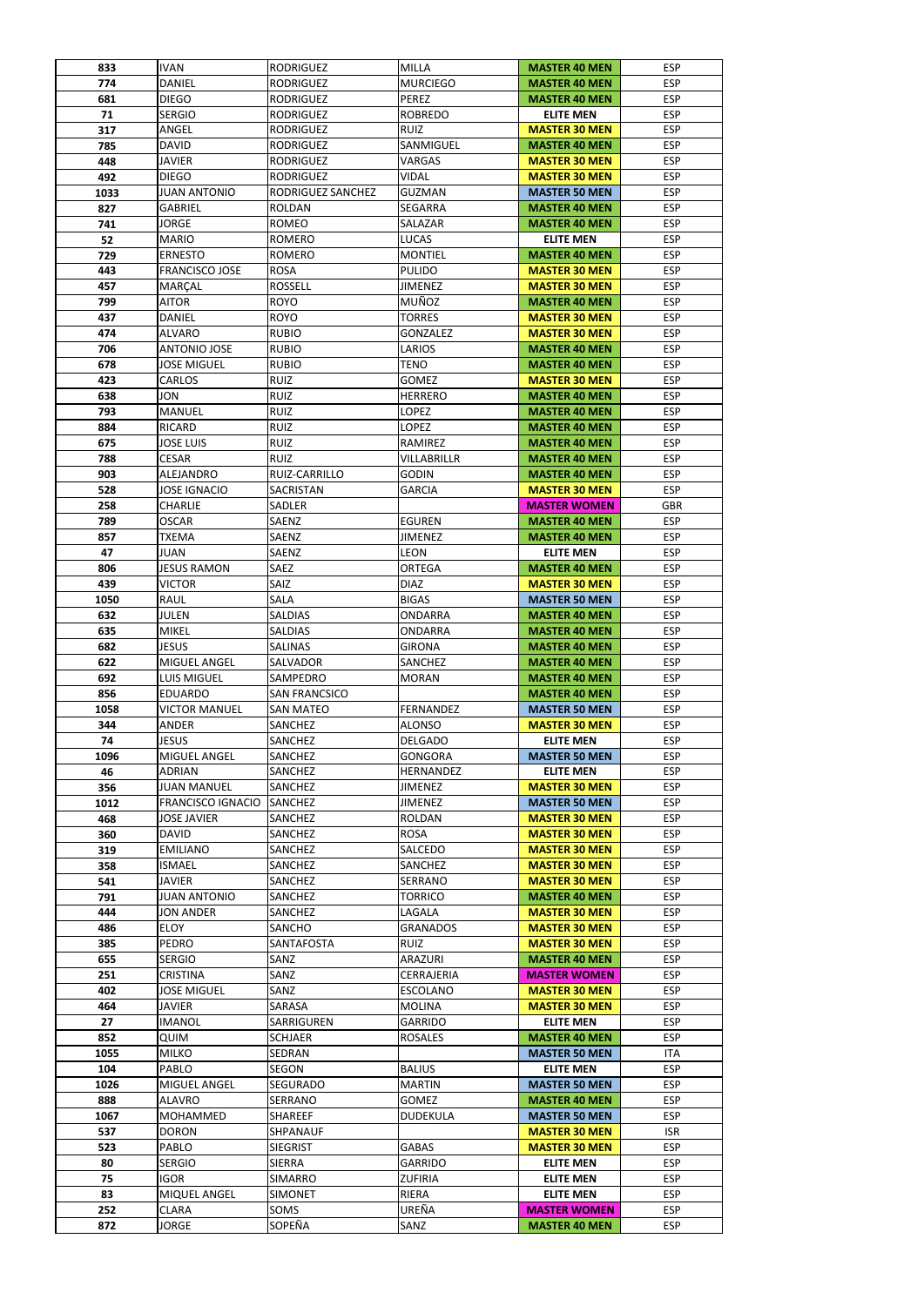| 833  | <b>IVAN</b>              | <b>RODRIGUEZ</b>     | <b>MILLA</b>       | <b>MASTER 40 MEN</b> | <b>ESP</b> |
|------|--------------------------|----------------------|--------------------|----------------------|------------|
| 774  | <b>DANIEL</b>            | <b>RODRIGUEZ</b>     | <b>MURCIEGO</b>    | <b>MASTER 40 MEN</b> | <b>ESP</b> |
| 681  | <b>DIEGO</b>             | <b>RODRIGUEZ</b>     | PEREZ              | <b>MASTER 40 MEN</b> | <b>ESP</b> |
| 71   | <b>SERGIO</b>            | <b>RODRIGUEZ</b>     | <b>ROBREDO</b>     | <b>ELITE MEN</b>     | <b>ESP</b> |
| 317  | ANGEL                    | <b>RODRIGUEZ</b>     | <b>RUIZ</b>        | <b>MASTER 30 MEN</b> | <b>ESP</b> |
| 785  | <b>DAVID</b>             | <b>RODRIGUEZ</b>     | SANMIGUEL          | <b>MASTER 40 MEN</b> | <b>ESP</b> |
| 448  | <b>JAVIER</b>            | <b>RODRIGUEZ</b>     | <b>VARGAS</b>      | <b>MASTER 30 MEN</b> | <b>ESP</b> |
| 492  | <b>DIEGO</b>             | <b>RODRIGUEZ</b>     | <b>VIDAL</b>       | <b>MASTER 30 MEN</b> | <b>ESP</b> |
| 1033 | <b>JUAN ANTONIO</b>      | RODRIGUEZ SANCHEZ    | <b>GUZMAN</b>      | <b>MASTER 50 MEN</b> | <b>ESP</b> |
| 827  | <b>GABRIEL</b>           | <b>ROLDAN</b>        | <b>SEGARRA</b>     | <b>MASTER 40 MEN</b> | <b>ESP</b> |
| 741  | <b>JORGE</b>             | <b>ROMEO</b>         | SALAZAR            | <b>MASTER 40 MEN</b> | <b>ESP</b> |
| 52   | <b>MARIO</b>             | <b>ROMERO</b>        | <b>LUCAS</b>       | <b>ELITE MEN</b>     | <b>ESP</b> |
| 729  | <b>ERNESTO</b>           | <b>ROMERO</b>        | <b>MONTIEL</b>     | <b>MASTER 40 MEN</b> | <b>ESP</b> |
| 443  | <b>FRANCISCO JOSE</b>    | <b>ROSA</b>          | <b>PULIDO</b>      | <b>MASTER 30 MEN</b> | <b>ESP</b> |
| 457  | MARÇAL                   | <b>ROSSELL</b>       | <b>JIMENEZ</b>     | <b>MASTER 30 MEN</b> | <b>ESP</b> |
|      |                          | <b>ROYO</b>          | <b>MUÑOZ</b>       | <b>MASTER 40 MEN</b> | <b>ESP</b> |
| 799  | <b>AITOR</b>             |                      |                    |                      |            |
| 437  | <b>DANIEL</b>            | <b>ROYO</b>          | <b>TORRES</b>      | <b>MASTER 30 MEN</b> | <b>ESP</b> |
| 474  | <b>ALVARO</b>            | <b>RUBIO</b>         | <b>GONZALEZ</b>    | <b>MASTER 30 MEN</b> | <b>ESP</b> |
| 706  | <b>ANTONIO JOSE</b>      | <b>RUBIO</b>         | LARIOS             | <b>MASTER 40 MEN</b> | <b>ESP</b> |
| 678  | <b>JOSE MIGUEL</b>       | <b>RUBIO</b>         | <b>TENO</b>        | <b>MASTER 40 MEN</b> | <b>ESP</b> |
| 423  | <b>CARLOS</b>            | <b>RUIZ</b>          | <b>GOMEZ</b>       | <b>MASTER 30 MEN</b> | <b>ESP</b> |
| 638  | <b>JON</b>               | <b>RUIZ</b>          | <b>HERRERO</b>     | <b>MASTER 40 MEN</b> | <b>ESP</b> |
| 793  | <b>MANUEL</b>            | <b>RUIZ</b>          | <b>LOPEZ</b>       | <b>MASTER 40 MEN</b> | <b>ESP</b> |
| 884  | <b>RICARD</b>            | <b>RUIZ</b>          | <b>LOPEZ</b>       | <b>MASTER 40 MEN</b> | <b>ESP</b> |
| 675  | <b>JOSE LUIS</b>         | <b>RUIZ</b>          | RAMIREZ            | <b>MASTER 40 MEN</b> | <b>ESP</b> |
| 788  | <b>CESAR</b>             | <b>RUIZ</b>          | <b>VILLABRILLR</b> | <b>MASTER 40 MEN</b> | <b>ESP</b> |
| 903  | ALEJANDRO                | RUIZ-CARRILLO        | <b>GODIN</b>       | <b>MASTER 40 MEN</b> | <b>ESP</b> |
| 528  | <b>JOSE IGNACIO</b>      | <b>SACRISTAN</b>     | <b>GARCIA</b>      | <b>MASTER 30 MEN</b> | <b>ESP</b> |
| 258  | <b>CHARLIE</b>           | <b>SADLER</b>        |                    | <b>MASTER WOMEN</b>  | <b>GBR</b> |
| 789  | <b>OSCAR</b>             | <b>SAENZ</b>         | <b>EGUREN</b>      | <b>MASTER 40 MEN</b> | <b>ESP</b> |
| 857  | <b>TXEMA</b>             | SAENZ                | <b>JIMENEZ</b>     | <b>MASTER 40 MEN</b> | <b>ESP</b> |
| 47   | JUAN                     | <b>SAENZ</b>         | <b>LEON</b>        | <b>ELITE MEN</b>     | <b>ESP</b> |
|      |                          |                      |                    |                      |            |
| 806  | <b>JESUS RAMON</b>       | <b>SAEZ</b>          | <b>ORTEGA</b>      | <b>MASTER 40 MEN</b> | <b>ESP</b> |
| 439  | <b>VICTOR</b>            | SAIZ                 | <b>DIAZ</b>        | <b>MASTER 30 MEN</b> | <b>ESP</b> |
| 1050 | <b>RAUL</b>              | SALA                 | <b>BIGAS</b>       | <b>MASTER 50 MEN</b> | <b>ESP</b> |
| 632  | <b>JULEN</b>             | <b>SALDIAS</b>       | ONDARRA            | <b>MASTER 40 MEN</b> | <b>ESP</b> |
| 635  | <b>MIKEL</b>             | <b>SALDIAS</b>       | <b>ONDARRA</b>     | <b>MASTER 40 MEN</b> | <b>ESP</b> |
| 682  | <b>JESUS</b>             | <b>SALINAS</b>       | <b>GIRONA</b>      | <b>MASTER 40 MEN</b> | <b>ESP</b> |
| 622  | MIGUEL ANGEL             | <b>SALVADOR</b>      | SANCHEZ            | <b>MASTER 40 MEN</b> | <b>ESP</b> |
| 692  | <b>LUIS MIGUEL</b>       | <b>SAMPEDRO</b>      | <b>MORAN</b>       | <b>MASTER 40 MEN</b> | <b>ESP</b> |
| 856  | <b>EDUARDO</b>           | <b>SAN FRANCSICO</b> |                    | <b>MASTER 40 MEN</b> | <b>ESP</b> |
| 1058 | <b>VICTOR MANUEL</b>     | <b>SAN MATEO</b>     | <b>FERNANDEZ</b>   | <b>MASTER 50 MEN</b> | <b>ESP</b> |
| 344  | <b>ANDER</b>             | SANCHEZ              | <b>ALONSO</b>      | <b>MASTER 30 MEN</b> | <b>ESP</b> |
| 74   | <b>JESUS</b>             | <b>SANCHEZ</b>       | <b>DELGADO</b>     | <b>ELITE MEN</b>     | <b>ESP</b> |
| 1096 | <b>MIGUEL ANGEL</b>      | <b>SANCHEZ</b>       | <b>GONGORA</b>     | <b>MASTER 50 MEN</b> | <b>ESP</b> |
| 46   | <b>ADRIAN</b>            | <b>SANCHEZ</b>       | <b>HERNANDEZ</b>   | <b>ELITE MEN</b>     | <b>ESP</b> |
| 356  | <b>JUAN MANUEL</b>       | <b>SANCHEZ</b>       | <b>JIMENEZ</b>     | <b>MASTER 30 MEN</b> | <b>ESP</b> |
| 1012 | <b>FRANCISCO IGNACIO</b> | <b>SANCHEZ</b>       | <b>JIMENEZ</b>     | <b>MASTER 50 MEN</b> | <b>ESP</b> |
|      |                          |                      |                    |                      |            |
| 468  | <b>JOSE JAVIER</b>       | <b>SANCHEZ</b>       | <b>ROLDAN</b>      | <b>MASTER 30 MEN</b> | <b>ESP</b> |
| 360  | <b>DAVID</b>             | <b>SANCHEZ</b>       | <b>ROSA</b>        | <b>MASTER 30 MEN</b> | <b>ESP</b> |
| 319  | <b>EMILIANO</b>          | SANCHEZ              | SALCEDO            | <b>MASTER 30 MEN</b> | <b>ESP</b> |
| 358  | <b>ISMAEL</b>            | <b>SANCHEZ</b>       | SANCHEZ            | <b>MASTER 30 MEN</b> | <b>ESP</b> |
| 541  | <b>JAVIER</b>            | <b>SANCHEZ</b>       | <b>SERRANO</b>     | <b>MASTER 30 MEN</b> | <b>ESP</b> |
| 791  | <b>JUAN ANTONIO</b>      | <b>SANCHEZ</b>       | <b>TORRICO</b>     | <b>MASTER 40 MEN</b> | <b>ESP</b> |
| 444  | <b>JON ANDER</b>         | <b>SANCHEZ</b>       | LAGALA             | <b>MASTER 30 MEN</b> | <b>ESP</b> |
| 486  | <b>ELOY</b>              | <b>SANCHO</b>        | <b>GRANADOS</b>    | <b>MASTER 30 MEN</b> | <b>ESP</b> |
| 385  | <b>PEDRO</b>             | <b>SANTAFOSTA</b>    | <b>RUIZ</b>        | <b>MASTER 30 MEN</b> | <b>ESP</b> |
| 655  | <b>SERGIO</b>            | SANZ                 | ARAZURI            | <b>MASTER 40 MEN</b> | <b>ESP</b> |
| 251  | <b>CRISTINA</b>          | SANZ                 | CERRAJERIA         | <b>MASTER WOMEN</b>  | <b>ESP</b> |
| 402  | <b>JOSE MIGUEL</b>       | SANZ                 | <b>ESCOLANO</b>    | <b>MASTER 30 MEN</b> | <b>ESP</b> |
| 464  | <b>JAVIER</b>            | <b>SARASA</b>        | <b>MOLINA</b>      | <b>MASTER 30 MEN</b> | <b>ESP</b> |
| 27   | <b>IMANOL</b>            | SARRIGUREN           | <b>GARRIDO</b>     | <b>ELITE MEN</b>     | <b>ESP</b> |
| 852  | <b>QUIM</b>              | <b>SCHJAER</b>       | <b>ROSALES</b>     | <b>MASTER 40 MEN</b> | <b>ESP</b> |
| 1055 | <b>MILKO</b>             | SEDRAN               |                    | <b>MASTER 50 MEN</b> | <b>ITA</b> |
| 104  | PABLO                    | <b>SEGON</b>         | <b>BALIUS</b>      | <b>ELITE MEN</b>     | <b>ESP</b> |
| 1026 | MIGUEL ANGEL             | <b>SEGURADO</b>      | <b>MARTIN</b>      | <b>MASTER 50 MEN</b> | <b>ESP</b> |
| 888  | <b>ALAVRO</b>            | SERRANO              | <b>GOMEZ</b>       | <b>MASTER 40 MEN</b> | <b>ESP</b> |
| 1067 | MOHAMMED                 | SHAREEF              | <b>DUDEKULA</b>    | <b>MASTER 50 MEN</b> | <b>ESP</b> |
|      |                          |                      |                    |                      |            |
| 537  | <b>DORON</b>             | SHPANAUF             |                    | <b>MASTER 30 MEN</b> | <b>ISR</b> |
| 523  | PABLO                    | <b>SIEGRIST</b>      | <b>GABAS</b>       | <b>MASTER 30 MEN</b> | <b>ESP</b> |
| 80   | <b>SERGIO</b>            | <b>SIERRA</b>        | <b>GARRIDO</b>     | <b>ELITE MEN</b>     | <b>ESP</b> |
| 75   | <b>IGOR</b>              | <b>SIMARRO</b>       | <b>ZUFIRIA</b>     | <b>ELITE MEN</b>     | <b>ESP</b> |
| 83   | MIQUEL ANGEL             | <b>SIMONET</b>       | RIERA              | <b>ELITE MEN</b>     | <b>ESP</b> |
| 252  | <b>CLARA</b>             | SOMS                 | UREÑA              | <b>MASTER WOMEN</b>  | <b>ESP</b> |
| 872  | <b>JORGE</b>             | SOPEÑA               | SANZ               | <b>MASTER 40 MEN</b> | <b>ESP</b> |
|      |                          |                      |                    |                      |            |